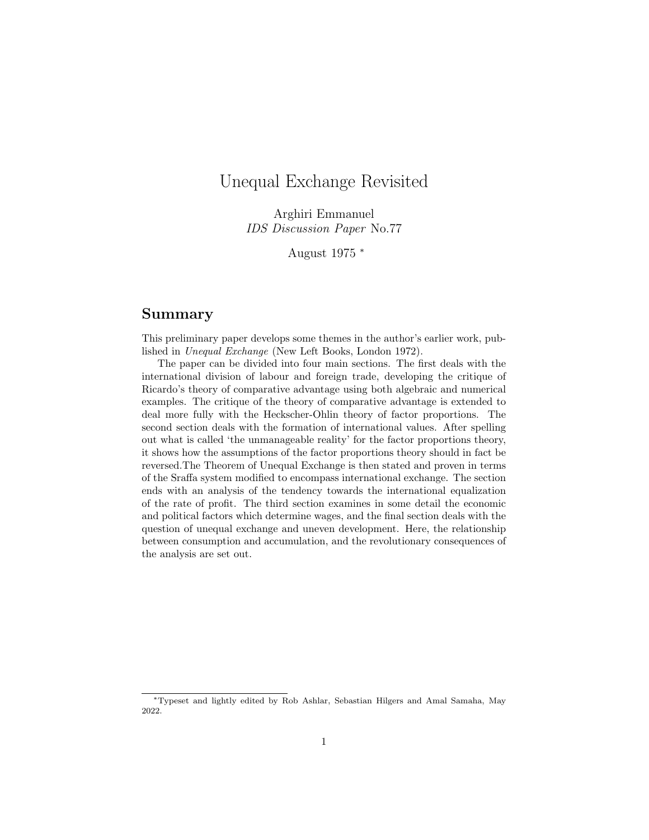# <span id="page-0-0"></span>Unequal Exchange Revisited

Arghiri Emmanuel IDS Discussion Paper No.77

August 1975 <sup>∗</sup>

# Summary

This preliminary paper develops some themes in the author's earlier work, published in Unequal Exchange (New Left Books, London 1972).

The paper can be divided into four main sections. The first deals with the international division of labour and foreign trade, developing the critique of Ricardo's theory of comparative advantage using both algebraic and numerical examples. The critique of the theory of comparative advantage is extended to deal more fully with the Heckscher-Ohlin theory of factor proportions. The second section deals with the formation of international values. After spelling out what is called 'the unmanageable reality' for the factor proportions theory, it shows how the assumptions of the factor proportions theory should in fact be reversed.The Theorem of Unequal Exchange is then stated and proven in terms of the Sraffa system modified to encompass international exchange. The section ends with an analysis of the tendency towards the international equalization of the rate of profit. The third section examines in some detail the economic and political factors which determine wages, and the final section deals with the question of unequal exchange and uneven development. Here, the relationship between consumption and accumulation, and the revolutionary consequences of the analysis are set out.

<sup>∗</sup>Typeset and lightly edited by Rob Ashlar, Sebastian Hilgers and Amal Samaha, May 2022.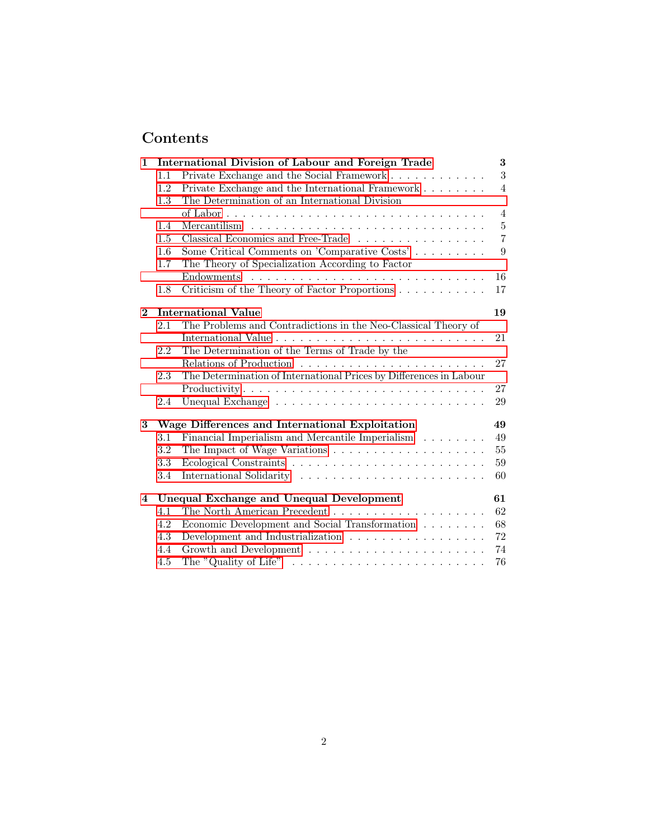# Contents

| 1           |     | International Division of Labour and Foreign Trade                                   | 3                |
|-------------|-----|--------------------------------------------------------------------------------------|------------------|
|             | 1.1 | Private Exchange and the Social Framework                                            | $\boldsymbol{3}$ |
|             | 1.2 | Private Exchange and the International Framework                                     | $\overline{4}$   |
|             | 1.3 | The Determination of an International Division                                       |                  |
|             |     |                                                                                      | $\overline{4}$   |
|             | 1.4 | Mercantilism $\ldots \ldots \ldots \ldots \ldots \ldots \ldots \ldots \ldots \ldots$ | $\bf 5$          |
|             | 1.5 | Classical Economics and Free-Trade                                                   | $\overline{7}$   |
|             | 1.6 | Some Critical Comments on 'Comparative Costs'                                        | 9                |
|             | 1.7 | The Theory of Specialization According to Factor                                     |                  |
|             |     |                                                                                      | 16               |
|             | 1.8 | Criticism of the Theory of Factor Proportions                                        | 17               |
| $\mathbf 2$ |     | <b>International Value</b>                                                           | 19               |
|             | 2.1 | The Problems and Contradictions in the Neo-Classical Theory of                       |                  |
|             |     |                                                                                      | 21               |
|             | 2.2 | The Determination of the Terms of Trade by the                                       |                  |
|             |     |                                                                                      | 27               |
|             | 2.3 | The Determination of International Prices by Differences in Labour                   |                  |
|             |     | Productivity                                                                         | 27               |
|             | 2.4 |                                                                                      | 29               |
| 3           |     | Wage Differences and International Exploitation                                      | 49               |
|             | 3.1 | Financial Imperialism and Mercantile Imperialism                                     | 49               |
|             | 3.2 |                                                                                      | 55               |
|             | 3.3 |                                                                                      | 59               |
|             | 3.4 |                                                                                      | 60               |
| 4           |     | <b>Unequal Exchange and Unequal Development</b>                                      | 61               |
|             | 4.1 |                                                                                      | 62               |
|             | 4.2 | Economic Development and Social Transformation                                       | 68               |
|             | 4.3 | Development and Industrialization                                                    | 72               |
|             | 4.4 |                                                                                      | 74               |
|             | 4.5 | The "Quality of Life" $\dots \dots \dots \dots \dots \dots \dots \dots \dots \dots$  | 76               |
|             |     |                                                                                      |                  |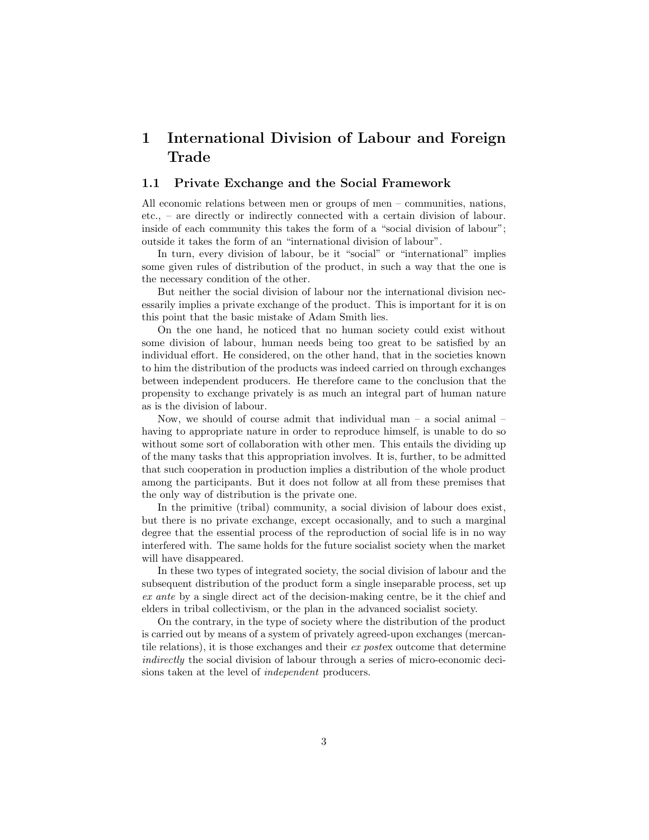# <span id="page-2-0"></span>1 International Division of Labour and Foreign Trade

## <span id="page-2-1"></span>1.1 Private Exchange and the Social Framework

All economic relations between men or groups of men – communities, nations, etc., – are directly or indirectly connected with a certain division of labour. inside of each community this takes the form of a "social division of labour"; outside it takes the form of an "international division of labour".

In turn, every division of labour, be it "social" or "international" implies some given rules of distribution of the product, in such a way that the one is the necessary condition of the other.

But neither the social division of labour nor the international division necessarily implies a private exchange of the product. This is important for it is on this point that the basic mistake of Adam Smith lies.

On the one hand, he noticed that no human society could exist without some division of labour, human needs being too great to be satisfied by an individual effort. He considered, on the other hand, that in the societies known to him the distribution of the products was indeed carried on through exchanges between independent producers. He therefore came to the conclusion that the propensity to exchange privately is as much an integral part of human nature as is the division of labour.

Now, we should of course admit that individual man  $-$  a social animal  $$ having to appropriate nature in order to reproduce himself, is unable to do so without some sort of collaboration with other men. This entails the dividing up of the many tasks that this appropriation involves. It is, further, to be admitted that such cooperation in production implies a distribution of the whole product among the participants. But it does not follow at all from these premises that the only way of distribution is the private one.

In the primitive (tribal) community, a social division of labour does exist, but there is no private exchange, except occasionally, and to such a marginal degree that the essential process of the reproduction of social life is in no way interfered with. The same holds for the future socialist society when the market will have disappeared.

In these two types of integrated society, the social division of labour and the subsequent distribution of the product form a single inseparable process, set up ex ante by a single direct act of the decision-making centre, be it the chief and elders in tribal collectivism, or the plan in the advanced socialist society.

On the contrary, in the type of society where the distribution of the product is carried out by means of a system of privately agreed-upon exchanges (mercantile relations), it is those exchanges and their ex postex outcome that determine indirectly the social division of labour through a series of micro-economic decisions taken at the level of independent producers.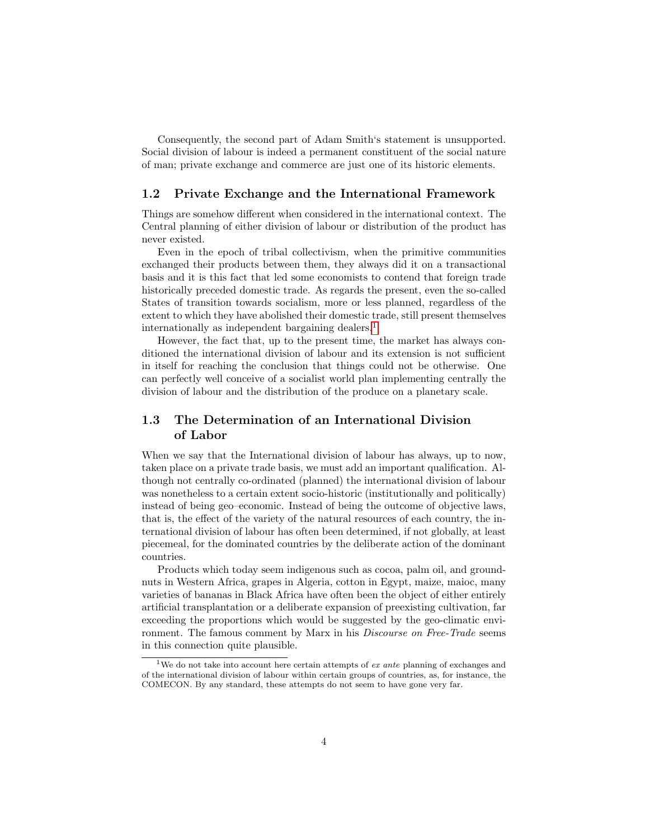Consequently, the second part of Adam Smith's statement is unsupported. Social division of labour is indeed a permanent constituent of the social nature of man; private exchange and commerce are just one of its historic elements.

## <span id="page-3-0"></span>1.2 Private Exchange and the International Framework

Things are somehow different when considered in the international context. The Central planning of either division of labour or distribution of the product has never existed.

Even in the epoch of tribal collectivism, when the primitive communities exchanged their products between them, they always did it on a transactional basis and it is this fact that led some economists to contend that foreign trade historically preceded domestic trade. As regards the present, even the so-called States of transition towards socialism, more or less planned, regardless of the extent to which they have abolished their domestic trade, still present themselves internationally as independent bargaining dealers.[1](#page-0-0)

However, the fact that, up to the present time, the market has always conditioned the international division of labour and its extension is not sufficient in itself for reaching the conclusion that things could not be otherwise. One can perfectly well conceive of a socialist world plan implementing centrally the division of labour and the distribution of the produce on a planetary scale.

# <span id="page-3-1"></span>1.3 The Determination of an International Division of Labor

When we say that the International division of labour has always, up to now, taken place on a private trade basis, we must add an important qualification. Although not centrally co-ordinated (planned) the international division of labour was nonetheless to a certain extent socio-historic (institutionally and politically) instead of being geo–economic. Instead of being the outcome of objective laws, that is, the effect of the variety of the natural resources of each country, the international division of labour has often been determined, if not globally, at least piecemeal, for the dominated countries by the deliberate action of the dominant countries.

Products which today seem indigenous such as cocoa, palm oil, and groundnuts in Western Africa, grapes in Algeria, cotton in Egypt, maize, maioc, many varieties of bananas in Black Africa have often been the object of either entirely artificial transplantation or a deliberate expansion of preexisting cultivation, far exceeding the proportions which would be suggested by the geo-climatic environment. The famous comment by Marx in his *Discourse on Free-Trade* seems in this connection quite plausible.

<sup>&</sup>lt;sup>1</sup>We do not take into account here certain attempts of ex ante planning of exchanges and of the international division of labour within certain groups of countries, as, for instance, the COMECON. By any standard, these attempts do not seem to have gone very far.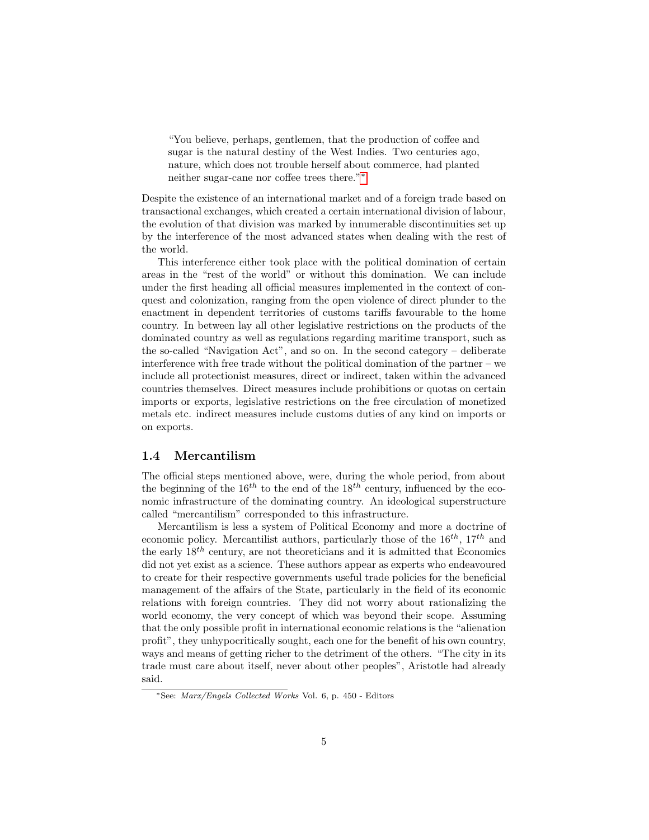"You believe, perhaps, gentlemen, that the production of coffee and sugar is the natural destiny of the West Indies. Two centuries ago, nature, which does not trouble herself about commerce, had planted neither sugar-cane nor coffee trees there."[∗](#page-0-0)

Despite the existence of an international market and of a foreign trade based on transactional exchanges, which created a certain international division of labour, the evolution of that division was marked by innumerable discontinuities set up by the interference of the most advanced states when dealing with the rest of the world.

This interference either took place with the political domination of certain areas in the "rest of the world" or without this domination. We can include under the first heading all official measures implemented in the context of conquest and colonization, ranging from the open violence of direct plunder to the enactment in dependent territories of customs tariffs favourable to the home country. In between lay all other legislative restrictions on the products of the dominated country as well as regulations regarding maritime transport, such as the so-called "Navigation Act", and so on. In the second category – deliberate interference with free trade without the political domination of the partner – we include all protectionist measures, direct or indirect, taken within the advanced countries themselves. Direct measures include prohibitions or quotas on certain imports or exports, legislative restrictions on the free circulation of monetized metals etc. indirect measures include customs duties of any kind on imports or on exports.

## <span id="page-4-0"></span>1.4 Mercantilism

The official steps mentioned above, were, during the whole period, from about the beginning of the  $16^{th}$  to the end of the  $18^{th}$  century, influenced by the economic infrastructure of the dominating country. An ideological superstructure called "mercantilism" corresponded to this infrastructure.

Mercantilism is less a system of Political Economy and more a doctrine of economic policy. Mercantilist authors, particularly those of the  $16^{th}$ ,  $17^{th}$  and the early  $18^{th}$  century, are not theoreticians and it is admitted that Economics did not yet exist as a science. These authors appear as experts who endeavoured to create for their respective governments useful trade policies for the beneficial management of the affairs of the State, particularly in the field of its economic relations with foreign countries. They did not worry about rationalizing the world economy, the very concept of which was beyond their scope. Assuming that the only possible profit in international economic relations is the "alienation profit", they unhypocritically sought, each one for the benefit of his own country, ways and means of getting richer to the detriment of the others. "The city in its trade must care about itself, never about other peoples", Aristotle had already said.

<sup>∗</sup>See: Marx/Engels Collected Works Vol. 6, p. 450 - Editors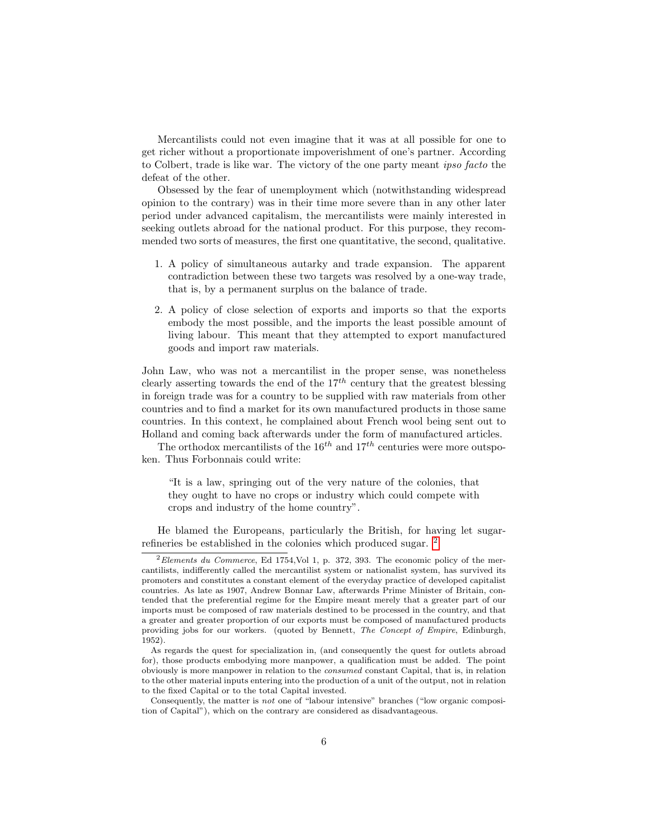Mercantilists could not even imagine that it was at all possible for one to get richer without a proportionate impoverishment of one's partner. According to Colbert, trade is like war. The victory of the one party meant ipso facto the defeat of the other.

Obsessed by the fear of unemployment which (notwithstanding widespread opinion to the contrary) was in their time more severe than in any other later period under advanced capitalism, the mercantilists were mainly interested in seeking outlets abroad for the national product. For this purpose, they recommended two sorts of measures, the first one quantitative, the second, qualitative.

- 1. A policy of simultaneous autarky and trade expansion. The apparent contradiction between these two targets was resolved by a one-way trade, that is, by a permanent surplus on the balance of trade.
- 2. A policy of close selection of exports and imports so that the exports embody the most possible, and the imports the least possible amount of living labour. This meant that they attempted to export manufactured goods and import raw materials.

John Law, who was not a mercantilist in the proper sense, was nonetheless clearly asserting towards the end of the  $17<sup>th</sup>$  century that the greatest blessing in foreign trade was for a country to be supplied with raw materials from other countries and to find a market for its own manufactured products in those same countries. In this context, he complained about French wool being sent out to Holland and coming back afterwards under the form of manufactured articles.

The orthodox mercantilists of the  $16^{th}$  and  $17^{th}$  centuries were more outspoken. Thus Forbonnais could write:

"It is a law, springing out of the very nature of the colonies, that they ought to have no crops or industry which could compete with crops and industry of the home country".

He blamed the Europeans, particularly the British, for having let sugarrefineries be established in the colonies which produced sugar. [2](#page-0-0)

 $2$ Elements du Commerce, Ed 1754, Vol 1, p. 372, 393. The economic policy of the mercantilists, indifferently called the mercantilist system or nationalist system, has survived its promoters and constitutes a constant element of the everyday practice of developed capitalist countries. As late as 1907, Andrew Bonnar Law, afterwards Prime Minister of Britain, contended that the preferential regime for the Empire meant merely that a greater part of our imports must be composed of raw materials destined to be processed in the country, and that a greater and greater proportion of our exports must be composed of manufactured products providing jobs for our workers. (quoted by Bennett, The Concept of Empire, Edinburgh, 1952).

As regards the quest for specialization in, (and consequently the quest for outlets abroad for), those products embodying more manpower, a qualification must be added. The point obviously is more manpower in relation to the consumed constant Capital, that is, in relation to the other material inputs entering into the production of a unit of the output, not in relation to the fixed Capital or to the total Capital invested.

Consequently, the matter is *not* one of "labour intensive" branches ("low organic composition of Capital"), which on the contrary are considered as disadvantageous.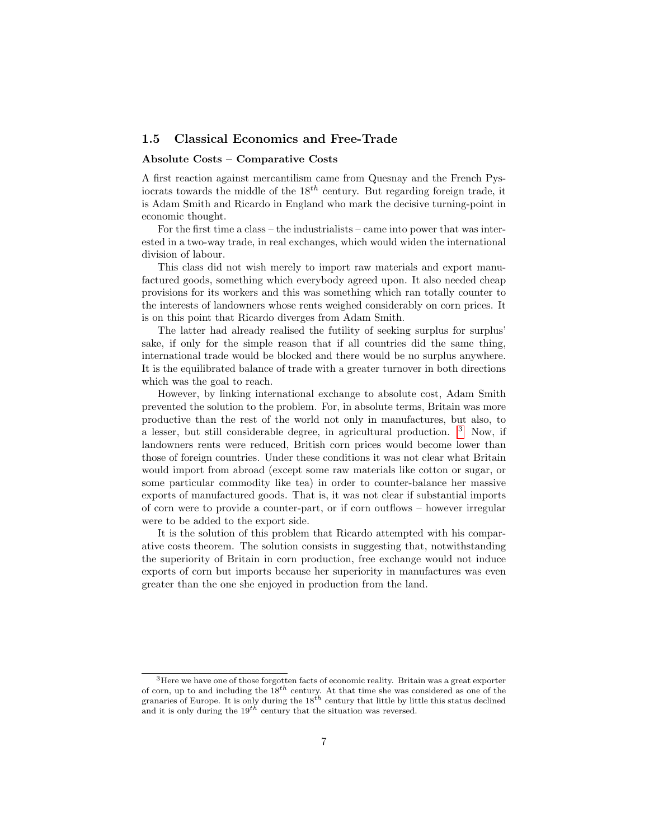# <span id="page-6-0"></span>1.5 Classical Economics and Free-Trade

## Absolute Costs – Comparative Costs

A first reaction against mercantilism came from Quesnay and the French Pysiocrats towards the middle of the  $18<sup>th</sup>$  century. But regarding foreign trade, it is Adam Smith and Ricardo in England who mark the decisive turning-point in economic thought.

For the first time a class – the industrialists – came into power that was interested in a two-way trade, in real exchanges, which would widen the international division of labour.

This class did not wish merely to import raw materials and export manufactured goods, something which everybody agreed upon. It also needed cheap provisions for its workers and this was something which ran totally counter to the interests of landowners whose rents weighed considerably on corn prices. It is on this point that Ricardo diverges from Adam Smith.

The latter had already realised the futility of seeking surplus for surplus' sake, if only for the simple reason that if all countries did the same thing, international trade would be blocked and there would be no surplus anywhere. It is the equilibrated balance of trade with a greater turnover in both directions which was the goal to reach.

However, by linking international exchange to absolute cost, Adam Smith prevented the solution to the problem. For, in absolute terms, Britain was more productive than the rest of the world not only in manufactures, but also, to a lesser, but still considerable degree, in agricultural production. [3](#page-0-0) Now, if landowners rents were reduced, British corn prices would become lower than those of foreign countries. Under these conditions it was not clear what Britain would import from abroad (except some raw materials like cotton or sugar, or some particular commodity like tea) in order to counter-balance her massive exports of manufactured goods. That is, it was not clear if substantial imports of corn were to provide a counter-part, or if corn outflows – however irregular were to be added to the export side.

It is the solution of this problem that Ricardo attempted with his comparative costs theorem. The solution consists in suggesting that, notwithstanding the superiority of Britain in corn production, free exchange would not induce exports of corn but imports because her superiority in manufactures was even greater than the one she enjoyed in production from the land.

<sup>3</sup>Here we have one of those forgotten facts of economic reality. Britain was a great exporter of corn, up to and including the  $18^{th}$  century. At that time she was considered as one of the granaries of Europe. It is only during the  $18^{th}$  century that little by little this status declined and it is only during the  $19^{th}$  century that the situation was reversed.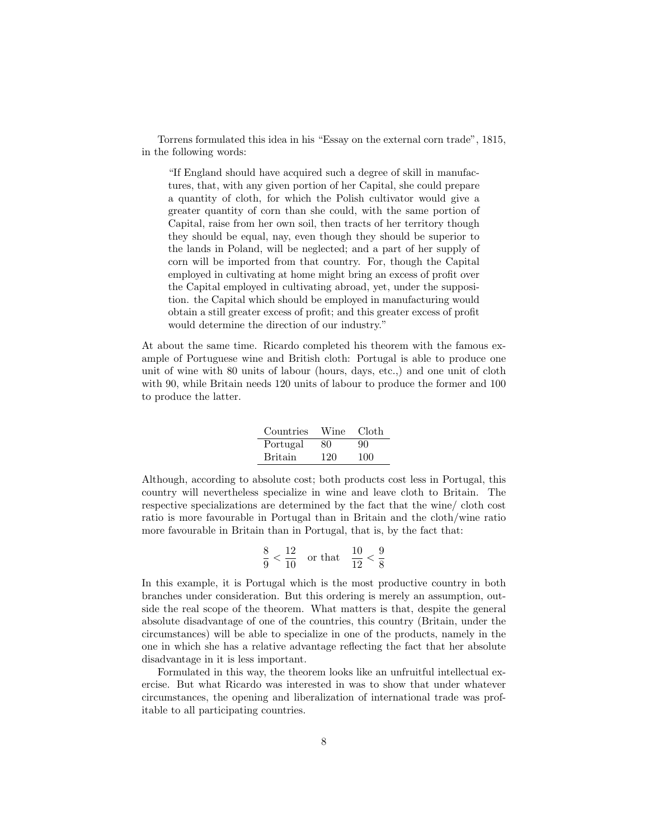Torrens formulated this idea in his "Essay on the external corn trade", 1815, in the following words:

"If England should have acquired such a degree of skill in manufactures, that, with any given portion of her Capital, she could prepare a quantity of cloth, for which the Polish cultivator would give a greater quantity of corn than she could, with the same portion of Capital, raise from her own soil, then tracts of her territory though they should be equal, nay, even though they should be superior to the lands in Poland, will be neglected; and a part of her supply of corn will be imported from that country. For, though the Capital employed in cultivating at home might bring an excess of profit over the Capital employed in cultivating abroad, yet, under the supposition. the Capital which should be employed in manufacturing would obtain a still greater excess of profit; and this greater excess of profit would determine the direction of our industry."

At about the same time. Ricardo completed his theorem with the famous example of Portuguese wine and British cloth: Portugal is able to produce one unit of wine with 80 units of labour (hours, days, etc.,) and one unit of cloth with 90, while Britain needs 120 units of labour to produce the former and 100 to produce the latter.

| Countries      | Wine | Cloth |
|----------------|------|-------|
| Portugal       | 80   | 90    |
| <b>Britain</b> | 120  | 100   |

Although, according to absolute cost; both products cost less in Portugal, this country will nevertheless specialize in wine and leave cloth to Britain. The respective specializations are determined by the fact that the wine/ cloth cost ratio is more favourable in Portugal than in Britain and the cloth/wine ratio more favourable in Britain than in Portugal, that is, by the fact that:

$$
\frac{8}{9} < \frac{12}{10} \quad \text{or that} \quad \frac{10}{12} < \frac{9}{8}
$$

In this example, it is Portugal which is the most productive country in both branches under consideration. But this ordering is merely an assumption, outside the real scope of the theorem. What matters is that, despite the general absolute disadvantage of one of the countries, this country (Britain, under the circumstances) will be able to specialize in one of the products, namely in the one in which she has a relative advantage reflecting the fact that her absolute disadvantage in it is less important.

Formulated in this way, the theorem looks like an unfruitful intellectual exercise. But what Ricardo was interested in was to show that under whatever circumstances, the opening and liberalization of international trade was profitable to all participating countries.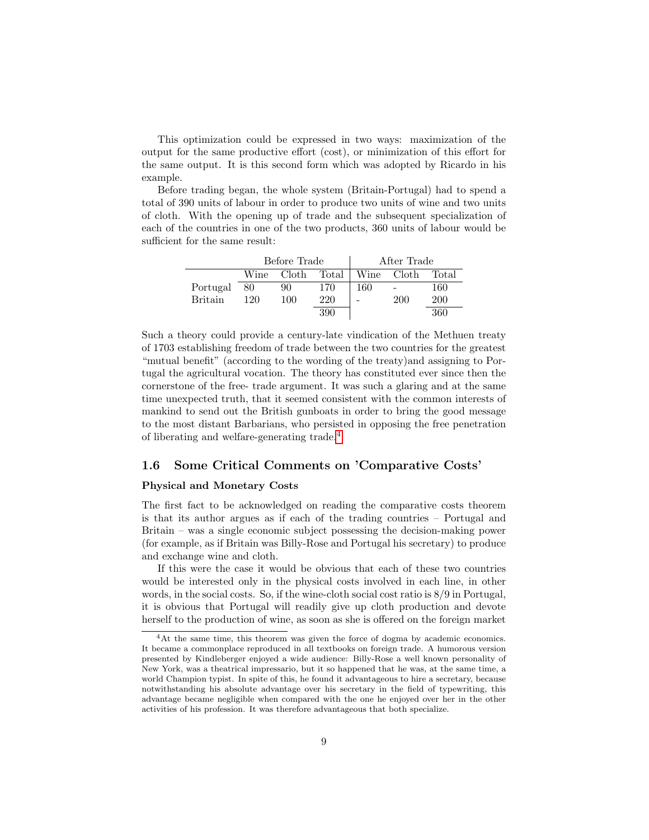This optimization could be expressed in two ways: maximization of the output for the same productive effort (cost), or minimization of this effort for the same output. It is this second form which was adopted by Ricardo in his example.

Before trading began, the whole system (Britain-Portugal) had to spend a total of 390 units of labour in order to produce two units of wine and two units of cloth. With the opening up of trade and the subsequent specialization of each of the countries in one of the two products, 360 units of labour would be sufficient for the same result:

|                |      | Before Trade |       |      | After Trade |       |
|----------------|------|--------------|-------|------|-------------|-------|
|                | Wine | Cloth        | Total | Wine | Cloth       | Total |
| Portugal       | 80   | 90           | 170   | 160  |             | 160   |
| <b>Britain</b> | 120  | 100          | 220   |      | 200         | 200   |
|                |      |              | 390   |      |             | 360   |

Such a theory could provide a century-late vindication of the Methuen treaty of 1703 establishing freedom of trade between the two countries for the greatest "mutual benefit" (according to the wording of the treaty)and assigning to Portugal the agricultural vocation. The theory has constituted ever since then the cornerstone of the free- trade argument. It was such a glaring and at the same time unexpected truth, that it seemed consistent with the common interests of mankind to send out the British gunboats in order to bring the good message to the most distant Barbarians, who persisted in opposing the free penetration of liberating and welfare-generating trade.[4](#page-0-0)

# <span id="page-8-0"></span>1.6 Some Critical Comments on 'Comparative Costs'

## Physical and Monetary Costs

The first fact to be acknowledged on reading the comparative costs theorem is that its author argues as if each of the trading countries – Portugal and Britain – was a single economic subject possessing the decision-making power (for example, as if Britain was Billy-Rose and Portugal his secretary) to produce and exchange wine and cloth.

If this were the case it would be obvious that each of these two countries would be interested only in the physical costs involved in each line, in other words, in the social costs. So, if the wine-cloth social cost ratio is 8/9 in Portugal, it is obvious that Portugal will readily give up cloth production and devote herself to the production of wine, as soon as she is offered on the foreign market

<sup>&</sup>lt;sup>4</sup>At the same time, this theorem was given the force of dogma by academic economics. It became a commonplace reproduced in all textbooks on foreign trade. A humorous version presented by Kindleberger enjoyed a wide audience: Billy-Rose a well known personality of New York, was a theatrical impressario, but it so happened that he was, at the same time, a world Champion typist. In spite of this, he found it advantageous to hire a secretary, because notwithstanding his absolute advantage over his secretary in the field of typewriting, this advantage became negligible when compared with the one he enjoyed over her in the other activities of his profession. It was therefore advantageous that both specialize.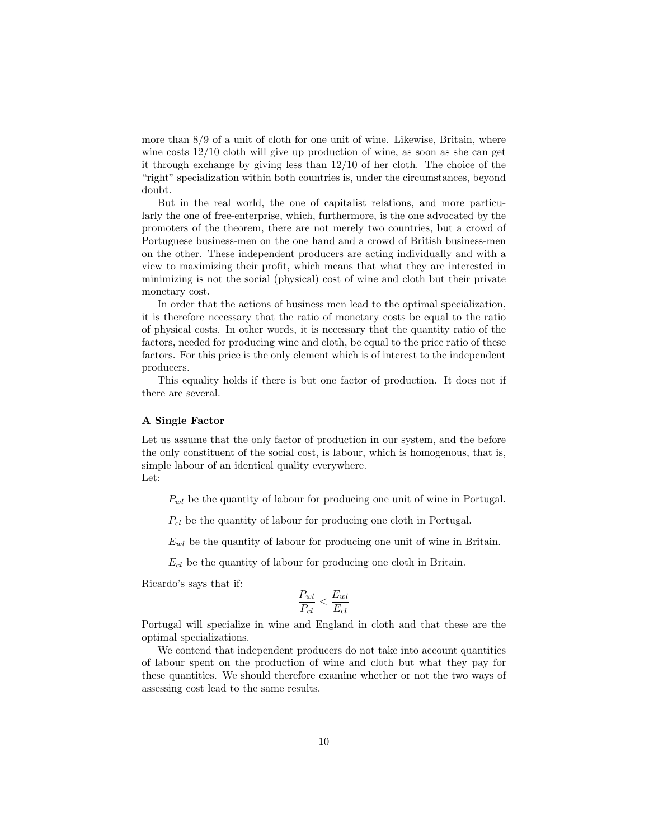more than 8/9 of a unit of cloth for one unit of wine. Likewise, Britain, where wine costs 12/10 cloth will give up production of wine, as soon as she can get it through exchange by giving less than 12/10 of her cloth. The choice of the "right" specialization within both countries is, under the circumstances, beyond doubt.

But in the real world, the one of capitalist relations, and more particularly the one of free-enterprise, which, furthermore, is the one advocated by the promoters of the theorem, there are not merely two countries, but a crowd of Portuguese business-men on the one hand and a crowd of British business-men on the other. These independent producers are acting individually and with a view to maximizing their profit, which means that what they are interested in minimizing is not the social (physical) cost of wine and cloth but their private monetary cost.

In order that the actions of business men lead to the optimal specialization, it is therefore necessary that the ratio of monetary costs be equal to the ratio of physical costs. In other words, it is necessary that the quantity ratio of the factors, needed for producing wine and cloth, be equal to the price ratio of these factors. For this price is the only element which is of interest to the independent producers.

This equality holds if there is but one factor of production. It does not if there are several.

#### A Single Factor

Let us assume that the only factor of production in our system, and the before the only constituent of the social cost, is labour, which is homogenous, that is, simple labour of an identical quality everywhere. Let:

 $P_{wl}$  be the quantity of labour for producing one unit of wine in Portugal.

 $P_{cl}$  be the quantity of labour for producing one cloth in Portugal.

 $E_{wl}$  be the quantity of labour for producing one unit of wine in Britain.

 $E_{cl}$  be the quantity of labour for producing one cloth in Britain.

Ricardo's says that if:

$$
\frac{P_{wl}}{P_{cl}} < \frac{E_{wl}}{E_{cl}}
$$

Portugal will specialize in wine and England in cloth and that these are the optimal specializations.

We contend that independent producers do not take into account quantities of labour spent on the production of wine and cloth but what they pay for these quantities. We should therefore examine whether or not the two ways of assessing cost lead to the same results.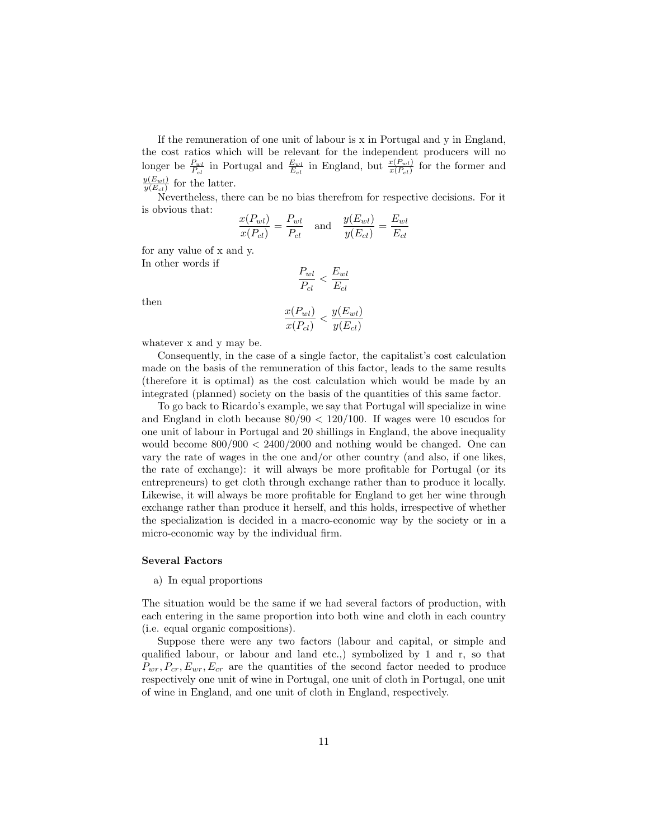If the remuneration of one unit of labour is x in Portugal and y in England, the cost ratios which will be relevant for the independent producers will no longer be  $\frac{P_{wl}}{P_{cl}}$  in Portugal and  $\frac{E_{wl}}{E_{cl}}$  in England, but  $\frac{x(P_{wl})}{x(P_{cl})}$  for the former and  $y(E_{wl})$  $\frac{y(E_{wl})}{y(E_{cl})}$  for the latter.

Nevertheless, there can be no bias therefrom for respective decisions. For it is obvious that:

$$
\frac{x(P_{wl})}{x(P_{cl})} = \frac{P_{wl}}{P_{cl}} \quad \text{and} \quad \frac{y(E_{wl})}{y(E_{cl})} = \frac{E_{wl}}{E_{cl}}
$$

for any value of x and y. In other words if

 $P_{wl}$  $\frac{P_{wl}}{P_{cl}} < \frac{E_{wl}}{E_{cl}}$  $E_{cl}$  $x(P_{wl})$  $\frac{x(P_{wl})}{x(P_{cl})} < \frac{y(E_{wl})}{y(E_{cl})}$  $y(E_{cl})$ 

then

$$
whatever x and y may be.
$$

Consequently, in the case of a single factor, the capitalist's cost calculation made on the basis of the remuneration of this factor, leads to the same results (therefore it is optimal) as the cost calculation which would be made by an integrated (planned) society on the basis of the quantities of this same factor.

To go back to Ricardo's example, we say that Portugal will specialize in wine and England in cloth because  $80/90 < 120/100$ . If wages were 10 escudos for one unit of labour in Portugal and 20 shillings in England, the above inequality would become  $800/900 < 2400/2000$  and nothing would be changed. One can vary the rate of wages in the one and/or other country (and also, if one likes, the rate of exchange): it will always be more profitable for Portugal (or its entrepreneurs) to get cloth through exchange rather than to produce it locally. Likewise, it will always be more profitable for England to get her wine through exchange rather than produce it herself, and this holds, irrespective of whether the specialization is decided in a macro-economic way by the society or in a micro-economic way by the individual firm.

### Several Factors

a) In equal proportions

The situation would be the same if we had several factors of production, with each entering in the same proportion into both wine and cloth in each country (i.e. equal organic compositions).

Suppose there were any two factors (labour and capital, or simple and qualified labour, or labour and land etc.,) symbolized by 1 and r, so that  $P_{wr}, P_{cr}, E_{wr}, E_{cr}$  are the quantities of the second factor needed to produce respectively one unit of wine in Portugal, one unit of cloth in Portugal, one unit of wine in England, and one unit of cloth in England, respectively.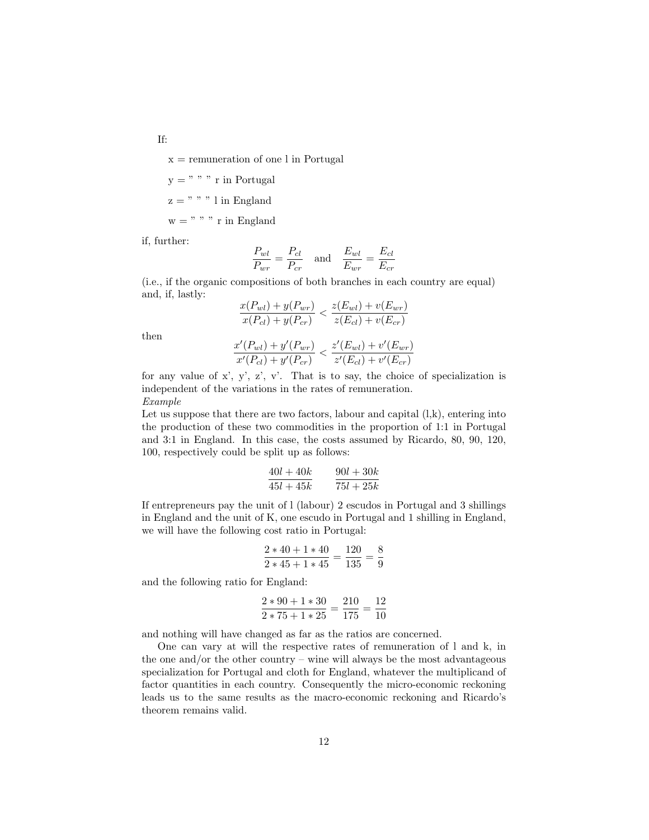If:

 $x =$  remuneration of one l in Portugal

$$
y = " " " r in Portugal
$$

$$
z =
$$
" " 1 in England

 $w = " " " r in England$ 

if, further:

$$
\frac{P_{wl}}{P_{wr}} = \frac{P_{cl}}{P_{cr}} \quad \text{and} \quad \frac{E_{wl}}{E_{wr}} = \frac{E_{cl}}{E_{cr}}
$$

(i.e., if the organic compositions of both branches in each country are equal) and, if, lastly:

$$
\frac{x(P_{wl}) + y(P_{wr})}{x(P_{cl}) + y(P_{cr})} < \frac{z(E_{wl}) + v(E_{wr})}{z(E_{cl}) + v(E_{cr})}
$$

then

$$
\frac{x'(P_{wl}) + y'(P_{wr})}{x'(P_{cl}) + y'(P_{cr})} < \frac{z'(E_{wl}) + v'(E_{wr})}{z'(E_{cl}) + v'(E_{cr})}
$$

for any value of  $x'$ ,  $y'$ ,  $z'$ ,  $v'$ . That is to say, the choice of specialization is independent of the variations in the rates of remuneration. Example

Let us suppose that there are two factors, labour and capital  $(l,k)$ , entering into the production of these two commodities in the proportion of 1:1 in Portugal and 3:1 in England. In this case, the costs assumed by Ricardo, 80, 90, 120, 100, respectively could be split up as follows:

$$
\frac{40l+40k}{45l+45k}\qquad \frac{90l+30k}{75l+25k}
$$

If entrepreneurs pay the unit of l (labour) 2 escudos in Portugal and 3 shillings in England and the unit of K, one escudo in Portugal and 1 shilling in England, we will have the following cost ratio in Portugal:

$$
\frac{2*40+1*40}{2*45+1*45} = \frac{120}{135} = \frac{8}{9}
$$

and the following ratio for England:

$$
\frac{2*90+1*30}{2*75+1*25} = \frac{210}{175} = \frac{12}{10}
$$

and nothing will have changed as far as the ratios are concerned.

One can vary at will the respective rates of remuneration of l and k, in the one and/or the other country – wine will always be the most advantageous specialization for Portugal and cloth for England, whatever the multiplicand of factor quantities in each country. Consequently the micro-economic reckoning leads us to the same results as the macro-economic reckoning and Ricardo's theorem remains valid.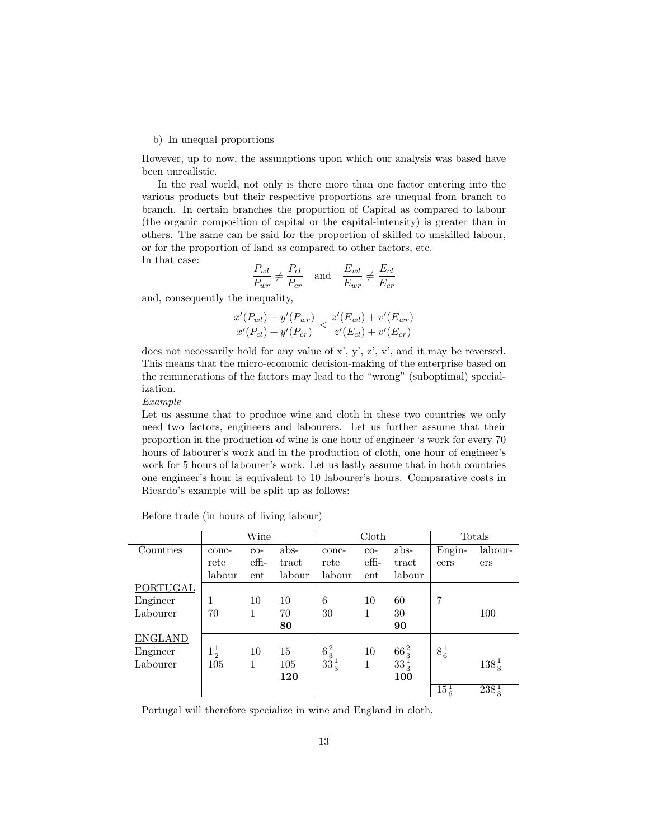### b) In unequal proportions

However, up to now, the assumptions upon which our analysis was based have been unrealistic.

In the real world, not only is there more than one factor entering into the various products but their respective proportions are unequal from branch to branch. In certain branches the proportion of Capital as compared to labour (the organic composition of capital or the capital-intensity) is greater than in others. The same can be said for the proportion of skilled to unskilled labour, or for the proportion of land as compared to other factors, etc. In that case:

$$
\frac{P_{wl}}{P_{wr}} \neq \frac{P_{cl}}{P_{cr}} \quad \text{and} \quad \frac{E_{wl}}{E_{wr}} \neq \frac{E_{cl}}{E_{cr}}
$$

and, consequently the inequality,

$$
\frac{x'(P_{wl}) + y'(P_{wr})}{x'(P_{cl}) + y'(P_{cr})} < \frac{z'(E_{wl}) + v'(E_{wr})}{z'(E_{cl}) + v'(E_{cr})}
$$

does not necessarily hold for any value of x', y', z', v', and it may be reversed. This means that the micro-economic decision-making of the enterprise based on the remunerations of the factors may lead to the "wrong" (suboptimal) specialization.

Example

Let us assume that to produce wine and cloth in these two countries we only need two factors, engineers and labourers. Let us further assume that their proportion in the production of wine is one hour of engineer 's work for every 70 hours of labourer's work and in the production of cloth, one hour of engineer's work for 5 hours of labourer's work. Let us lastly assume that in both countries one engineer's hour is equivalent to 10 labourer's hours. Comparative costs in Ricardo's example will be split up as follows:

|                | Wine           |              |        |                                   | Cloth            | Totals          |                 |                  |
|----------------|----------------|--------------|--------|-----------------------------------|------------------|-----------------|-----------------|------------------|
| Countries      | conc-          | $_{\rm CO-}$ | abs-   | conc-                             | $_{\rm CO-}$     | abs-            | Engin-          | labour-          |
|                | rete           | effi-        | tract  | rete                              | $\mathrm{eff}$ - | tract           | eers            | ers              |
|                | labour         | ent          | labour | labour                            | ent              | labour          |                 |                  |
| PORTUGAL       |                |              |        |                                   |                  |                 |                 |                  |
| Engineer       | 1              | 10           | 10     | 6                                 | 10               | 60              | 7               |                  |
| Labourer       | 70             | 1            | 70     | 30                                | 1                | 30              |                 | 100              |
|                |                |              | 80     |                                   |                  | 90              |                 |                  |
| <b>ENGLAND</b> |                |              |        |                                   |                  |                 |                 |                  |
| Engineer       | $1\frac{1}{2}$ | 10           | 15     | $6\frac{2}{3}$<br>$33\frac{1}{3}$ | 10               | $66\frac{2}{3}$ | $8\frac{1}{6}$  |                  |
| Labourer       | 105            | 1            | 105    |                                   | 1                | $33\frac{1}{3}$ |                 | $138\frac{1}{3}$ |
|                |                |              | 120    |                                   |                  | 100             |                 |                  |
|                |                |              |        |                                   |                  |                 | $15\frac{1}{6}$ | $238\frac{1}{3}$ |

Before trade (in hours of living labour)

Portugal will therefore specialize in wine and England in cloth.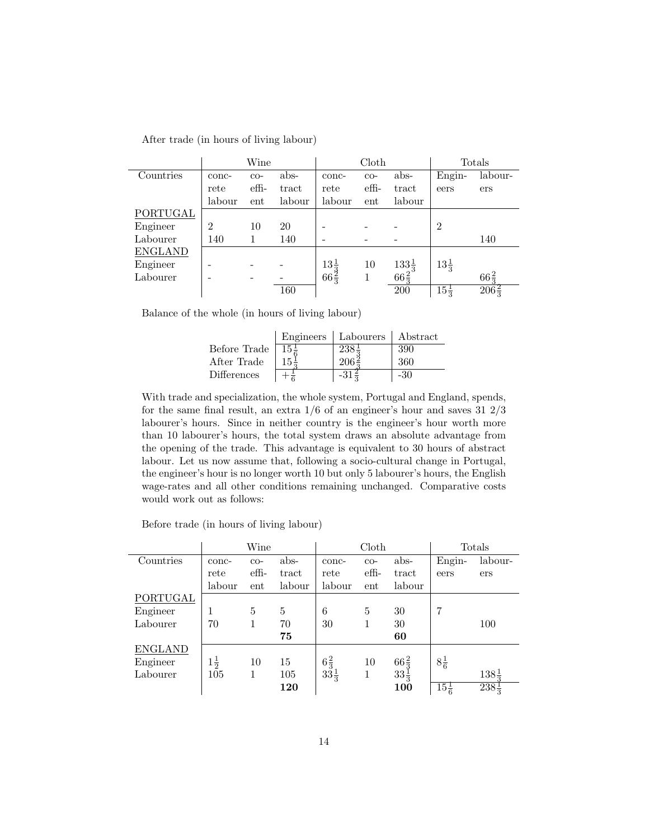| After trade (in hours of living labour) |  |  |  |  |  |  |
|-----------------------------------------|--|--|--|--|--|--|
|-----------------------------------------|--|--|--|--|--|--|

|                |                | Wine         |        |                 | Cloth |                                        |                 | Totals           |
|----------------|----------------|--------------|--------|-----------------|-------|----------------------------------------|-----------------|------------------|
| Countries      | conc-          | $_{\rm CO-}$ | abs-   | conc-           | $CO-$ | abs-                                   | Engin-          | labour-          |
|                | rete           | effi-        | tract  | rete            | effi- | tract                                  | eers            | ers              |
|                | labour         | ent          | labour | labour          | ent   | labour                                 |                 |                  |
| PORTUGAL       |                |              |        |                 |       |                                        |                 |                  |
| Engineer       | $\overline{2}$ | 10           | 20     |                 |       |                                        | $\overline{2}$  |                  |
| Labourer       | 140            |              | 140    |                 |       |                                        |                 | 140              |
| <b>ENGLAND</b> |                |              |        |                 |       |                                        |                 |                  |
| Engineer       |                |              |        | $13\frac{1}{2}$ | 10    |                                        | $13\frac{1}{2}$ |                  |
| Labourer       |                |              |        | $66\frac{3}{3}$ | 1     | $\frac{133\frac{1}{3}}{66\frac{2}{3}}$ |                 | $66\frac{2}{2}$  |
|                |                |              | 160    |                 |       | 200                                    | $15\frac{1}{2}$ | $206\frac{2}{5}$ |

Balance of the whole (in hours of living labour)

|              |                 | Engineers   Labourers   Abstract |       |
|--------------|-----------------|----------------------------------|-------|
| Before Trade | $15\frac{1}{2}$ | $238\frac{1}{2}$                 | 390   |
| After Trade  |                 | $206\frac{2}{3}$                 | 360   |
| Differences  |                 | $-31\frac{2}{5}$                 | $-30$ |

With trade and specialization, the whole system, Portugal and England, spends, for the same final result, an extra  $1/6$  of an engineer's hour and saves  $31\ 2/3$ labourer's hours. Since in neither country is the engineer's hour worth more than 10 labourer's hours, the total system draws an absolute advantage from the opening of the trade. This advantage is equivalent to 30 hours of abstract labour. Let us now assume that, following a socio-cultural change in Portugal, the engineer's hour is no longer worth 10 but only 5 labourer's hours, the English wage-rates and all other conditions remaining unchanged. Comparative costs would work out as follows:

Before trade (in hours of living labour)

|                |                | Wine  |        |                 | Cloth        |                 |                 | Totals                  |
|----------------|----------------|-------|--------|-----------------|--------------|-----------------|-----------------|-------------------------|
| Countries      | conc-          | $CO-$ | abs-   | conc-           | $_{\rm CO-}$ | abs-            | Engin-          | labour-                 |
|                | rete           | effi- | tract  | rete            | effi-        | tract           | eers            | ers                     |
|                | labour         | ent   | labour | labour          | ent          | labour          |                 |                         |
| PORTUGAL       |                |       |        |                 |              |                 |                 |                         |
| Engineer       | 1              | 5     | 5      | 6               | 5            | 30              | 7               |                         |
| Labourer       | 70             | 1     | 70     | 30              | 1            | 30              |                 | 100                     |
|                |                |       | 75     |                 |              | 60              |                 |                         |
| <b>ENGLAND</b> |                |       |        |                 |              |                 |                 |                         |
| Engineer       | $1\frac{1}{2}$ | 10    | 15     | $6\frac{2}{3}$  | 10           | $66\frac{2}{3}$ | $8\frac{1}{6}$  |                         |
| Labourer       | 105            |       | 105    | $33\frac{1}{3}$ | 1            | $33\frac{1}{3}$ |                 | $138\frac{1}{2}$        |
|                |                |       | 120    |                 |              | 100             | $15\frac{1}{6}$ | $\sqrt{238\frac{1}{3}}$ |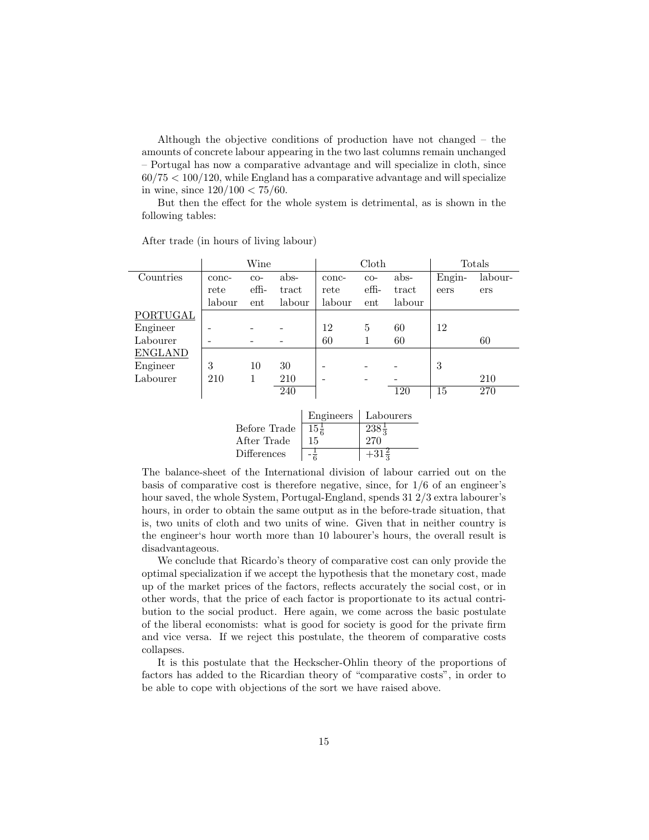Although the objective conditions of production have not changed – the amounts of concrete labour appearing in the two last columns remain unchanged – Portugal has now a comparative advantage and will specialize in cloth, since  $60/75 < 100/120$ , while England has a comparative advantage and will specialize in wine, since  $120/100 < 75/60$ .

But then the effect for the whole system is detrimental, as is shown in the following tables:

|                | Wine         |                |        |                 | Cloth                   | Totals    |        |         |
|----------------|--------------|----------------|--------|-----------------|-------------------------|-----------|--------|---------|
| Countries      | conc-        | $CO-$          | abs-   | conc-           | $_{\rm CO-}$            | abs-      | Engin- | labour- |
|                | rete         | $\mathrm{eff}$ | tract  | rete            | $\mathrm{eff}$          | tract     | eers   | ers     |
|                | labour       | ent            | labour | labour          | ent                     | labour    |        |         |
| PORTUGAL       |              |                |        |                 |                         |           |        |         |
| Engineer       |              |                |        | 12              | 5                       | 60        | 12     |         |
| Labourer       |              |                |        | 60              | 1                       | 60        |        | 60      |
| <b>ENGLAND</b> |              |                |        |                 |                         |           |        |         |
| Engineer       | 3            | 10             | 30     |                 |                         |           | 3      |         |
| Labourer       | 210          | 1              | 210    |                 |                         |           |        | 210     |
|                |              |                | 240    |                 |                         | 120       | 15     | 270     |
|                |              |                |        |                 |                         |           |        |         |
|                |              |                |        | Engineers       |                         | Labourers |        |         |
|                | Before Trade |                |        | $15\frac{1}{6}$ | $\sqrt{238\frac{1}{3}}$ |           |        |         |
|                |              | After Trade    |        | 15              | 270                     |           |        |         |

After trade (in hours of living labour)

The balance-sheet of the International division of labour carried out on the basis of comparative cost is therefore negative, since, for 1/6 of an engineer's hour saved, the whole System, Portugal-England, spends 31 2/3 extra labourer's hours, in order to obtain the same output as in the before-trade situation, that is, two units of cloth and two units of wine. Given that in neither country is the engineer's hour worth more than 10 labourer's hours, the overall result is disadvantageous.

Differences  $\frac{1}{6}$   $\frac{1}{6}$   $\frac{1}{3}$ 

We conclude that Ricardo's theory of comparative cost can only provide the optimal specialization if we accept the hypothesis that the monetary cost, made up of the market prices of the factors, reflects accurately the social cost, or in other words, that the price of each factor is proportionate to its actual contribution to the social product. Here again, we come across the basic postulate of the liberal economists: what is good for society is good for the private firm and vice versa. If we reject this postulate, the theorem of comparative costs collapses.

It is this postulate that the Heckscher-Ohlin theory of the proportions of factors has added to the Ricardian theory of "comparative costs", in order to be able to cope with objections of the sort we have raised above.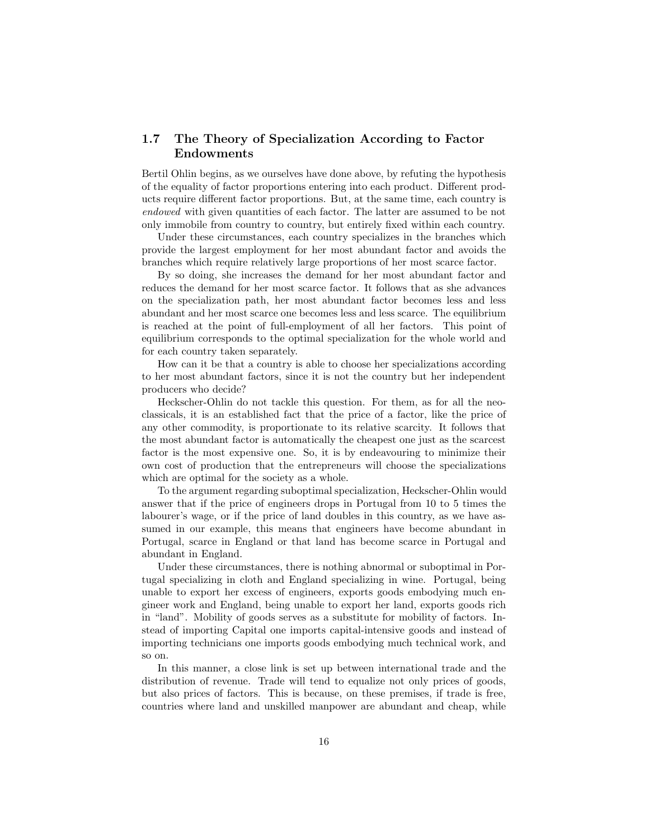# <span id="page-15-0"></span>1.7 The Theory of Specialization According to Factor Endowments

Bertil Ohlin begins, as we ourselves have done above, by refuting the hypothesis of the equality of factor proportions entering into each product. Different products require different factor proportions. But, at the same time, each country is endowed with given quantities of each factor. The latter are assumed to be not only immobile from country to country, but entirely fixed within each country.

Under these circumstances, each country specializes in the branches which provide the largest employment for her most abundant factor and avoids the branches which require relatively large proportions of her most scarce factor.

By so doing, she increases the demand for her most abundant factor and reduces the demand for her most scarce factor. It follows that as she advances on the specialization path, her most abundant factor becomes less and less abundant and her most scarce one becomes less and less scarce. The equilibrium is reached at the point of full-employment of all her factors. This point of equilibrium corresponds to the optimal specialization for the whole world and for each country taken separately.

How can it be that a country is able to choose her specializations according to her most abundant factors, since it is not the country but her independent producers who decide?

Heckscher-Ohlin do not tackle this question. For them, as for all the neoclassicals, it is an established fact that the price of a factor, like the price of any other commodity, is proportionate to its relative scarcity. It follows that the most abundant factor is automatically the cheapest one just as the scarcest factor is the most expensive one. So, it is by endeavouring to minimize their own cost of production that the entrepreneurs will choose the specializations which are optimal for the society as a whole.

To the argument regarding suboptimal specialization, Heckscher-Ohlin would answer that if the price of engineers drops in Portugal from 10 to 5 times the labourer's wage, or if the price of land doubles in this country, as we have assumed in our example, this means that engineers have become abundant in Portugal, scarce in England or that land has become scarce in Portugal and abundant in England.

Under these circumstances, there is nothing abnormal or suboptimal in Portugal specializing in cloth and England specializing in wine. Portugal, being unable to export her excess of engineers, exports goods embodying much engineer work and England, being unable to export her land, exports goods rich in "land". Mobility of goods serves as a substitute for mobility of factors. Instead of importing Capital one imports capital-intensive goods and instead of importing technicians one imports goods embodying much technical work, and so on.

In this manner, a close link is set up between international trade and the distribution of revenue. Trade will tend to equalize not only prices of goods, but also prices of factors. This is because, on these premises, if trade is free, countries where land and unskilled manpower are abundant and cheap, while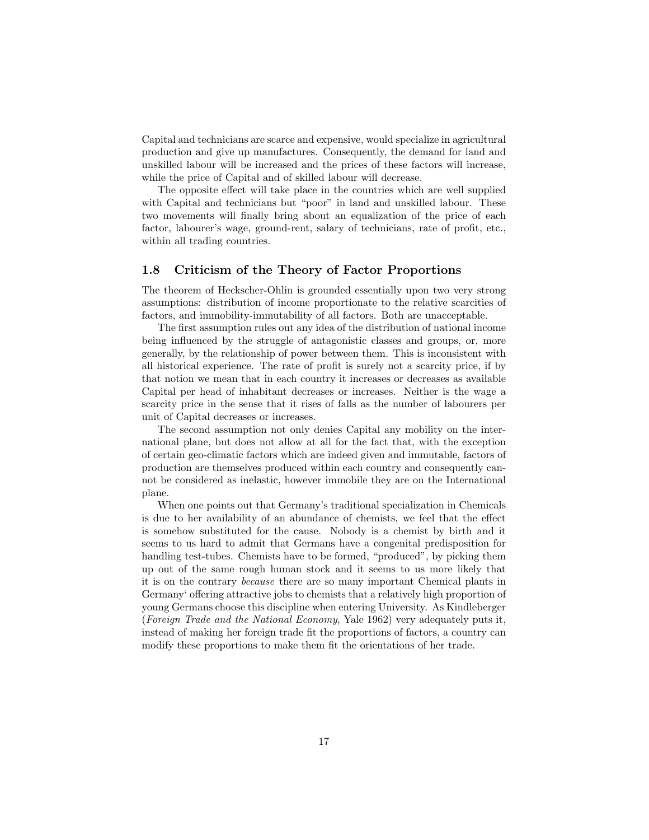Capital and technicians are scarce and expensive, would specialize in agricultural production and give up manufactures. Consequently, the demand for land and unskilled labour will be increased and the prices of these factors will increase, while the price of Capital and of skilled labour will decrease.

The opposite effect will take place in the countries which are well supplied with Capital and technicians but "poor" in land and unskilled labour. These two movements will finally bring about an equalization of the price of each factor, labourer's wage, ground-rent, salary of technicians, rate of profit, etc., within all trading countries.

## <span id="page-16-0"></span>1.8 Criticism of the Theory of Factor Proportions

The theorem of Heckscher-Ohlin is grounded essentially upon two very strong assumptions: distribution of income proportionate to the relative scarcities of factors, and immobility-immutability of all factors. Both are unacceptable.

The first assumption rules out any idea of the distribution of national income being influenced by the struggle of antagonistic classes and groups, or, more generally, by the relationship of power between them. This is inconsistent with all historical experience. The rate of profit is surely not a scarcity price, if by that notion we mean that in each country it increases or decreases as available Capital per head of inhabitant decreases or increases. Neither is the wage a scarcity price in the sense that it rises of falls as the number of labourers per unit of Capital decreases or increases.

The second assumption not only denies Capital any mobility on the international plane, but does not allow at all for the fact that, with the exception of certain geo-climatic factors which are indeed given and immutable, factors of production are themselves produced within each country and consequently cannot be considered as inelastic, however immobile they are on the International plane.

When one points out that Germany's traditional specialization in Chemicals is due to her availability of an abundance of chemists, we feel that the effect is somehow substituted for the cause. Nobody is a chemist by birth and it seems to us hard to admit that Germans have a congenital predisposition for handling test-tubes. Chemists have to be formed, "produced", by picking them up out of the same rough human stock and it seems to us more likely that it is on the contrary because there are so many important Chemical plants in Germany' offering attractive jobs to chemists that a relatively high proportion of young Germans choose this discipline when entering University. As Kindleberger (Foreign Trade and the National Economy, Yale 1962) very adequately puts it, instead of making her foreign trade fit the proportions of factors, a country can modify these proportions to make them fit the orientations of her trade.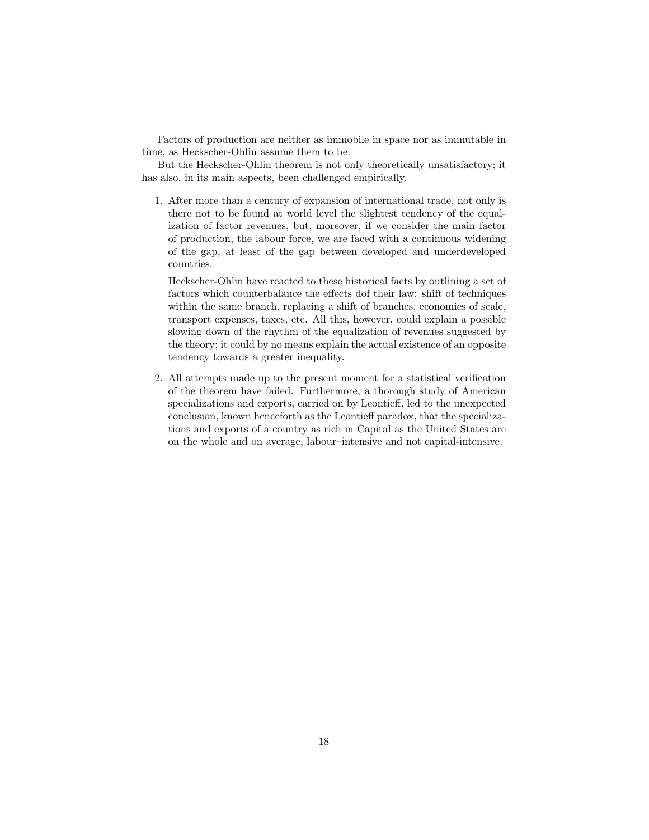Factors of production are neither as immobile in space nor as immutable in time, as Heckscher-Ohlin assume them to be.

But the Heckscher-Ohlin theorem is not only theoretically unsatisfactory; it has also, in its main aspects, been challenged empirically.

1. After more than a century of expansion of international trade, not only is there not to be found at world level the slightest tendency of the equalization of factor revenues, but, moreover, if we consider the main factor of production, the labour force, we are faced with a continuous widening of the gap, at least of the gap between developed and underdeveloped countries.

Heckscher-Ohlin have reacted to these historical facts by outlining a set of factors which counterbalance the effects dof their law: shift of techniques within the same branch, replacing a shift of branches, economies of scale, transport expenses, taxes, etc. All this, however, could explain a possible slowing down of the rhythm of the equalization of revenues suggested by the theory; it could by no means explain the actual existence of an opposite tendency towards a greater inequality.

2. All attempts made up to the present moment for a statistical verification of the theorem have failed. Furthermore, a thorough study of American specializations and exports, carried on by Leontieff, led to the unexpected conclusion, known henceforth as the Leontieff paradox, that the specializations and exports of a country as rich in Capital as the United States are on the whole and on average, labour–intensive and not capital-intensive.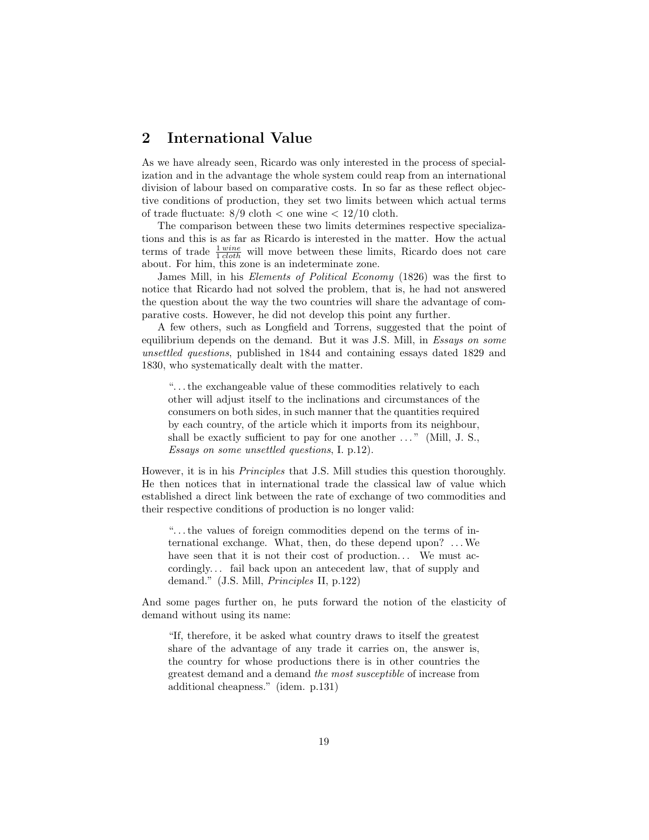# <span id="page-18-0"></span>2 International Value

As we have already seen, Ricardo was only interested in the process of specialization and in the advantage the whole system could reap from an international division of labour based on comparative costs. In so far as these reflect objective conditions of production, they set two limits between which actual terms of trade fluctuate:  $8/9$  cloth  $\lt$  one wine  $\lt$  12/10 cloth.

The comparison between these two limits determines respective specializations and this is as far as Ricardo is interested in the matter. How the actual terms of trade  $\frac{1 \text{ wine}}{1 \text{ cloth}}$  will move between these limits, Ricardo does not care about. For him, this zone is an indeterminate zone.

James Mill, in his Elements of Political Economy (1826) was the first to notice that Ricardo had not solved the problem, that is, he had not answered the question about the way the two countries will share the advantage of comparative costs. However, he did not develop this point any further.

A few others, such as Longfield and Torrens, suggested that the point of equilibrium depends on the demand. But it was J.S. Mill, in Essays on some unsettled questions, published in 1844 and containing essays dated 1829 and 1830, who systematically dealt with the matter.

". . . the exchangeable value of these commodities relatively to each other will adjust itself to the inclinations and circumstances of the consumers on both sides, in such manner that the quantities required by each country, of the article which it imports from its neighbour, shall be exactly sufficient to pay for one another  $\dots$ ." (Mill, J. S., Essays on some unsettled questions, I. p.12).

However, it is in his Principles that J.S. Mill studies this question thoroughly. He then notices that in international trade the classical law of value which established a direct link between the rate of exchange of two commodities and their respective conditions of production is no longer valid:

". . . the values of foreign commodities depend on the terms of international exchange. What, then, do these depend upon? . . .We have seen that it is not their cost of production... We must accordingly. . . fail back upon an antecedent law, that of supply and demand." (J.S. Mill, Principles II, p.122)

And some pages further on, he puts forward the notion of the elasticity of demand without using its name:

"If, therefore, it be asked what country draws to itself the greatest share of the advantage of any trade it carries on, the answer is, the country for whose productions there is in other countries the greatest demand and a demand the most susceptible of increase from additional cheapness." (idem. p.131)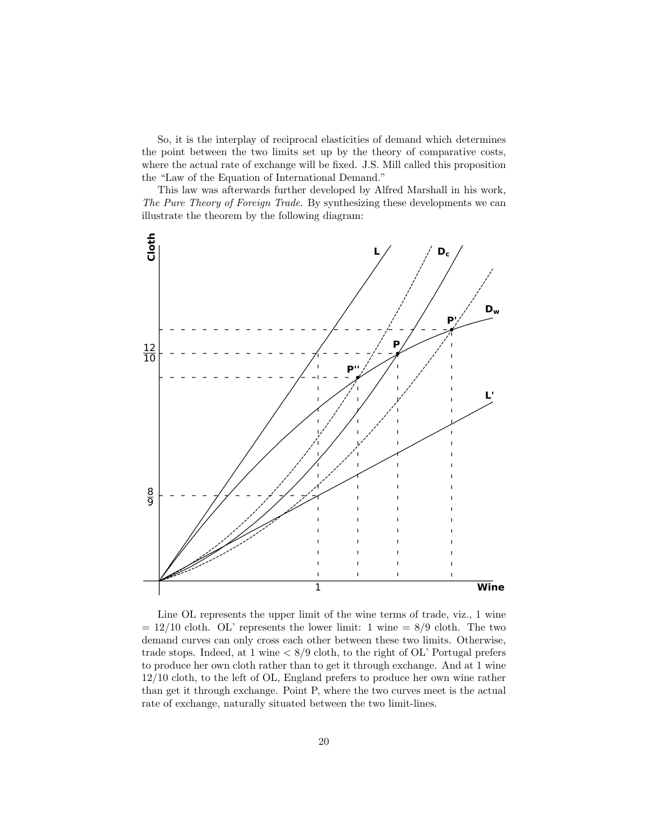So, it is the interplay of reciprocal elasticities of demand which determines the point between the two limits set up by the theory of comparative costs, where the actual rate of exchange will be fixed. J.S. Mill called this proposition the "Law of the Equation of International Demand."

This law was afterwards further developed by Alfred Marshall in his work, The Pure Theory of Foreign Trade. By synthesizing these developments we can illustrate the theorem by the following diagram:



Line OL represents the upper limit of the wine terms of trade, viz., 1 wine  $= 12/10$  cloth. OL' represents the lower limit: 1 wine  $= 8/9$  cloth. The two demand curves can only cross each other between these two limits. Otherwise, trade stops. Indeed, at 1 wine  $\langle 8/9 \text{ cloth}, \text{ to the right of OL'}$  Portugal prefers to produce her own cloth rather than to get it through exchange. And at 1 wine 12/10 cloth, to the left of OL, England prefers to produce her own wine rather than get it through exchange. Point P, where the two curves meet is the actual rate of exchange, naturally situated between the two limit-lines.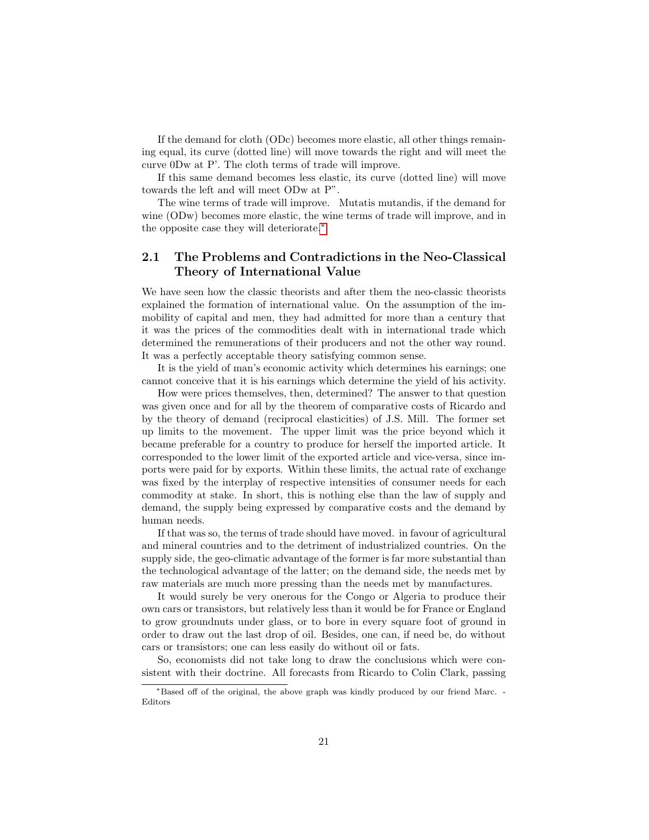If the demand for cloth (ODc) becomes more elastic, all other things remaining equal, its curve (dotted line) will move towards the right and will meet the curve 0Dw at P'. The cloth terms of trade will improve.

If this same demand becomes less elastic, its curve (dotted line) will move towards the left and will meet ODw at P".

The wine terms of trade will improve. Mutatis mutandis, if the demand for wine (ODw) becomes more elastic, the wine terms of trade will improve, and in the opposite case they will deteriorate.[∗](#page-0-0)

# <span id="page-20-0"></span>2.1 The Problems and Contradictions in the Neo-Classical Theory of International Value

We have seen how the classic theorists and after them the neo-classic theorists explained the formation of international value. On the assumption of the immobility of capital and men, they had admitted for more than a century that it was the prices of the commodities dealt with in international trade which determined the remunerations of their producers and not the other way round. It was a perfectly acceptable theory satisfying common sense.

It is the yield of man's economic activity which determines his earnings; one cannot conceive that it is his earnings which determine the yield of his activity.

How were prices themselves, then, determined? The answer to that question was given once and for all by the theorem of comparative costs of Ricardo and by the theory of demand (reciprocal elasticities) of J.S. Mill. The former set up limits to the movement. The upper limit was the price beyond which it became preferable for a country to produce for herself the imported article. It corresponded to the lower limit of the exported article and vice-versa, since imports were paid for by exports. Within these limits, the actual rate of exchange was fixed by the interplay of respective intensities of consumer needs for each commodity at stake. In short, this is nothing else than the law of supply and demand, the supply being expressed by comparative costs and the demand by human needs.

If that was so, the terms of trade should have moved. in favour of agricultural and mineral countries and to the detriment of industrialized countries. On the supply side, the geo-climatic advantage of the former is far more substantial than the technological advantage of the latter; on the demand side, the needs met by raw materials are much more pressing than the needs met by manufactures.

It would surely be very onerous for the Congo or Algeria to produce their own cars or transistors, but relatively less than it would be for France or England to grow groundnuts under glass, or to bore in every square foot of ground in order to draw out the last drop of oil. Besides, one can, if need be, do without cars or transistors; one can less easily do without oil or fats.

So, economists did not take long to draw the conclusions which were consistent with their doctrine. All forecasts from Ricardo to Colin Clark, passing

<sup>∗</sup>Based off of the original, the above graph was kindly produced by our friend Marc. - Editors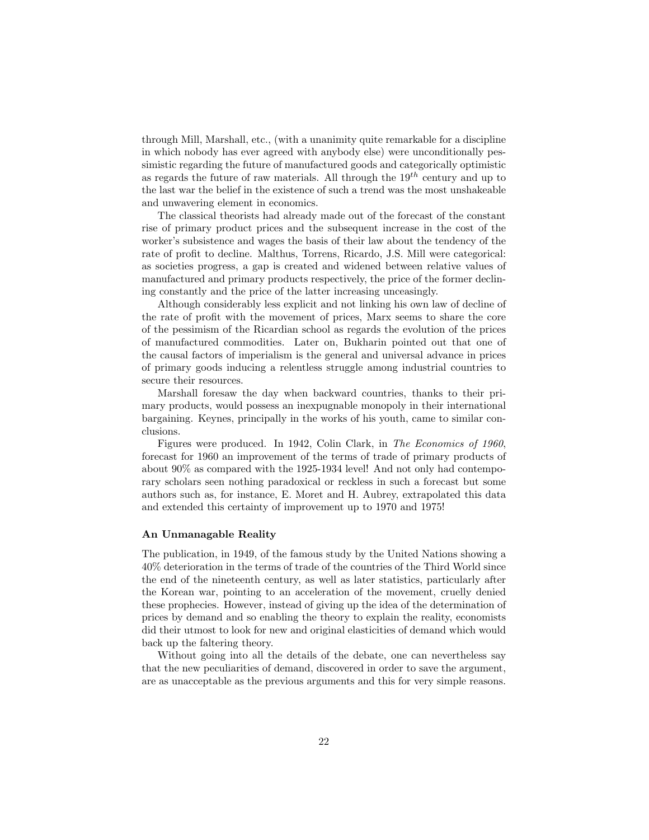through Mill, Marshall, etc., (with a unanimity quite remarkable for a discipline in which nobody has ever agreed with anybody else) were unconditionally pessimistic regarding the future of manufactured goods and categorically optimistic as regards the future of raw materials. All through the  $19^{th}$  century and up to the last war the belief in the existence of such a trend was the most unshakeable and unwavering element in economics.

The classical theorists had already made out of the forecast of the constant rise of primary product prices and the subsequent increase in the cost of the worker's subsistence and wages the basis of their law about the tendency of the rate of profit to decline. Malthus, Torrens, Ricardo, J.S. Mill were categorical: as societies progress, a gap is created and widened between relative values of manufactured and primary products respectively, the price of the former declining constantly and the price of the latter increasing unceasingly.

Although considerably less explicit and not linking his own law of decline of the rate of profit with the movement of prices, Marx seems to share the core of the pessimism of the Ricardian school as regards the evolution of the prices of manufactured commodities. Later on, Bukharin pointed out that one of the causal factors of imperialism is the general and universal advance in prices of primary goods inducing a relentless struggle among industrial countries to secure their resources.

Marshall foresaw the day when backward countries, thanks to their primary products, would possess an inexpugnable monopoly in their international bargaining. Keynes, principally in the works of his youth, came to similar conclusions.

Figures were produced. In 1942, Colin Clark, in The Economics of 1960, forecast for 1960 an improvement of the terms of trade of primary products of about 90% as compared with the 1925-1934 level! And not only had contemporary scholars seen nothing paradoxical or reckless in such a forecast but some authors such as, for instance, E. Moret and H. Aubrey, extrapolated this data and extended this certainty of improvement up to 1970 and 1975!

#### An Unmanagable Reality

The publication, in 1949, of the famous study by the United Nations showing a 40% deterioration in the terms of trade of the countries of the Third World since the end of the nineteenth century, as well as later statistics, particularly after the Korean war, pointing to an acceleration of the movement, cruelly denied these prophecies. However, instead of giving up the idea of the determination of prices by demand and so enabling the theory to explain the reality, economists did their utmost to look for new and original elasticities of demand which would back up the faltering theory.

Without going into all the details of the debate, one can nevertheless say that the new peculiarities of demand, discovered in order to save the argument, are as unacceptable as the previous arguments and this for very simple reasons.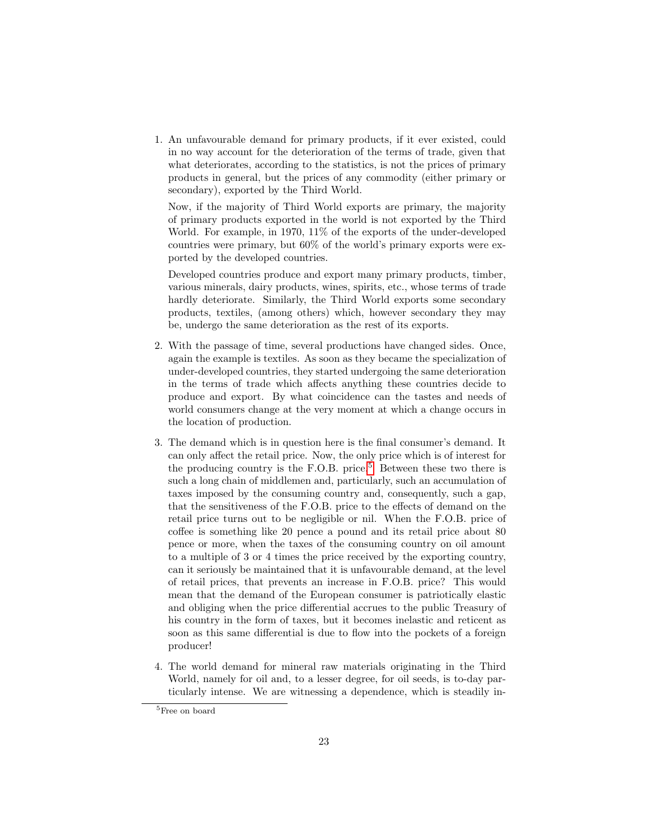1. An unfavourable demand for primary products, if it ever existed, could in no way account for the deterioration of the terms of trade, given that what deteriorates, according to the statistics, is not the prices of primary products in general, but the prices of any commodity (either primary or secondary), exported by the Third World.

Now, if the majority of Third World exports are primary, the majority of primary products exported in the world is not exported by the Third World. For example, in 1970, 11% of the exports of the under-developed countries were primary, but 60% of the world's primary exports were exported by the developed countries.

Developed countries produce and export many primary products, timber, various minerals, dairy products, wines, spirits, etc., whose terms of trade hardly deteriorate. Similarly, the Third World exports some secondary products, textiles, (among others) which, however secondary they may be, undergo the same deterioration as the rest of its exports.

- 2. With the passage of time, several productions have changed sides. Once, again the example is textiles. As soon as they became the specialization of under-developed countries, they started undergoing the same deterioration in the terms of trade which affects anything these countries decide to produce and export. By what coincidence can the tastes and needs of world consumers change at the very moment at which a change occurs in the location of production.
- 3. The demand which is in question here is the final consumer's demand. It can only affect the retail price. Now, the only price which is of interest for the producing country is the F.O.B. price.<sup>[5](#page-0-0)</sup> Between these two there is such a long chain of middlemen and, particularly, such an accumulation of taxes imposed by the consuming country and, consequently, such a gap, that the sensitiveness of the F.O.B. price to the effects of demand on the retail price turns out to be negligible or nil. When the F.O.B. price of coffee is something like 20 pence a pound and its retail price about 80 pence or more, when the taxes of the consuming country on oil amount to a multiple of 3 or 4 times the price received by the exporting country, can it seriously be maintained that it is unfavourable demand, at the level of retail prices, that prevents an increase in F.O.B. price? This would mean that the demand of the European consumer is patriotically elastic and obliging when the price differential accrues to the public Treasury of his country in the form of taxes, but it becomes inelastic and reticent as soon as this same differential is due to flow into the pockets of a foreign producer!
- 4. The world demand for mineral raw materials originating in the Third World, namely for oil and, to a lesser degree, for oil seeds, is to-day particularly intense. We are witnessing a dependence, which is steadily in-

 $^5\rm{Free}$  on board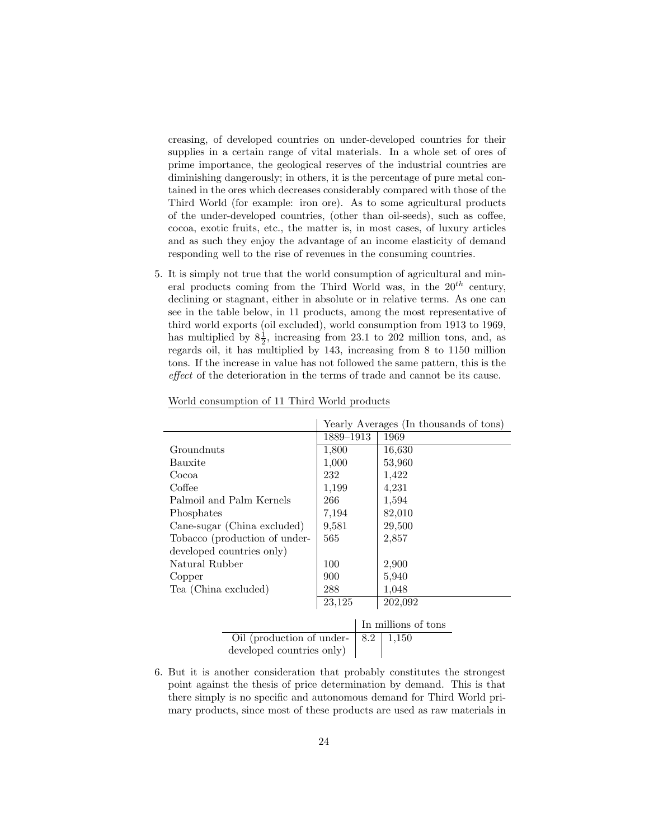creasing, of developed countries on under-developed countries for their supplies in a certain range of vital materials. In a whole set of ores of prime importance, the geological reserves of the industrial countries are diminishing dangerously; in others, it is the percentage of pure metal contained in the ores which decreases considerably compared with those of the Third World (for example: iron ore). As to some agricultural products of the under-developed countries, (other than oil-seeds), such as coffee, cocoa, exotic fruits, etc., the matter is, in most cases, of luxury articles and as such they enjoy the advantage of an income elasticity of demand responding well to the rise of revenues in the consuming countries.

5. It is simply not true that the world consumption of agricultural and mineral products coming from the Third World was, in the  $20^{th}$  century, declining or stagnant, either in absolute or in relative terms. As one can see in the table below, in 11 products, among the most representative of third world exports (oil excluded), world consumption from 1913 to 1969, has multiplied by  $8\frac{1}{2}$ , increasing from 23.1 to 202 million tons, and, as regards oil, it has multiplied by 143, increasing from 8 to 1150 million tons. If the increase in value has not followed the same pattern, this is the effect of the deterioration in the terms of trade and cannot be its cause.

|                               | Yearly Averages (In thousands of tons) |     |                     |  |  |
|-------------------------------|----------------------------------------|-----|---------------------|--|--|
|                               | 1889-1913                              |     | 1969                |  |  |
| Groundnuts                    | 1,800                                  |     | 16,630              |  |  |
| Bauxite                       | 1,000                                  |     | 53,960              |  |  |
| Cocoa                         | 232                                    |     | 1,422               |  |  |
| Coffee                        | 1,199                                  |     | 4,231               |  |  |
| Palmoil and Palm Kernels      | 266                                    |     | 1,594               |  |  |
| Phosphates                    | 7,194                                  |     | 82,010              |  |  |
| Cane-sugar (China excluded)   | 9,581                                  |     | 29,500              |  |  |
| Tobacco (production of under- | 565                                    |     | 2,857               |  |  |
| developed countries only)     |                                        |     |                     |  |  |
| Natural Rubber                | 100                                    |     | 2,900               |  |  |
| Copper                        | 900                                    |     | 5,940               |  |  |
| Tea (China excluded)          | 288                                    |     | 1,048               |  |  |
|                               | 23,125                                 |     | 202,092             |  |  |
|                               |                                        |     |                     |  |  |
|                               |                                        |     | In millions of tons |  |  |
| Oil (production of under-     |                                        | 8.2 | 1,150               |  |  |

World consumption of 11 Third World products

6. But it is another consideration that probably constitutes the strongest point against the thesis of price determination by demand. This is that there simply is no specific and autonomous demand for Third World primary products, since most of these products are used as raw materials in

developed countries only)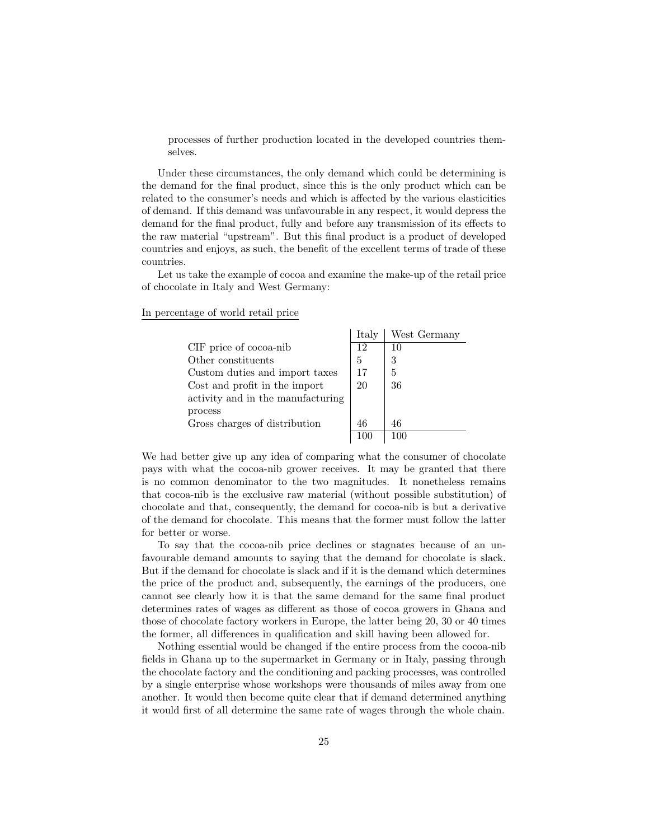processes of further production located in the developed countries themselves.

Under these circumstances, the only demand which could be determining is the demand for the final product, since this is the only product which can be related to the consumer's needs and which is affected by the various elasticities of demand. If this demand was unfavourable in any respect, it would depress the demand for the final product, fully and before any transmission of its effects to the raw material "upstream". But this final product is a product of developed countries and enjoys, as such, the benefit of the excellent terms of trade of these countries.

Let us take the example of cocoa and examine the make-up of the retail price of chocolate in Italy and West Germany:

It is  $\frac{1}{2}$ 

In percentage of world retail price

|                                   | Italy | West Germany |
|-----------------------------------|-------|--------------|
| CIF price of cocoa-nib            | 12    | 10           |
| Other constituents                | 5     | 3            |
| Custom duties and import taxes    | 17    | 5            |
| Cost and profit in the import     | 20    | 36           |
| activity and in the manufacturing |       |              |
| process                           |       |              |
| Gross charges of distribution     | 46    | 46           |
|                                   |       |              |
|                                   |       |              |

We had better give up any idea of comparing what the consumer of chocolate pays with what the cocoa-nib grower receives. It may be granted that there is no common denominator to the two magnitudes. It nonetheless remains that cocoa-nib is the exclusive raw material (without possible substitution) of chocolate and that, consequently, the demand for cocoa-nib is but a derivative of the demand for chocolate. This means that the former must follow the latter for better or worse.

To say that the cocoa-nib price declines or stagnates because of an unfavourable demand amounts to saying that the demand for chocolate is slack. But if the demand for chocolate is slack and if it is the demand which determines the price of the product and, subsequently, the earnings of the producers, one cannot see clearly how it is that the same demand for the same final product determines rates of wages as different as those of cocoa growers in Ghana and those of chocolate factory workers in Europe, the latter being 20, 30 or 40 times the former, all differences in qualification and skill having been allowed for.

Nothing essential would be changed if the entire process from the cocoa-nib fields in Ghana up to the supermarket in Germany or in Italy, passing through the chocolate factory and the conditioning and packing processes, was controlled by a single enterprise whose workshops were thousands of miles away from one another. It would then become quite clear that if demand determined anything it would first of all determine the same rate of wages through the whole chain.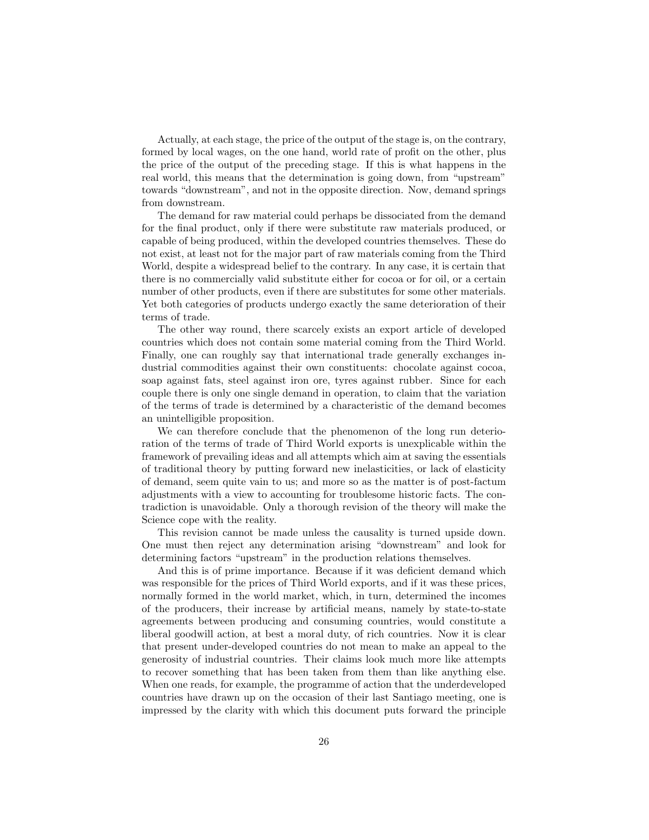Actually, at each stage, the price of the output of the stage is, on the contrary, formed by local wages, on the one hand, world rate of profit on the other, plus the price of the output of the preceding stage. If this is what happens in the real world, this means that the determination is going down, from "upstream" towards "downstream", and not in the opposite direction. Now, demand springs from downstream.

The demand for raw material could perhaps be dissociated from the demand for the final product, only if there were substitute raw materials produced, or capable of being produced, within the developed countries themselves. These do not exist, at least not for the major part of raw materials coming from the Third World, despite a widespread belief to the contrary. In any case, it is certain that there is no commercially valid substitute either for cocoa or for oil, or a certain number of other products, even if there are substitutes for some other materials. Yet both categories of products undergo exactly the same deterioration of their terms of trade.

The other way round, there scarcely exists an export article of developed countries which does not contain some material coming from the Third World. Finally, one can roughly say that international trade generally exchanges industrial commodities against their own constituents: chocolate against cocoa, soap against fats, steel against iron ore, tyres against rubber. Since for each couple there is only one single demand in operation, to claim that the variation of the terms of trade is determined by a characteristic of the demand becomes an unintelligible proposition.

We can therefore conclude that the phenomenon of the long run deterioration of the terms of trade of Third World exports is unexplicable within the framework of prevailing ideas and all attempts which aim at saving the essentials of traditional theory by putting forward new inelasticities, or lack of elasticity of demand, seem quite vain to us; and more so as the matter is of post-factum adjustments with a view to accounting for troublesome historic facts. The contradiction is unavoidable. Only a thorough revision of the theory will make the Science cope with the reality.

This revision cannot be made unless the causality is turned upside down. One must then reject any determination arising "downstream" and look for determining factors "upstream" in the production relations themselves.

And this is of prime importance. Because if it was deficient demand which was responsible for the prices of Third World exports, and if it was these prices, normally formed in the world market, which, in turn, determined the incomes of the producers, their increase by artificial means, namely by state-to-state agreements between producing and consuming countries, would constitute a liberal goodwill action, at best a moral duty, of rich countries. Now it is clear that present under-developed countries do not mean to make an appeal to the generosity of industrial countries. Their claims look much more like attempts to recover something that has been taken from them than like anything else. When one reads, for example, the programme of action that the underdeveloped countries have drawn up on the occasion of their last Santiago meeting, one is impressed by the clarity with which this document puts forward the principle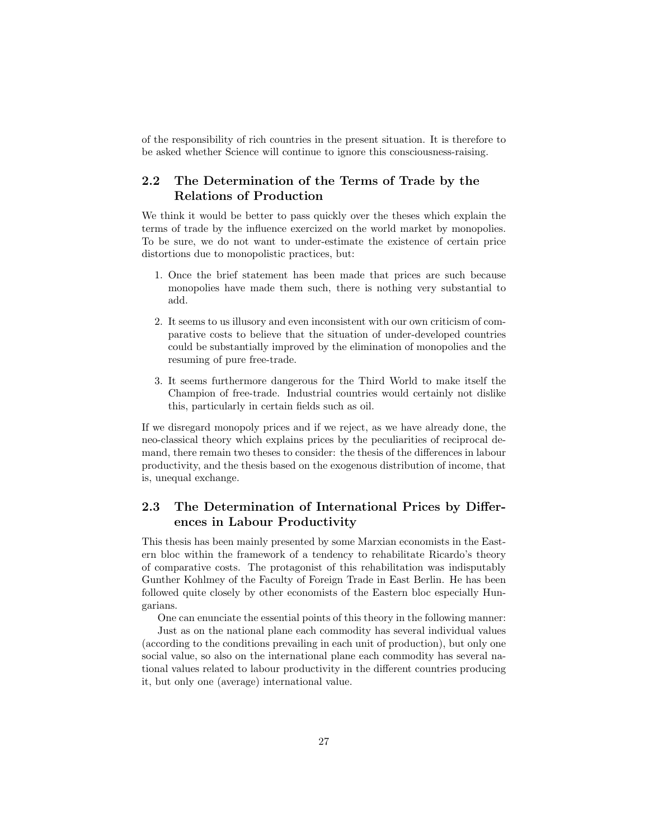of the responsibility of rich countries in the present situation. It is therefore to be asked whether Science will continue to ignore this consciousness-raising.

# <span id="page-26-0"></span>2.2 The Determination of the Terms of Trade by the Relations of Production

We think it would be better to pass quickly over the theses which explain the terms of trade by the influence exercized on the world market by monopolies. To be sure, we do not want to under-estimate the existence of certain price distortions due to monopolistic practices, but:

- 1. Once the brief statement has been made that prices are such because monopolies have made them such, there is nothing very substantial to add.
- 2. It seems to us illusory and even inconsistent with our own criticism of comparative costs to believe that the situation of under-developed countries could be substantially improved by the elimination of monopolies and the resuming of pure free-trade.
- 3. It seems furthermore dangerous for the Third World to make itself the Champion of free-trade. Industrial countries would certainly not dislike this, particularly in certain fields such as oil.

If we disregard monopoly prices and if we reject, as we have already done, the neo-classical theory which explains prices by the peculiarities of reciprocal demand, there remain two theses to consider: the thesis of the differences in labour productivity, and the thesis based on the exogenous distribution of income, that is, unequal exchange.

# <span id="page-26-1"></span>2.3 The Determination of International Prices by Differences in Labour Productivity

This thesis has been mainly presented by some Marxian economists in the Eastern bloc within the framework of a tendency to rehabilitate Ricardo's theory of comparative costs. The protagonist of this rehabilitation was indisputably Gunther Kohlmey of the Faculty of Foreign Trade in East Berlin. He has been followed quite closely by other economists of the Eastern bloc especially Hungarians.

One can enunciate the essential points of this theory in the following manner:

Just as on the national plane each commodity has several individual values (according to the conditions prevailing in each unit of production), but only one social value, so also on the international plane each commodity has several national values related to labour productivity in the different countries producing it, but only one (average) international value.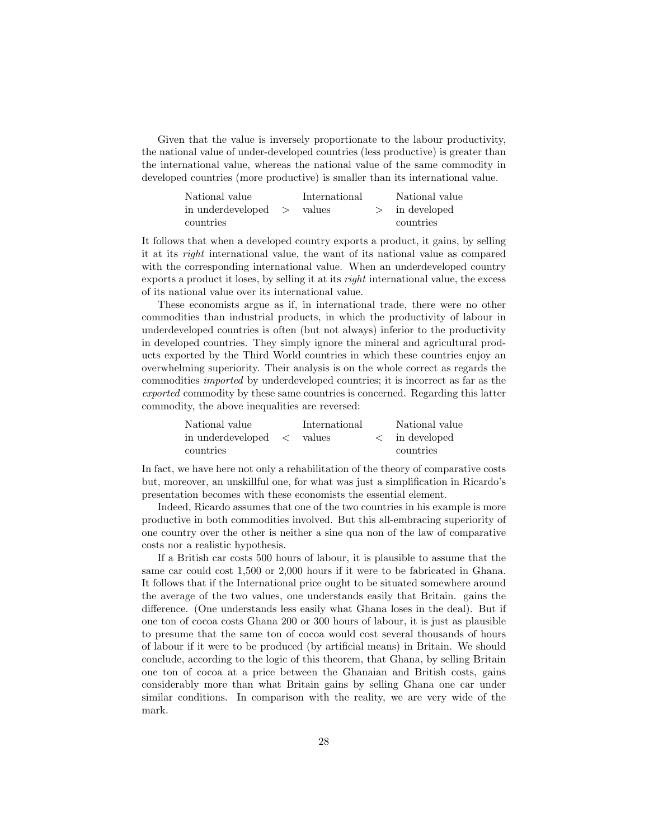Given that the value is inversely proportionate to the labour productivity, the national value of under-developed countries (less productive) is greater than the international value, whereas the national value of the same commodity in developed countries (more productive) is smaller than its international value.

| National value    |               | International |        | National value |
|-------------------|---------------|---------------|--------|----------------|
| in underdeveloped | $\rightarrow$ | values        | $\geq$ | in developed   |
| countries         |               |               |        | countries      |

It follows that when a developed country exports a product, it gains, by selling it at its right international value, the want of its national value as compared with the corresponding international value. When an underdeveloped country exports a product it loses, by selling it at its right international value, the excess of its national value over its international value.

These economists argue as if, in international trade, there were no other commodities than industrial products, in which the productivity of labour in underdeveloped countries is often (but not always) inferior to the productivity in developed countries. They simply ignore the mineral and agricultural products exported by the Third World countries in which these countries enjoy an overwhelming superiority. Their analysis is on the whole correct as regards the commodities imported by underdeveloped countries; it is incorrect as far as the exported commodity by these same countries is concerned. Regarding this latter commodity, the above inequalities are reversed:

| National value                      | International | National value         |
|-------------------------------------|---------------|------------------------|
| in underdeveloped $\langle \rangle$ | values        | $\langle$ in developed |
| countries                           |               | countries              |

In fact, we have here not only a rehabilitation of the theory of comparative costs but, moreover, an unskillful one, for what was just a simplification in Ricardo's presentation becomes with these economists the essential element.

Indeed, Ricardo assumes that one of the two countries in his example is more productive in both commodities involved. But this all-embracing superiority of one country over the other is neither a sine qua non of the law of comparative costs nor a realistic hypothesis.

If a British car costs 500 hours of labour, it is plausible to assume that the same car could cost 1,500 or 2,000 hours if it were to be fabricated in Ghana. It follows that if the International price ought to be situated somewhere around the average of the two values, one understands easily that Britain. gains the difference. (One understands less easily what Ghana loses in the deal). But if one ton of cocoa costs Ghana 200 or 300 hours of labour, it is just as plausible to presume that the same ton of cocoa would cost several thousands of hours of labour if it were to be produced (by artificial means) in Britain. We should conclude, according to the logic of this theorem, that Ghana, by selling Britain one ton of cocoa at a price between the Ghanaian and British costs, gains considerably more than what Britain gains by selling Ghana one car under similar conditions. In comparison with the reality, we are very wide of the mark.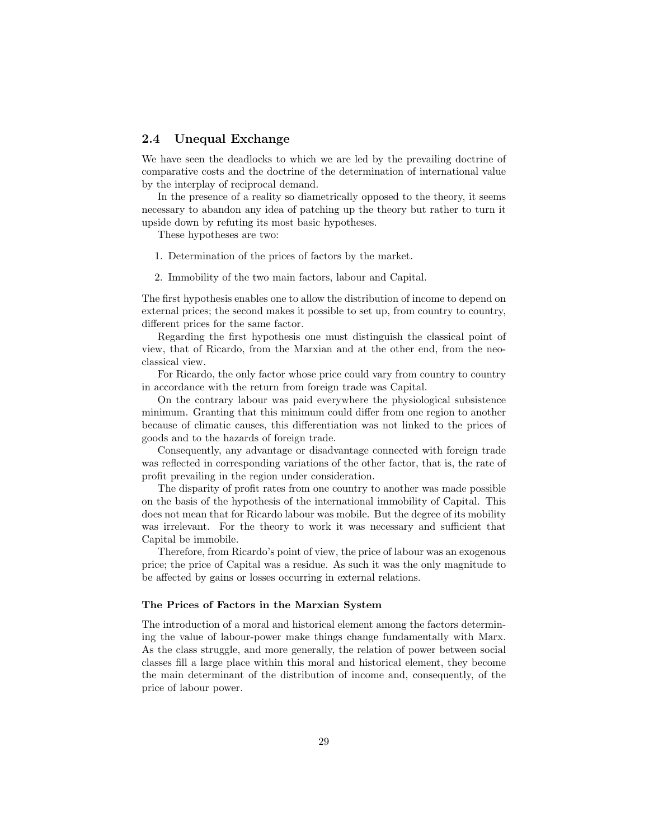# <span id="page-28-0"></span>2.4 Unequal Exchange

We have seen the deadlocks to which we are led by the prevailing doctrine of comparative costs and the doctrine of the determination of international value by the interplay of reciprocal demand.

In the presence of a reality so diametrically opposed to the theory, it seems necessary to abandon any idea of patching up the theory but rather to turn it upside down by refuting its most basic hypotheses.

These hypotheses are two:

- 1. Determination of the prices of factors by the market.
- 2. Immobility of the two main factors, labour and Capital.

The first hypothesis enables one to allow the distribution of income to depend on external prices; the second makes it possible to set up, from country to country, different prices for the same factor.

Regarding the first hypothesis one must distinguish the classical point of view, that of Ricardo, from the Marxian and at the other end, from the neoclassical view.

For Ricardo, the only factor whose price could vary from country to country in accordance with the return from foreign trade was Capital.

On the contrary labour was paid everywhere the physiological subsistence minimum. Granting that this minimum could differ from one region to another because of climatic causes, this differentiation was not linked to the prices of goods and to the hazards of foreign trade.

Consequently, any advantage or disadvantage connected with foreign trade was reflected in corresponding variations of the other factor, that is, the rate of profit prevailing in the region under consideration.

The disparity of profit rates from one country to another was made possible on the basis of the hypothesis of the international immobility of Capital. This does not mean that for Ricardo labour was mobile. But the degree of its mobility was irrelevant. For the theory to work it was necessary and sufficient that Capital be immobile.

Therefore, from Ricardo's point of view, the price of labour was an exogenous price; the price of Capital was a residue. As such it was the only magnitude to be affected by gains or losses occurring in external relations.

## The Prices of Factors in the Marxian System

The introduction of a moral and historical element among the factors determining the value of labour-power make things change fundamentally with Marx. As the class struggle, and more generally, the relation of power between social classes fill a large place within this moral and historical element, they become the main determinant of the distribution of income and, consequently, of the price of labour power.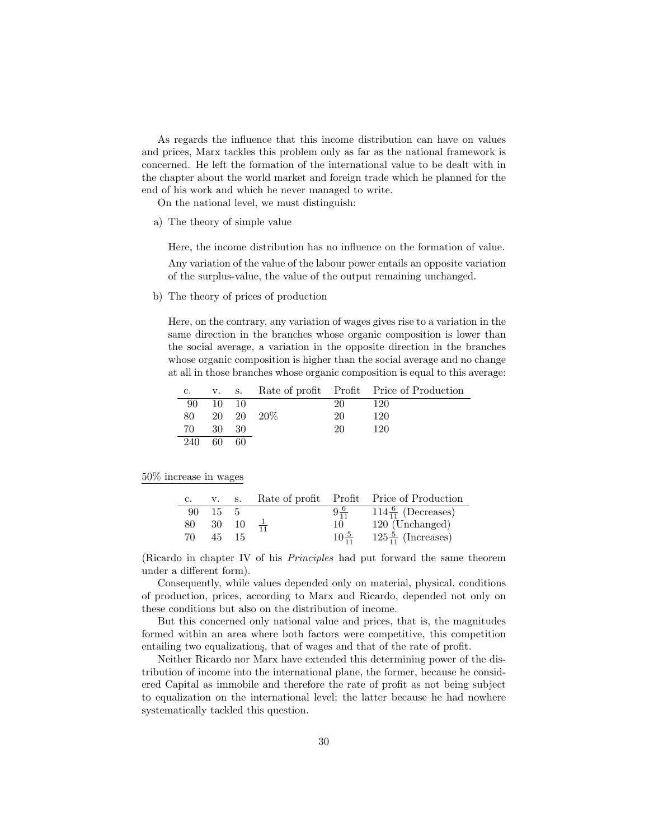As regards the influence that this income distribution can have on values and prices, Marx tackles this problem only as far as the national framework is concerned. He left the formation of the international value to be dealt with in the chapter about the world market and foreign trade which he planned for the end of his work and which he never managed to write.

On the national level, we must distinguish:

a) The theory of simple value

Here, the income distribution has no influence on the formation of value.

Any variation of the value of the labour power entails an opposite variation of the surplus-value, the value of the output remaining unchanged.

b) The theory of prices of production

Here, on the contrary, any variation of wages gives rise to a variation in the same direction in the branches whose organic composition is lower than the social average, a variation in the opposite direction in the branches whose organic composition is higher than the social average and no change at all in those branches whose organic composition is equal to this average:

|     |       |     |               |    | c. v. s. Rate of profit Profit Price of Production |
|-----|-------|-----|---------------|----|----------------------------------------------------|
| -90 | 10 10 |     |               | 20 | 120                                                |
|     |       |     | 80 20 20 20\% | 20 | 120                                                |
| 70  | 30 30 |     |               | 20 | 120                                                |
| 240 | 60    | -60 |               |    |                                                    |

#### 50% increase in wages

| C. |          | V. S.                |                  | Rate of profit Profit Price of Production             |
|----|----------|----------------------|------------------|-------------------------------------------------------|
| 90 | - 15 - 5 |                      |                  | $\frac{6}{9^{6}_{11}}$ 114 $\frac{6}{11}$ (Decreases) |
| 80 |          | 30 10 $\frac{1}{11}$ | 10               | 120 (Unchanged)                                       |
| 70 |          | 45 15                | $10\frac{5}{11}$ | $125\frac{5}{11}$ (Increases)                         |

(Ricardo in chapter IV of his Principles had put forward the same theorem under a different form).

Consequently, while values depended only on material, physical, conditions of production, prices, according to Marx and Ricardo, depended not only on these conditions but also on the distribution of income.

But this concerned only national value and prices, that is, the magnitudes formed within an area where both factors were competitive, this competition entailing two equalizations, that of wages and that of the rate of profit.

Neither Ricardo nor Marx have extended this determining power of the distribution of income into the international plane, the former, because he considered Capital as immobile and therefore the rate of profit as not being subject to equalization on the international level; the latter because he had nowhere systematically tackled this question.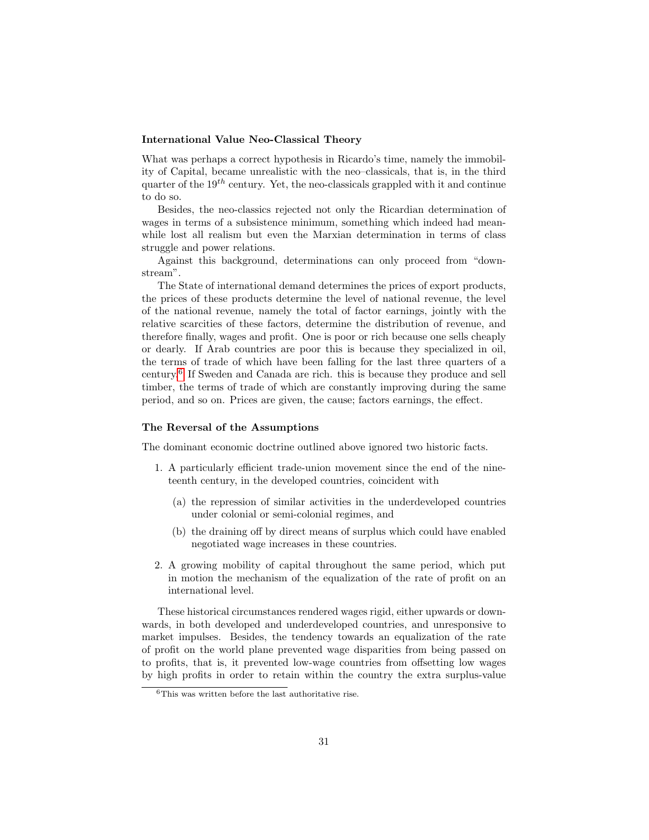### International Value Neo-Classical Theory

What was perhaps a correct hypothesis in Ricardo's time, namely the immobility of Capital, became unrealistic with the neo–classicals, that is, in the third quarter of the  $19^{th}$  century. Yet, the neo-classicals grappled with it and continue to do so.

Besides, the neo-classics rejected not only the Ricardian determination of wages in terms of a subsistence minimum, something which indeed had meanwhile lost all realism but even the Marxian determination in terms of class struggle and power relations.

Against this background, determinations can only proceed from "downstream".

The State of international demand determines the prices of export products, the prices of these products determine the level of national revenue, the level of the national revenue, namely the total of factor earnings, jointly with the relative scarcities of these factors, determine the distribution of revenue, and therefore finally, wages and profit. One is poor or rich because one sells cheaply or dearly. If Arab countries are poor this is because they specialized in oil, the terms of trade of which have been falling for the last three quarters of a century.[6](#page-0-0) If Sweden and Canada are rich. this is because they produce and sell timber, the terms of trade of which are constantly improving during the same period, and so on. Prices are given, the cause; factors earnings, the effect.

#### The Reversal of the Assumptions

The dominant economic doctrine outlined above ignored two historic facts.

- 1. A particularly efficient trade-union movement since the end of the nineteenth century, in the developed countries, coincident with
	- (a) the repression of similar activities in the underdeveloped countries under colonial or semi-colonial regimes, and
	- (b) the draining off by direct means of surplus which could have enabled negotiated wage increases in these countries.
- 2. A growing mobility of capital throughout the same period, which put in motion the mechanism of the equalization of the rate of profit on an international level.

These historical circumstances rendered wages rigid, either upwards or downwards, in both developed and underdeveloped countries, and unresponsive to market impulses. Besides, the tendency towards an equalization of the rate of profit on the world plane prevented wage disparities from being passed on to profits, that is, it prevented low-wage countries from offsetting low wages by high profits in order to retain within the country the extra surplus-value

 ${}^{6}$ This was written before the last authoritative rise.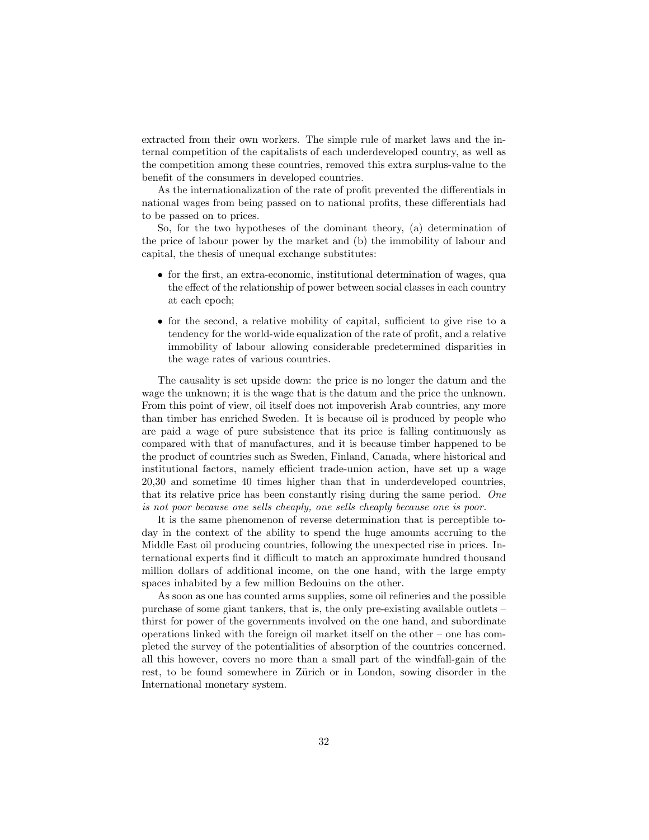extracted from their own workers. The simple rule of market laws and the internal competition of the capitalists of each underdeveloped country, as well as the competition among these countries, removed this extra surplus-value to the benefit of the consumers in developed countries.

As the internationalization of the rate of profit prevented the differentials in national wages from being passed on to national profits, these differentials had to be passed on to prices.

So, for the two hypotheses of the dominant theory, (a) determination of the price of labour power by the market and (b) the immobility of labour and capital, the thesis of unequal exchange substitutes:

- for the first, an extra-economic, institutional determination of wages, qua the effect of the relationship of power between social classes in each country at each epoch;
- for the second, a relative mobility of capital, sufficient to give rise to a tendency for the world-wide equalization of the rate of profit, and a relative immobility of labour allowing considerable predetermined disparities in the wage rates of various countries.

The causality is set upside down: the price is no longer the datum and the wage the unknown; it is the wage that is the datum and the price the unknown. From this point of view, oil itself does not impoverish Arab countries, any more than timber has enriched Sweden. It is because oil is produced by people who are paid a wage of pure subsistence that its price is falling continuously as compared with that of manufactures, and it is because timber happened to be the product of countries such as Sweden, Finland, Canada, where historical and institutional factors, namely efficient trade-union action, have set up a wage 20,30 and sometime 40 times higher than that in underdeveloped countries, that its relative price has been constantly rising during the same period. One is not poor because one sells cheaply, one sells cheaply because one is poor.

It is the same phenomenon of reverse determination that is perceptible today in the context of the ability to spend the huge amounts accruing to the Middle East oil producing countries, following the unexpected rise in prices. International experts find it difficult to match an approximate hundred thousand million dollars of additional income, on the one hand, with the large empty spaces inhabited by a few million Bedouins on the other.

As soon as one has counted arms supplies, some oil refineries and the possible purchase of some giant tankers, that is, the only pre-existing available outlets – thirst for power of the governments involved on the one hand, and subordinate operations linked with the foreign oil market itself on the other – one has completed the survey of the potentialities of absorption of the countries concerned. all this however, covers no more than a small part of the windfall-gain of the rest, to be found somewhere in Zürich or in London, sowing disorder in the International monetary system.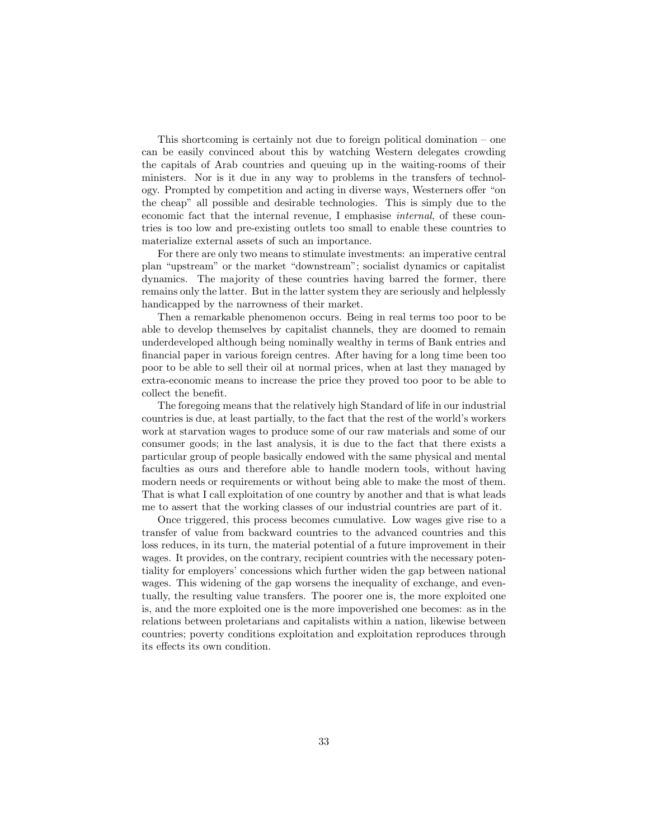This shortcoming is certainly not due to foreign political domination – one can be easily convinced about this by watching Western delegates crowding the capitals of Arab countries and queuing up in the waiting-rooms of their ministers. Nor is it due in any way to problems in the transfers of technology. Prompted by competition and acting in diverse ways, Westerners offer "on the cheap" all possible and desirable technologies. This is simply due to the economic fact that the internal revenue, I emphasise internal, of these countries is too low and pre-existing outlets too small to enable these countries to materialize external assets of such an importance.

For there are only two means to stimulate investments: an imperative central plan "upstream" or the market "downstream"; socialist dynamics or capitalist dynamics. The majority of these countries having barred the former, there remains only the latter. But in the latter system they are seriously and helplessly handicapped by the narrowness of their market.

Then a remarkable phenomenon occurs. Being in real terms too poor to be able to develop themselves by capitalist channels, they are doomed to remain underdeveloped although being nominally wealthy in terms of Bank entries and financial paper in various foreign centres. After having for a long time been too poor to be able to sell their oil at normal prices, when at last they managed by extra-economic means to increase the price they proved too poor to be able to collect the benefit.

The foregoing means that the relatively high Standard of life in our industrial countries is due, at least partially, to the fact that the rest of the world's workers work at starvation wages to produce some of our raw materials and some of our consumer goods; in the last analysis, it is due to the fact that there exists a particular group of people basically endowed with the same physical and mental faculties as ours and therefore able to handle modern tools, without having modern needs or requirements or without being able to make the most of them. That is what I call exploitation of one country by another and that is what leads me to assert that the working classes of our industrial countries are part of it.

Once triggered, this process becomes cumulative. Low wages give rise to a transfer of value from backward countries to the advanced countries and this loss reduces, in its turn, the material potential of a future improvement in their wages. It provides, on the contrary, recipient countries with the necessary potentiality for employers' concessions which further widen the gap between national wages. This widening of the gap worsens the inequality of exchange, and eventually, the resulting value transfers. The poorer one is, the more exploited one is, and the more exploited one is the more impoverished one becomes: as in the relations between proletarians and capitalists within a nation, likewise between countries; poverty conditions exploitation and exploitation reproduces through its effects its own condition.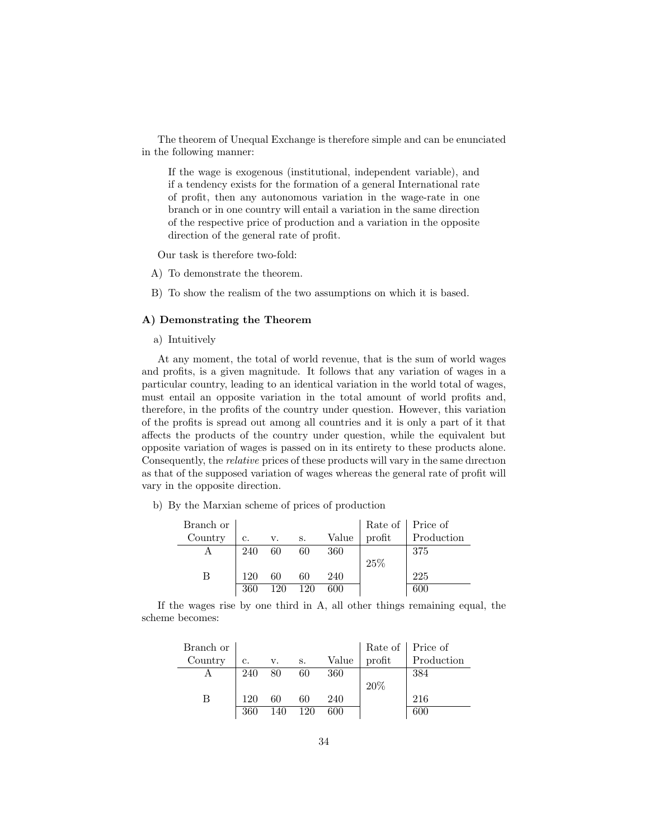The theorem of Unequal Exchange is therefore simple and can be enunciated in the following manner:

If the wage is exogenous (institutional, independent variable), and if a tendency exists for the formation of a general International rate of profit, then any autonomous variation in the wage-rate in one branch or in one country will entail a variation in the same direction of the respective price of production and a variation in the opposite direction of the general rate of profit.

Our task is therefore two-fold:

- A) To demonstrate the theorem.
- B) To show the realism of the two assumptions on which it is based.

## A) Demonstrating the Theorem

a) Intuitively

At any moment, the total of world revenue, that is the sum of world wages and profits, is a given magnitude. It follows that any variation of wages in a particular country, leading to an identical variation in the world total of wages, must entail an opposite variation in the total amount of world profits and, therefore, in the profits of the country under question. However, this variation of the profits is spread out among all countries and it is only a part of it that affects the products of the country under question, while the equivalent but opposite variation of wages is passed on in its entirety to these products alone. Consequently, the relative prices of these products will vary in the same dırectıon as that of the supposed variation of wages whereas the general rate of profit will vary in the opposite direction.

b) By the Marxian scheme of prices of production

| Branch or |     |     |     |       |        | Rate of   Price of |
|-----------|-----|-----|-----|-------|--------|--------------------|
| Country   | c.  | v.  | S.  | Value | profit | Production         |
|           | 240 | 60  | 60  | 360   |        | 375                |
|           |     |     |     |       | 25\%   |                    |
| В         | 120 | 60  | 60  | 240   |        | 225                |
|           | 360 | 120 | 120 | 600   |        | 600                |

If the wages rise by one third in A, all other things remaining equal, the scheme becomes:

| Branch or |     |     |     |       |        | Rate of   Price of |
|-----------|-----|-----|-----|-------|--------|--------------------|
| Country   | c.  | v.  | S.  | Value | profit | Production         |
|           | 240 | 80  | 60  | 360   |        | 384                |
|           |     |     |     |       | 20%    |                    |
|           | 120 | 60  | 60  | 240   |        | 216                |
|           | 360 | 140 | 120 | 600   |        | 600                |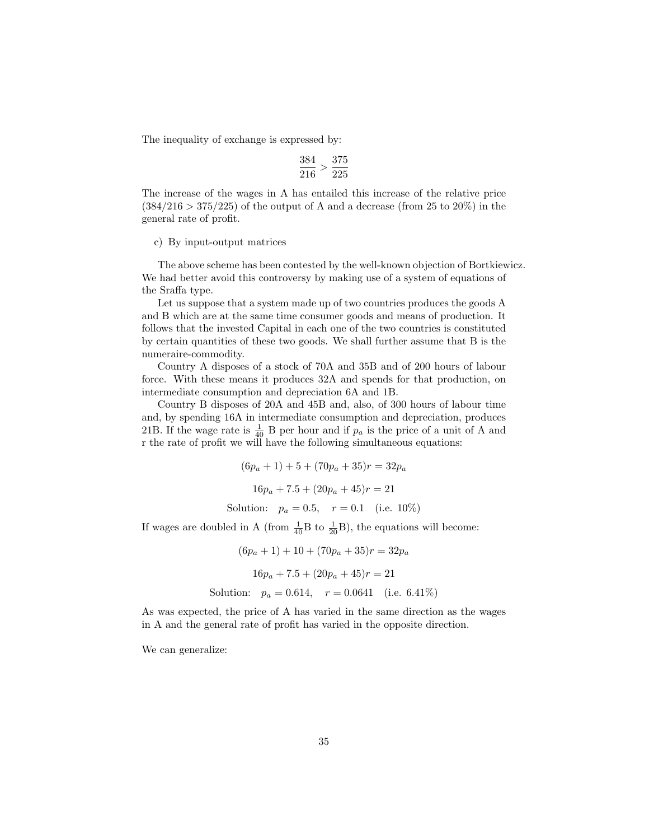The inequality of exchange is expressed by:

$$
\frac{384}{216} > \frac{375}{225}
$$

The increase of the wages in A has entailed this increase of the relative price  $(384/216 > 375/225)$  of the output of A and a decrease (from 25 to 20%) in the general rate of profit.

#### c) By input-output matrices

The above scheme has been contested by the well-known objection of Bortkiewicz. We had better avoid this controversy by making use of a system of equations of the Sraffa type.

Let us suppose that a system made up of two countries produces the goods A and B which are at the same time consumer goods and means of production. It follows that the invested Capital in each one of the two countries is constituted by certain quantities of these two goods. We shall further assume that B is the numeraire-commodity.

Country A disposes of a stock of 70A and 35B and of 200 hours of labour force. With these means it produces 32A and spends for that production, on intermediate consumption and depreciation 6A and 1B.

Country B disposes of 20A and 45B and, also, of 300 hours of labour time and, by spending 16A in intermediate consumption and depreciation, produces 21B. If the wage rate is  $\frac{1}{40}$  B per hour and if  $p_a$  is the price of a unit of A and r the rate of profit we will have the following simultaneous equations:

$$
(6pa + 1) + 5 + (70pa + 35)r = 32pa
$$
  

$$
16pa + 7.5 + (20pa + 45)r = 21
$$
  
Solution:  $pa = 0.5$ ,  $r = 0.1$  (i.e. 10%)

If wages are doubled in A (from  $\frac{1}{40}B$  to  $\frac{1}{20}B$ ), the equations will become:

 $(6p_a + 1) + 10 + (70p_a + 35)r = 32p_a$  $16p_a + 7.5 + (20p_a + 45)r = 21$ Solution:  $p_a = 0.614$ ,  $r = 0.0641$  (i.e. 6.41%)

As was expected, the price of A has varied in the same direction as the wages in A and the general rate of profit has varied in the opposite direction.

We can generalize: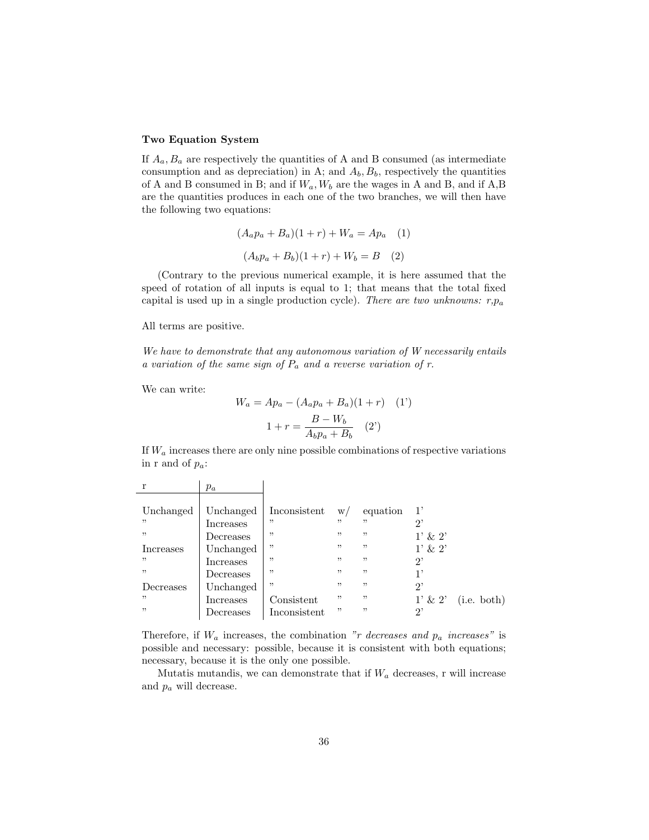### Two Equation System

If  $A_a, B_a$  are respectively the quantities of A and B consumed (as intermediate consumption and as depreciation) in A; and  $A_b$ ,  $B_b$ , respectively the quantities of A and B consumed in B; and if  $W_a$ ,  $W_b$  are the wages in A and B, and if A,B are the quantities produces in each one of the two branches, we will then have the following two equations:

$$
(A_a p_a + B_a)(1+r) + W_a = Ap_a \quad (1)
$$

$$
(A_b p_a + B_b)(1+r) + W_b = B \quad (2)
$$

(Contrary to the previous numerical example, it is here assumed that the speed of rotation of all inputs is equal to 1; that means that the total fixed capital is used up in a single production cycle). There are two unknowns:  $r, p_a$ 

All terms are positive.

We have to demonstrate that any autonomous variation of W necessarily entails a variation of the same sign of  $P_a$  and a reverse variation of r.

We can write:

$$
W_a = Ap_a - (A_a p_a + B_a)(1+r) \quad (1')
$$
  

$$
1 + r = \frac{B - W_b}{A_b p_a + B_b} \quad (2')
$$

If  $W_a$  increases there are only nine possible combinations of respective variations in r and of  $p_a$ :

|           | $p_a$     |              |     |          |              |             |
|-----------|-----------|--------------|-----|----------|--------------|-------------|
|           |           |              |     |          |              |             |
| Unchanged | Unchanged | Inconsistent | W/  | equation | 1'           |             |
| , ,       | Increases | "            | ,,  | "        | 2,           |             |
| "         | Decreases | "            | "   | ,,       | $1' \& 2'$   |             |
| Increases | Unchanged | "            | ,   | "        | $1' \& 2'$   |             |
| , ,       | Increases | "            | "   | ,,       | $2^{\prime}$ |             |
| "         | Decreases | "            | , , | ,,       | 1,           |             |
| Decreases | Unchanged | ,,           | ,,  | ,,       | $2^,$        |             |
| , ,       | Increases | Consistent   | "   | ,,       | $1' \& 2'$   | (i.e. both) |
| , ,       | Decreases | Inconsistent | ,,  | ,,       | $2^,$        |             |

Therefore, if  $W_a$  increases, the combination "r decreases and  $p_a$  increases" is possible and necessary: possible, because it is consistent with both equations; necessary, because it is the only one possible.

Mutatis mutandis, we can demonstrate that if  $W_a$  decreases, r will increase and  $p_a$  will decrease.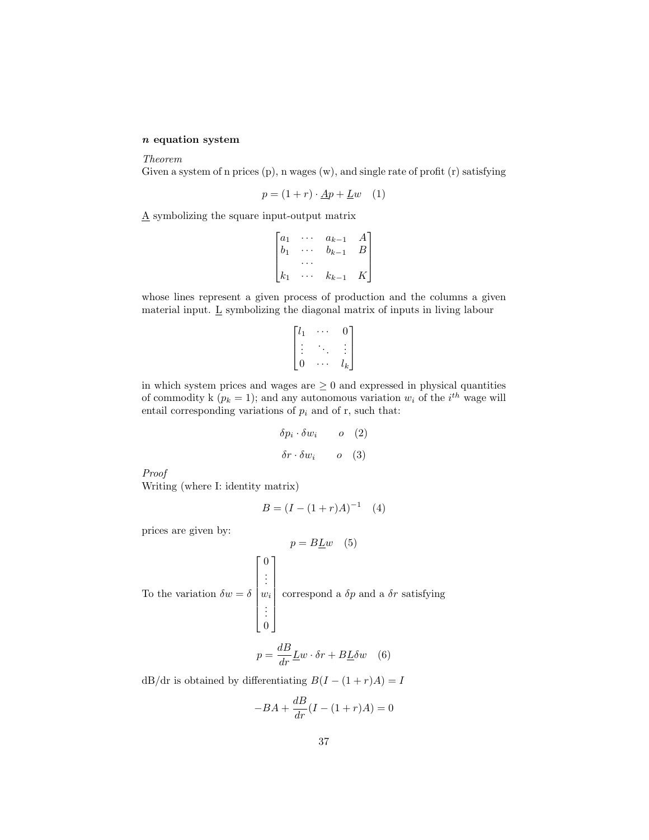# $\boldsymbol{n}$  equation system

#### Theorem

Given a system of n prices (p), n wages (w), and single rate of profit (r) satisfying

$$
p = (1+r) \cdot \underline{A}p + \underline{L}w \quad (1)
$$

A symbolizing the square input-output matrix

$$
\begin{bmatrix} a_1 & \cdots & a_{k-1} & A \\ b_1 & \cdots & b_{k-1} & B \\ \cdots & \cdots & \cdots & \cdots \\ k_1 & \cdots & k_{k-1} & K \end{bmatrix}
$$

whose lines represent a given process of production and the columns a given material input. L symbolizing the diagonal matrix of inputs in living labour

$$
\begin{bmatrix} l_1 & \cdots & 0 \\ \vdots & \ddots & \vdots \\ 0 & \cdots & l_k \end{bmatrix}
$$

in which system prices and wages are  $\geq 0$  and expressed in physical quantities of commodity k ( $p_k = 1$ ); and any autonomous variation  $w_i$  of the  $i^{th}$  wage will entail corresponding variations of  $p_i$  and of r, such that:

$$
\delta p_i \cdot \delta w_i \qquad o \quad (2)
$$
  

$$
\delta r \cdot \delta w_i \qquad o \quad (3)
$$

Proof

Writing (where I: identity matrix)

$$
B = (I - (1+r)A)^{-1} \quad (4)
$$

prices are given by:

$$
p = BLw \quad (5)
$$
  
To the variation  $\delta w = \delta \begin{bmatrix} 0 \\ \vdots \\ w_i \\ \vdots \\ 0 \end{bmatrix}$  correspond a  $\delta p$  and a  $\delta r$  satisfying  

$$
p = \frac{dB}{dr} \underline{L}w \cdot \delta r + BL\delta w \quad (6)
$$

dB/dr is obtained by differentiating  $B(I - (1 + r)A) = I$ 

$$
-BA + \frac{dB}{dr}(I - (1+r)A) = 0
$$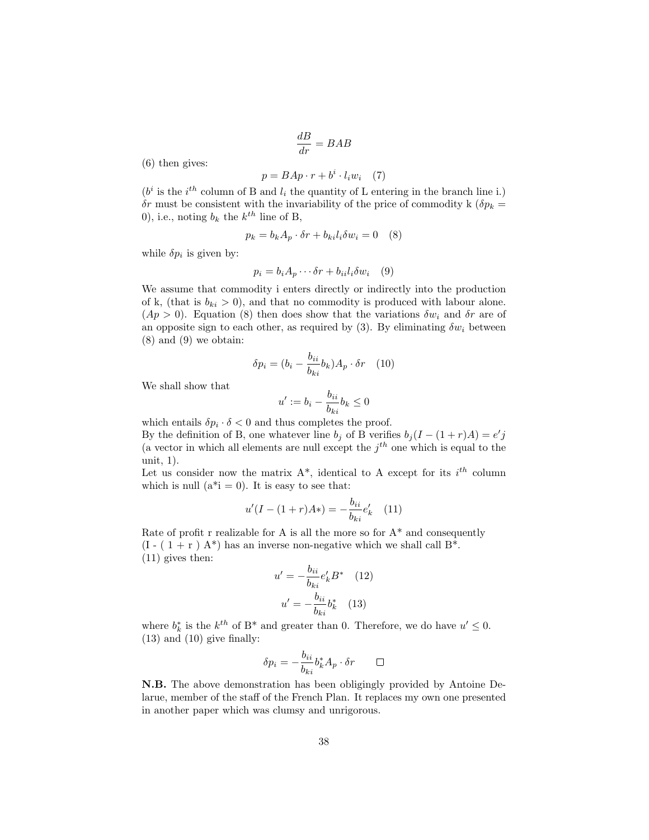$$
\frac{dB}{dr} = BAB
$$

(6) then gives:

$$
p = BAp \cdot r + b^i \cdot l_i w_i \quad (7)
$$

 $(b<sup>i</sup>$  is the  $i<sup>th</sup>$  column of B and  $l<sub>i</sub>$  the quantity of L entering in the branch line i.)  $\delta r$  must be consistent with the invariability of the price of commodity k ( $\delta p_k =$ 0), i.e., noting  $b_k$  the  $k^{th}$  line of B,

$$
p_k = b_k A_p \cdot \delta r + b_{ki} l_i \delta w_i = 0 \quad (8)
$$

while  $\delta p_i$  is given by:

$$
p_i = b_i A_p \cdots \delta r + b_{ii} l_i \delta w_i \quad (9)
$$

We assume that commodity i enters directly or indirectly into the production of k, (that is  $b_{ki} > 0$ ), and that no commodity is produced with labour alone.  $(Ap > 0)$ . Equation (8) then does show that the variations  $\delta w_i$  and  $\delta r$  are of an opposite sign to each other, as required by (3). By eliminating  $\delta w_i$  between (8) and (9) we obtain:

$$
\delta p_i = (b_i - \frac{b_{ii}}{b_{ki}} b_k) A_p \cdot \delta r \quad (10)
$$

We shall show that

$$
u' := b_i - \frac{b_{ii}}{b_{ki}} b_k \le 0
$$

which entails  $\delta p_i \cdot \delta < 0$  and thus completes the proof. By the definition of B, one whatever line  $b_j$  of B verifies  $b_j(I-(1+r)A)=e'j$ (a vector in which all elements are null except the  $j<sup>th</sup>$  one which is equal to the unit, 1).

Let us consider now the matrix  $A^*$ , identical to A except for its  $i^{th}$  column which is null  $(a^*i = 0)$ . It is easy to see that:

$$
u'(I - (1+r)A*) = -\frac{b_{ii}}{b_{ki}}e'_k \quad (11)
$$

Rate of profit r realizable for A is all the more so for  $A^*$  and consequently  $(I - (1 + r) A^*)$  has an inverse non-negative which we shall call  $B^*$ . (11) gives then:

$$
u' = -\frac{b_{ii}}{b_{ki}} e'_k B^* \quad (12)
$$

$$
u' = -\frac{b_{ii}}{b_{ki}} b^*_k \quad (13)
$$

where  $b_k^*$  is the  $k^{th}$  of B<sup>\*</sup> and greater than 0. Therefore, we do have  $u' \leq 0$ . (13) and (10) give finally:

$$
\delta p_i = -\frac{b_{ii}}{b_{ki}} b_k^* A_p \cdot \delta r \qquad \Box
$$

N.B. The above demonstration has been obligingly provided by Antoine Delarue, member of the staff of the French Plan. It replaces my own one presented in another paper which was clumsy and unrigorous.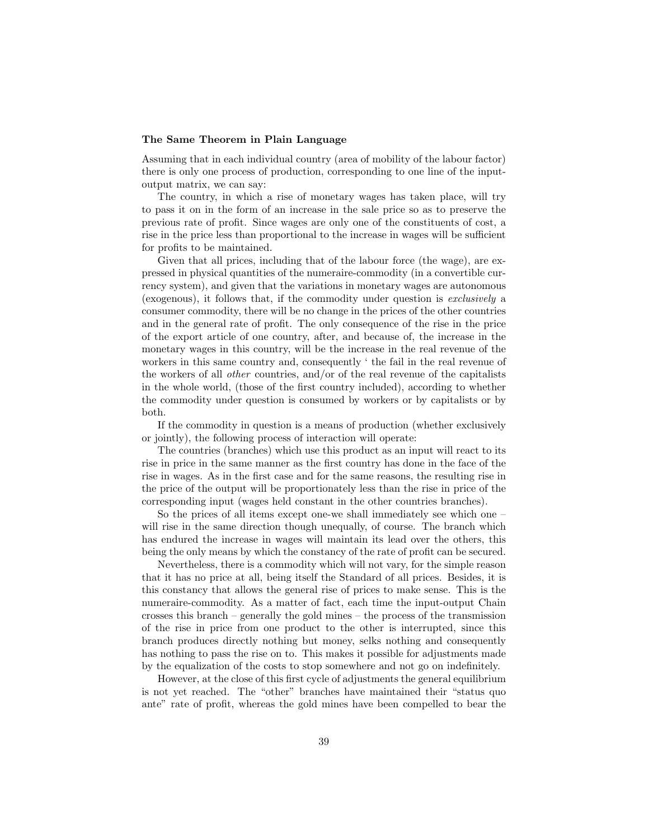#### The Same Theorem in Plain Language

Assuming that in each individual country (area of mobility of the labour factor) there is only one process of production, corresponding to one line of the inputoutput matrix, we can say:

The country, in which a rise of monetary wages has taken place, will try to pass it on in the form of an increase in the sale price so as to preserve the previous rate of profit. Since wages are only one of the constituents of cost, a rise in the price less than proportional to the increase in wages will be sufficient for profits to be maintained.

Given that all prices, including that of the labour force (the wage), are expressed in physical quantities of the numeraire-commodity (in a convertible currency system), and given that the variations in monetary wages are autonomous (exogenous), it follows that, if the commodity under question is exclusively a consumer commodity, there will be no change in the prices of the other countries and in the general rate of profit. The only consequence of the rise in the price of the export article of one country, after, and because of, the increase in the monetary wages in this country, will be the increase in the real revenue of the workers in this same country and, consequently ' the fail in the real revenue of the workers of all other countries, and/or of the real revenue of the capitalists in the whole world, (those of the first country included), according to whether the commodity under question is consumed by workers or by capitalists or by both.

If the commodity in question is a means of production (whether exclusively or jointly), the following process of interaction will operate:

The countries (branches) which use this product as an input will react to its rise in price in the same manner as the first country has done in the face of the rise in wages. As in the first case and for the same reasons, the resulting rise in the price of the output will be proportionately less than the rise in price of the corresponding input (wages held constant in the other countries branches).

So the prices of all items except one-we shall immediately see which one – will rise in the same direction though unequally, of course. The branch which has endured the increase in wages will maintain its lead over the others, this being the only means by which the constancy of the rate of profit can be secured.

Nevertheless, there is a commodity which will not vary, for the simple reason that it has no price at all, being itself the Standard of all prices. Besides, it is this constancy that allows the general rise of prices to make sense. This is the numeraire-commodity. As a matter of fact, each time the input-output Chain crosses this branch – generally the gold mines – the process of the transmission of the rise in price from one product to the other is interrupted, since this branch produces directly nothing but money, selks nothing and consequently has nothing to pass the rise on to. This makes it possible for adjustments made by the equalization of the costs to stop somewhere and not go on indefinitely.

However, at the close of this first cycle of adjustments the general equilibrium is not yet reached. The "other" branches have maintained their "status quo ante" rate of profit, whereas the gold mines have been compelled to bear the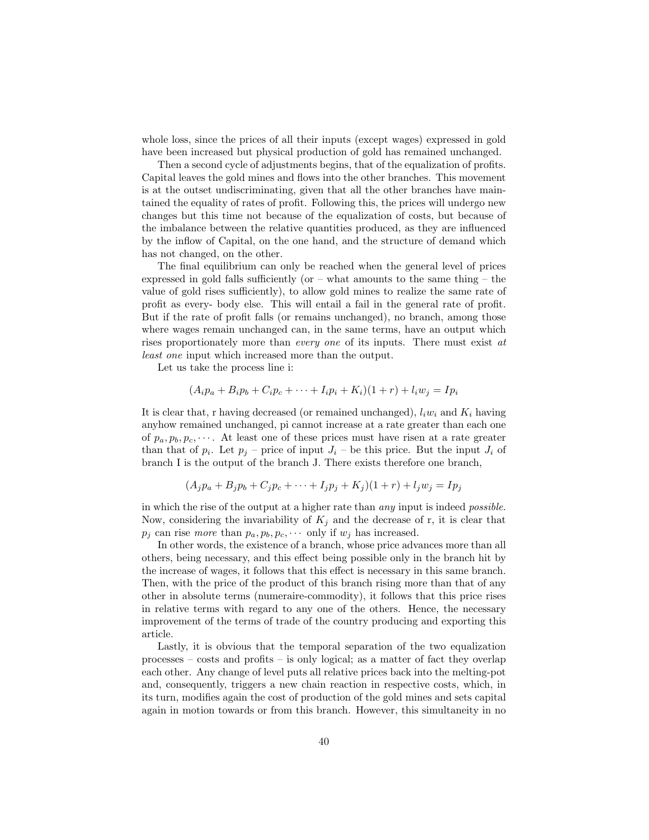whole loss, since the prices of all their inputs (except wages) expressed in gold have been increased but physical production of gold has remained unchanged.

Then a second cycle of adjustments begins, that of the equalization of profits. Capital leaves the gold mines and flows into the other branches. This movement is at the outset undiscriminating, given that all the other branches have maintained the equality of rates of profit. Following this, the prices will undergo new changes but this time not because of the equalization of costs, but because of the imbalance between the relative quantities produced, as they are influenced by the inflow of Capital, on the one hand, and the structure of demand which has not changed, on the other.

The final equilibrium can only be reached when the general level of prices expressed in gold falls sufficiently (or  $-$  what amounts to the same thing  $-$  the value of gold rises sufficiently), to allow gold mines to realize the same rate of profit as every- body else. This will entail a fail in the general rate of profit. But if the rate of profit falls (or remains unchanged), no branch, among those where wages remain unchanged can, in the same terms, have an output which rises proportionately more than *every one* of its inputs. There must exist at least one input which increased more than the output.

Let us take the process line i:

$$
(A_i p_a + B_i p_b + C_i p_c + \dots + I_i p_i + K_i)(1+r) + l_i w_j = I p_i
$$

It is clear that, r having decreased (or remained unchanged),  $l_i w_i$  and  $K_i$  having anyhow remained unchanged, pi cannot increase at a rate greater than each one of  $p_a, p_b, p_c, \cdots$ . At least one of these prices must have risen at a rate greater than that of  $p_i$ . Let  $p_j$  – price of input  $J_i$  – be this price. But the input  $J_i$  of branch I is the output of the branch J. There exists therefore one branch,

$$
(A_j p_a + B_j p_b + C_j p_c + \dots + I_j p_j + K_j)(1+r) + l_j w_j = I p_j
$$

in which the rise of the output at a higher rate than any input is indeed possible. Now, considering the invariability of  $K_j$  and the decrease of r, it is clear that  $p_j$  can rise more than  $p_a, p_b, p_c, \cdots$  only if  $w_j$  has increased.

In other words, the existence of a branch, whose price advances more than all others, being necessary, and this effect being possible only in the branch hit by the increase of wages, it follows that this effect is necessary in this same branch. Then, with the price of the product of this branch rising more than that of any other in absolute terms (numeraire-commodity), it follows that this price rises in relative terms with regard to any one of the others. Hence, the necessary improvement of the terms of trade of the country producing and exporting this article.

Lastly, it is obvious that the temporal separation of the two equalization processes – costs and profits – is only logical; as a matter of fact they overlap each other. Any change of level puts all relative prices back into the melting-pot and, consequently, triggers a new chain reaction in respective costs, which, in its turn, modifies again the cost of production of the gold mines and sets capital again in motion towards or from this branch. However, this simultaneity in no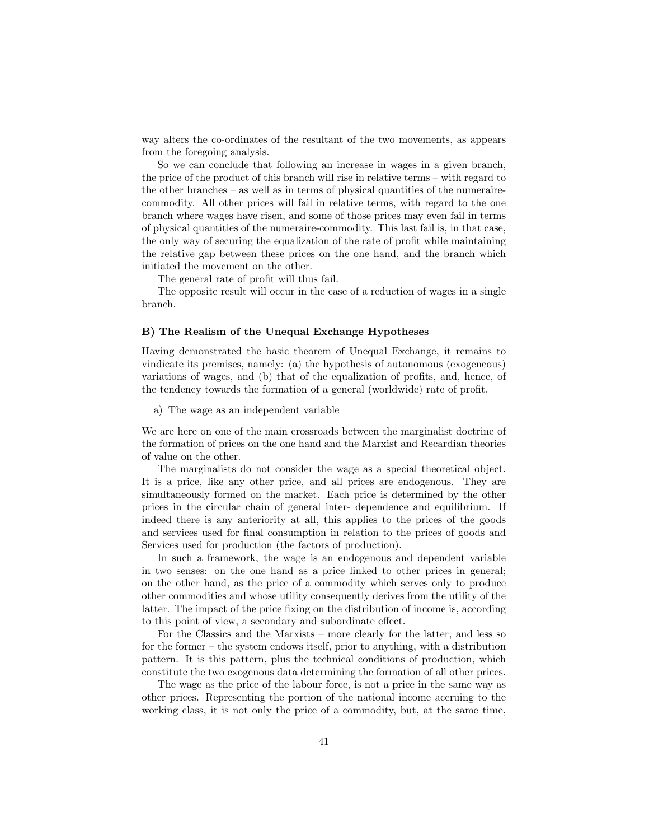way alters the co-ordinates of the resultant of the two movements, as appears from the foregoing analysis.

So we can conclude that following an increase in wages in a given branch, the price of the product of this branch will rise in relative terms – with regard to the other branches – as well as in terms of physical quantities of the numerairecommodity. All other prices will fail in relative terms, with regard to the one branch where wages have risen, and some of those prices may even fail in terms of physical quantities of the numeraire-commodity. This last fail is, in that case, the only way of securing the equalization of the rate of profit while maintaining the relative gap between these prices on the one hand, and the branch which initiated the movement on the other.

The general rate of profit will thus fail.

The opposite result will occur in the case of a reduction of wages in a single branch.

#### B) The Realism of the Unequal Exchange Hypotheses

Having demonstrated the basic theorem of Unequal Exchange, it remains to vindicate its premises, namely: (a) the hypothesis of autonomous (exogeneous) variations of wages, and (b) that of the equalization of profits, and, hence, of the tendency towards the formation of a general (worldwide) rate of profit.

a) The wage as an independent variable

We are here on one of the main crossroads between the marginalist doctrine of the formation of prices on the one hand and the Marxist and Recardian theories of value on the other.

The marginalists do not consider the wage as a special theoretical object. It is a price, like any other price, and all prices are endogenous. They are simultaneously formed on the market. Each price is determined by the other prices in the circular chain of general inter- dependence and equilibrium. If indeed there is any anteriority at all, this applies to the prices of the goods and services used for final consumption in relation to the prices of goods and Services used for production (the factors of production).

In such a framework, the wage is an endogenous and dependent variable in two senses: on the one hand as a price linked to other prices in general; on the other hand, as the price of a commodity which serves only to produce other commodities and whose utility consequently derives from the utility of the latter. The impact of the price fixing on the distribution of income is, according to this point of view, a secondary and subordinate effect.

For the Classics and the Marxists – more clearly for the latter, and less so for the former – the system endows itself, prior to anything, with a distribution pattern. It is this pattern, plus the technical conditions of production, which constitute the two exogenous data determining the formation of all other prices.

The wage as the price of the labour force, is not a price in the same way as other prices. Representing the portion of the national income accruing to the working class, it is not only the price of a commodity, but, at the same time,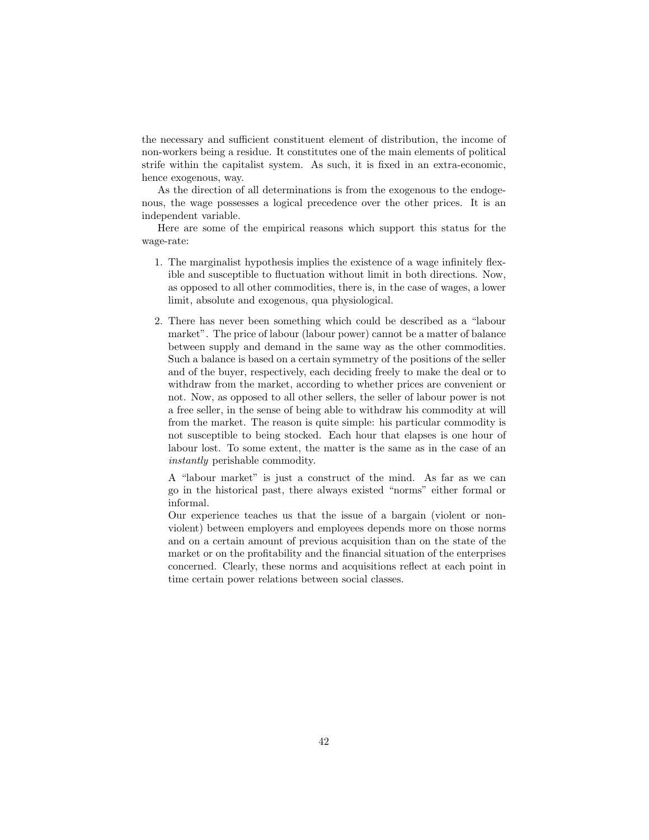the necessary and sufficient constituent element of distribution, the income of non-workers being a residue. It constitutes one of the main elements of political strife within the capitalist system. As such, it is fixed in an extra-economic, hence exogenous, way.

As the direction of all determinations is from the exogenous to the endogenous, the wage possesses a logical precedence over the other prices. It is an independent variable.

Here are some of the empirical reasons which support this status for the wage-rate:

- 1. The marginalist hypothesis implies the existence of a wage infinitely flexible and susceptible to fluctuation without limit in both directions. Now, as opposed to all other commodities, there is, in the case of wages, a lower limit, absolute and exogenous, qua physiological.
- 2. There has never been something which could be described as a "labour market". The price of labour (labour power) cannot be a matter of balance between supply and demand in the same way as the other commodities. Such a balance is based on a certain symmetry of the positions of the seller and of the buyer, respectively, each deciding freely to make the deal or to withdraw from the market, according to whether prices are convenient or not. Now, as opposed to all other sellers, the seller of labour power is not a free seller, in the sense of being able to withdraw his commodity at will from the market. The reason is quite simple: his particular commodity is not susceptible to being stocked. Each hour that elapses is one hour of labour lost. To some extent, the matter is the same as in the case of an instantly perishable commodity.

A "labour market" is just a construct of the mind. As far as we can go in the historical past, there always existed "norms" either formal or informal.

Our experience teaches us that the issue of a bargain (violent or nonviolent) between employers and employees depends more on those norms and on a certain amount of previous acquisition than on the state of the market or on the profitability and the financial situation of the enterprises concerned. Clearly, these norms and acquisitions reflect at each point in time certain power relations between social classes.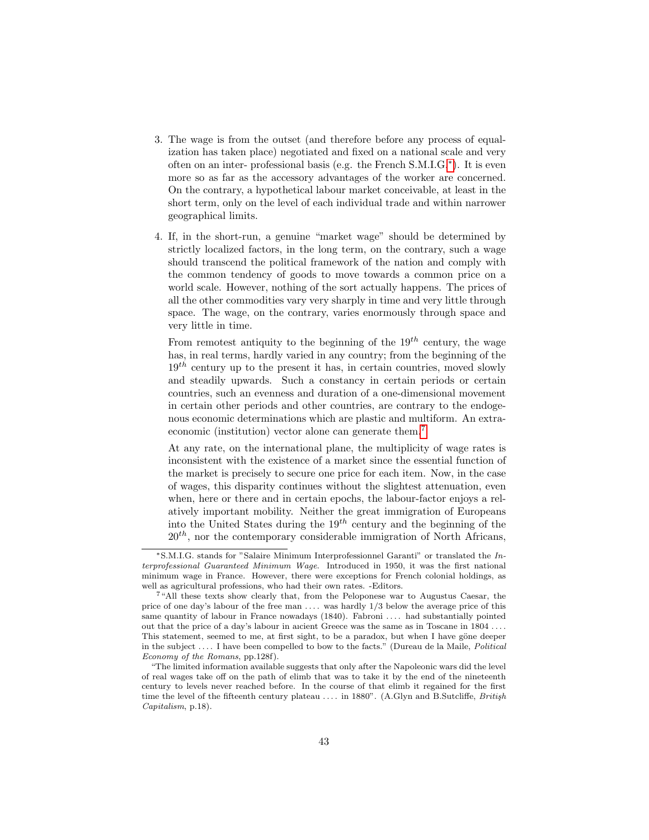- 3. The wage is from the outset (and therefore before any process of equalization has taken place) negotiated and fixed on a national scale and very often on an inter- professional basis (e.g. the French S.M.I.G.[∗](#page-0-0) ). It is even more so as far as the accessory advantages of the worker are concerned. On the contrary, a hypothetical labour market conceivable, at least in the short term, only on the level of each individual trade and within narrower geographical limits.
- 4. If, in the short-run, a genuine "market wage" should be determined by strictly localized factors, in the long term, on the contrary, such a wage should transcend the political framework of the nation and comply with the common tendency of goods to move towards a common price on a world scale. However, nothing of the sort actually happens. The prices of all the other commodities vary very sharply in time and very little through space. The wage, on the contrary, varies enormously through space and very little in time.

From remotest antiquity to the beginning of the  $19^{th}$  century, the wage has, in real terms, hardly varied in any country; from the beginning of the  $19<sup>th</sup>$  century up to the present it has, in certain countries, moved slowly and steadily upwards. Such a constancy in certain periods or certain countries, such an evenness and duration of a one-dimensional movement in certain other periods and other countries, are contrary to the endogenous economic determinations which are plastic and multiform. An extraeconomic (institution) vector alone can generate them.[7](#page-0-0)

At any rate, on the international plane, the multiplicity of wage rates is inconsistent with the existence of a market since the essential function of the market is precisely to secure one price for each item. Now, in the case of wages, this disparity continues without the slightest attenuation, even when, here or there and in certain epochs, the labour-factor enjoys a relatively important mobility. Neither the great immigration of Europeans into the United States during the  $19^{th}$  century and the beginning of the  $20<sup>th</sup>$ , nor the contemporary considerable immigration of North Africans,

<sup>∗</sup>S.M.I.G. stands for "Salaire Minimum Interprofessionnel Garanti" or translated the Interprofessional Guaranteed Minimum Wage. Introduced in 1950, it was the first national minimum wage in France. However, there were exceptions for French colonial holdings, as well as agricultural professions, who had their own rates. -Editors.

<sup>7</sup>"All these texts show clearly that, from the Peloponese war to Augustus Caesar, the price of one day's labour of the free man  $\dots$  was hardly  $1/3$  below the average price of this same quantity of labour in France nowadays (1840). Fabroni . . . . had substantially pointed out that the price of a day's labour in aıcient Greece was the same as in Toscane in 1804 . . . . This statement, seemed to me, at first sight, to be a paradox, but when I have göne deeper in the subject . . . . I have been compelled to bow to the facts." (Dureau de la Maile, Political Economy of the Romans, pp.128f).

<sup>&</sup>quot;The limited information available suggests that only after the Napoleonic wars did the level of real wages take off on the path of elimb that was to take it by the end of the nineteenth century to levels never reached before. In the course of that elimb it regained for the first time the level of the fifteenth century plateau  $\dots$  in 1880". (A.Glyn and B.Sutcliffe, *British* Capitalism, p.18).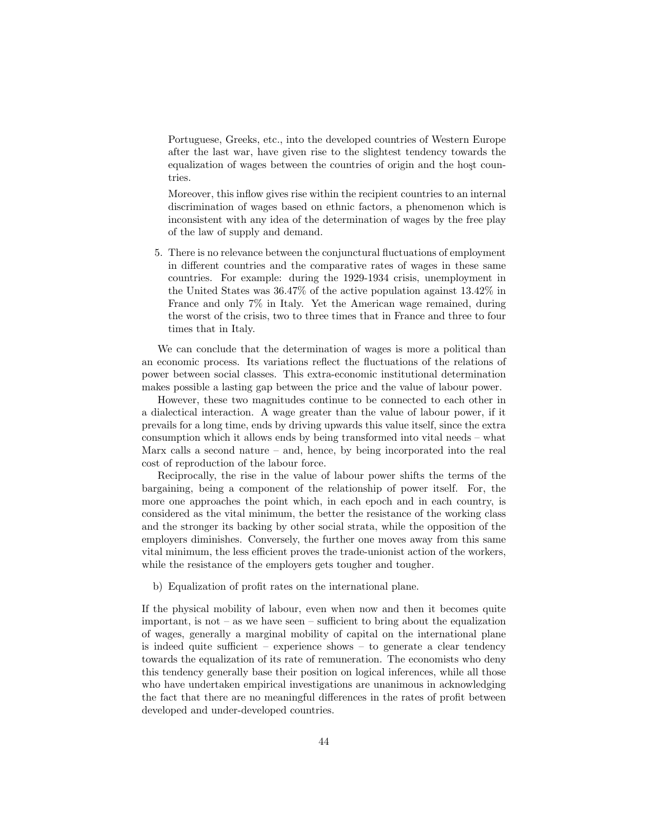Portuguese, Greeks, etc., into the developed countries of Western Europe after the last war, have given rise to the slightest tendency towards the equalization of wages between the countries of origin and the host countries.

Moreover, this inflow gives rise within the recipient countries to an internal discrimination of wages based on ethnic factors, a phenomenon which is inconsistent with any idea of the determination of wages by the free play of the law of supply and demand.

5. There is no relevance between the conjunctural fluctuations of employment in different countries and the comparative rates of wages in these same countries. For example: during the 1929-1934 crisis, unemployment in the United States was 36.47% of the active population against 13.42% in France and only 7% in Italy. Yet the American wage remained, during the worst of the crisis, two to three times that in France and three to four times that in Italy.

We can conclude that the determination of wages is more a political than an economic process. Its variations reflect the fluctuations of the relations of power between social classes. This extra-economic institutional determination makes possible a lasting gap between the price and the value of labour power.

However, these two magnitudes continue to be connected to each other in a dialectical interaction. A wage greater than the value of labour power, if it prevails for a long time, ends by driving upwards this value itself, since the extra consumption which it allows ends by being transformed into vital needs – what Marx calls a second nature – and, hence, by being incorporated into the real cost of reproduction of the labour force.

Reciprocally, the rise in the value of labour power shifts the terms of the bargaining, being a component of the relationship of power itself. For, the more one approaches the point which, in each epoch and in each country, is considered as the vital minimum, the better the resistance of the working class and the stronger its backing by other social strata, while the opposition of the employers diminishes. Conversely, the further one moves away from this same vital minimum, the less efficient proves the trade-unionist action of the workers, while the resistance of the employers gets tougher and tougher.

b) Equalization of profit rates on the international plane.

If the physical mobility of labour, even when now and then it becomes quite important, is not – as we have seen – sufficient to bring about the equalization of wages, generally a marginal mobility of capital on the international plane is indeed quite sufficient – experience shows – to generate a clear tendency towards the equalization of its rate of remuneration. The economists who deny this tendency generally base their position on logical inferences, while all those who have undertaken empirical investigations are unanimous in acknowledging the fact that there are no meaningful differences in the rates of profit between developed and under-developed countries.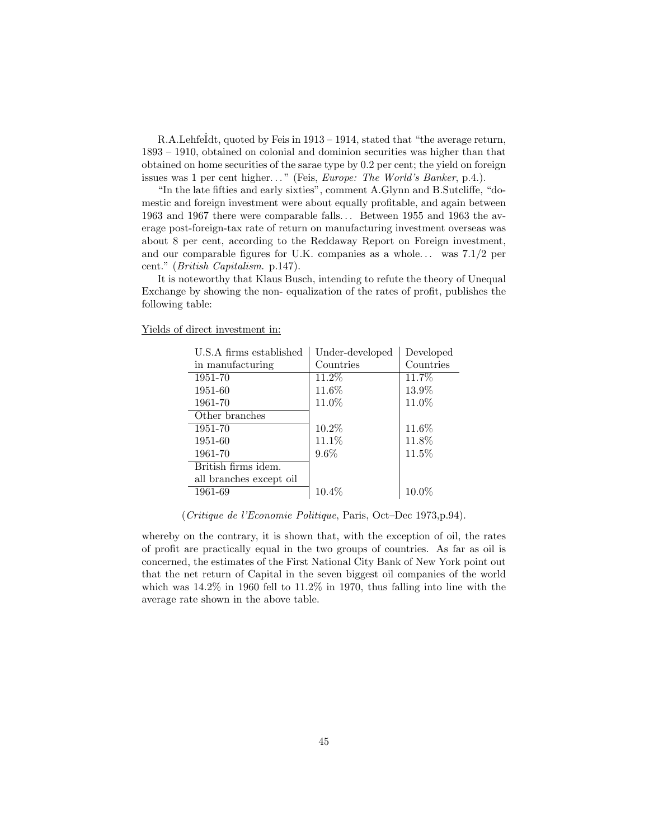R.A.Lehfe $Idt$ , quoted by Feis in 1913 – 1914, stated that "the average return, 1893 – 1910, obtained on colonial and dominion securities was higher than that obtained on home securities of the sarae type by 0.2 per cent; the yield on foreign issues was 1 per cent higher..." (Feis, *Europe: The World's Banker*, p.4.).

"In the late fifties and early sixties", comment A.Glynn and B.Sutcliffe, "domestic and foreign investment were about equally profitable, and again between 1963 and 1967 there were comparable falls. . . Between 1955 and 1963 the average post-foreign-tax rate of return on manufacturing investment overseas was about 8 per cent, according to the Reddaway Report on Foreign investment, and our comparable figures for U.K. companies as a whole... was  $7.1/2$  per cent." (British Capitalism. p.147).

It is noteworthy that Klaus Busch, intending to refute the theory of Unequal Exchange by showing the non- equalization of the rates of profit, publishes the following table:

| U.S.A firms established | Under-developed | Developed |
|-------------------------|-----------------|-----------|
| in manufacturing        | Countries       | Countries |
| 1951-70                 | $11.2\%$        | 11.7%     |
| 1951-60                 | 11.6%           | 13.9%     |
| 1961-70                 | 11.0%           | 11.0%     |
| Other branches          |                 |           |
| 1951-70                 | 10.2%           | 11.6%     |
| 1951-60                 | 11.1%           | 11.8%     |
| 1961-70                 | $9.6\%$         | 11.5%     |
| British firms idem.     |                 |           |
| all branches except oil |                 |           |
| 1961-69                 | 10.4%           | 10.0%     |
|                         |                 |           |

Yields of direct investment in:

(Critique de l'Economie Politique, Paris, Oct–Dec 1973,p.94).

whereby on the contrary, it is shown that, with the exception of oil, the rates of profit are practically equal in the two groups of countries. As far as oil is concerned, the estimates of the First National City Bank of New York point out that the net return of Capital in the seven biggest oil companies of the world which was 14.2% in 1960 fell to 11.2% in 1970, thus falling into line with the average rate shown in the above table.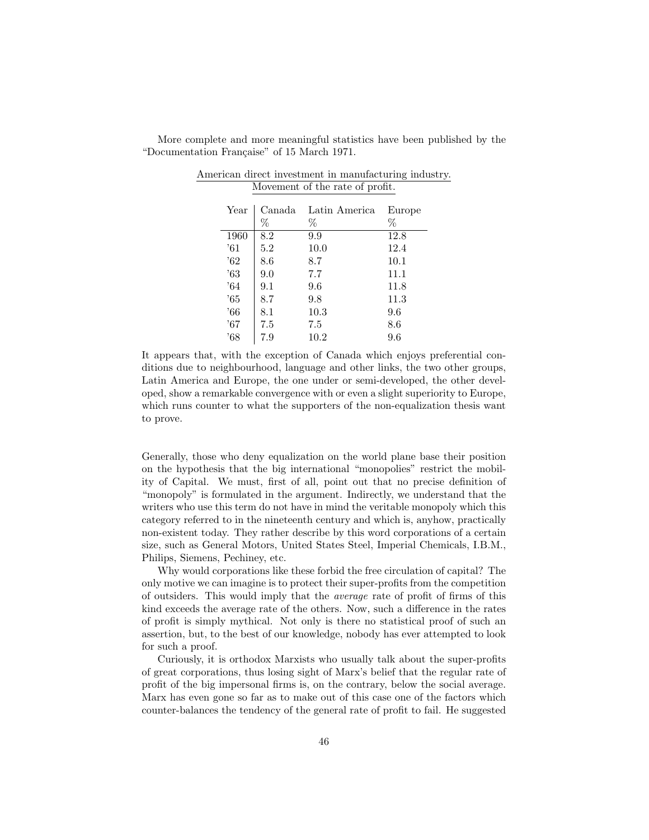| Year          | Canada<br>% | Latin America<br>% | Europe<br>% |
|---------------|-------------|--------------------|-------------|
| 1960          | 8.2         | 9.9                | 12.8        |
| $^{\prime}61$ | 5.2         | 10.0               | 12.4        |
| $^{\circ}62$  | 8.6         | 8.7                | 10.1        |
| '63           | 9.0         | 7.7                | 11.1        |
| .64           | 9.1         | 9.6                | 11.8        |
| '65           | 8.7         | 9.8                | 11.3        |
| '66           | 8.1         | 10.3               | 9.6         |
| '67           | 7.5         | 7.5                | $8.6\,$     |
| '68           | 7.9         | 10.2               | 9.6         |

More complete and more meaningful statistics have been published by the "Documentation Française" of 15 March 1971.

American direct investment in manufacturing industry. Movement of the rate of profit.

It appears that, with the exception of Canada which enjoys preferential conditions due to neighbourhood, language and other links, the two other groups, Latin America and Europe, the one under or semi-developed, the other developed, show a remarkable convergence with or even a slight superiority to Europe, which runs counter to what the supporters of the non-equalization thesis want to prove.

Generally, those who deny equalization on the world plane base their position on the hypothesis that the big international "monopolies" restrict the mobility of Capital. We must, first of all, point out that no precise definition of "monopoly" is formulated in the argument. Indirectly, we understand that the writers who use this term do not have in mind the veritable monopoly which this category referred to in the nineteenth century and which is, anyhow, practically non-existent today. They rather describe by this word corporations of a certain size, such as General Motors, United States Steel, Imperial Chemicals, I.B.M., Philips, Siemens, Pechiney, etc.

Why would corporations like these forbid the free circulation of capital? The only motive we can imagine is to protect their super-profits from the competition of outsiders. This would imply that the average rate of profit of firms of this kind exceeds the average rate of the others. Now, such a difference in the rates of profit is simply mythical. Not only is there no statistical proof of such an assertion, but, to the best of our knowledge, nobody has ever attempted to look for such a proof.

Curiously, it is orthodox Marxists who usually talk about the super-profits of great corporations, thus losing sight of Marx's belief that the regular rate of profit of the big impersonal firms is, on the contrary, below the social average. Marx has even gone so far as to make out of this case one of the factors which counter-balances the tendency of the general rate of profit to fail. He suggested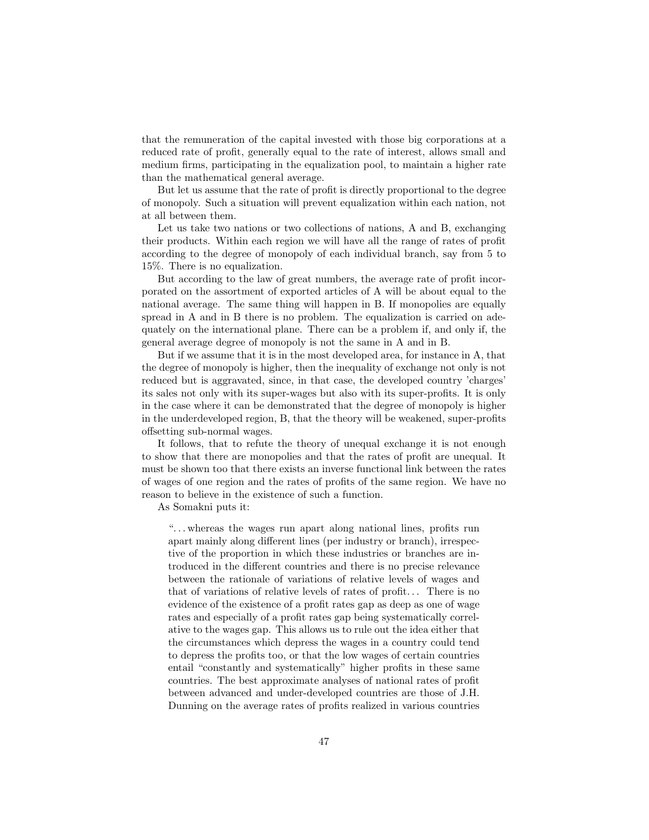that the remuneration of the capital invested with those big corporations at a reduced rate of profit, generally equal to the rate of interest, allows small and medium firms, participating in the equalization pool, to maintain a higher rate than the mathematical general average.

But let us assume that the rate of profit is directly proportional to the degree of monopoly. Such a situation will prevent equalization within each nation, not at all between them.

Let us take two nations or two collections of nations, A and B, exchanging their products. Within each region we will have all the range of rates of profit according to the degree of monopoly of each individual branch, say from 5 to 15%. There is no equalization.

But according to the law of great numbers, the average rate of profit incorporated on the assortment of exported articles of A will be about equal to the national average. The same thing will happen in B. If monopolies are equally spread in A and in B there is no problem. The equalization is carried on adequately on the international plane. There can be a problem if, and only if, the general average degree of monopoly is not the same in A and in B.

But if we assume that it is in the most developed area, for instance in A, that the degree of monopoly is higher, then the inequality of exchange not only is not reduced but is aggravated, since, in that case, the developed country 'charges' its sales not only with its super-wages but also with its super-profits. It is only in the case where it can be demonstrated that the degree of monopoly is higher in the underdeveloped region, B, that the theory will be weakened, super-profits offsetting sub-normal wages.

It follows, that to refute the theory of unequal exchange it is not enough to show that there are monopolies and that the rates of profit are unequal. It must be shown too that there exists an inverse functional link between the rates of wages of one region and the rates of profits of the same region. We have no reason to believe in the existence of such a function.

As Somakni puts it:

". . . whereas the wages run apart along national lines, profits run apart mainly along different lines (per industry or branch), irrespective of the proportion in which these industries or branches are introduced in the different countries and there is no precise relevance between the rationale of variations of relative levels of wages and that of variations of relative levels of rates of profit. . . There is no evidence of the existence of a profit rates gap as deep as one of wage rates and especially of a profit rates gap being systematically correlative to the wages gap. This allows us to rule out the idea either that the circumstances which depress the wages in a country could tend to depress the profits too, or that the low wages of certain countries entail "constantly and systematically" higher profits in these same countries. The best approximate analyses of national rates of profit between advanced and under-developed countries are those of J.H. Dunning on the average rates of profits realized in various countries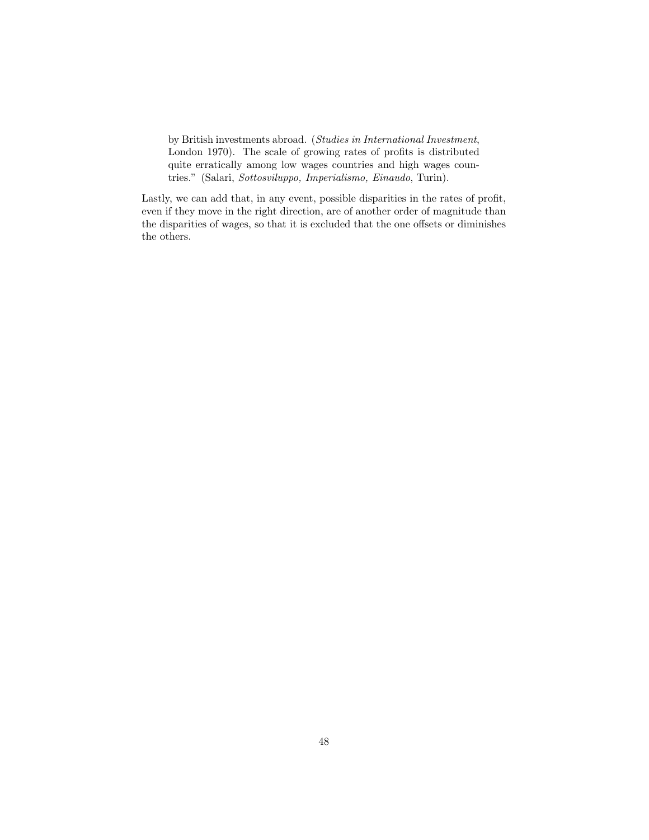by British investments abroad. (Studies in International Investment, London 1970). The scale of growing rates of profits is distributed quite erratically among low wages countries and high wages countries." (Salari, Sottosviluppo, Imperialismo, Einaudo, Turin).

Lastly, we can add that, in any event, possible disparities in the rates of profit, even if they move in the right direction, are of another order of magnitude than the disparities of wages, so that it is excluded that the one offsets or diminishes the others.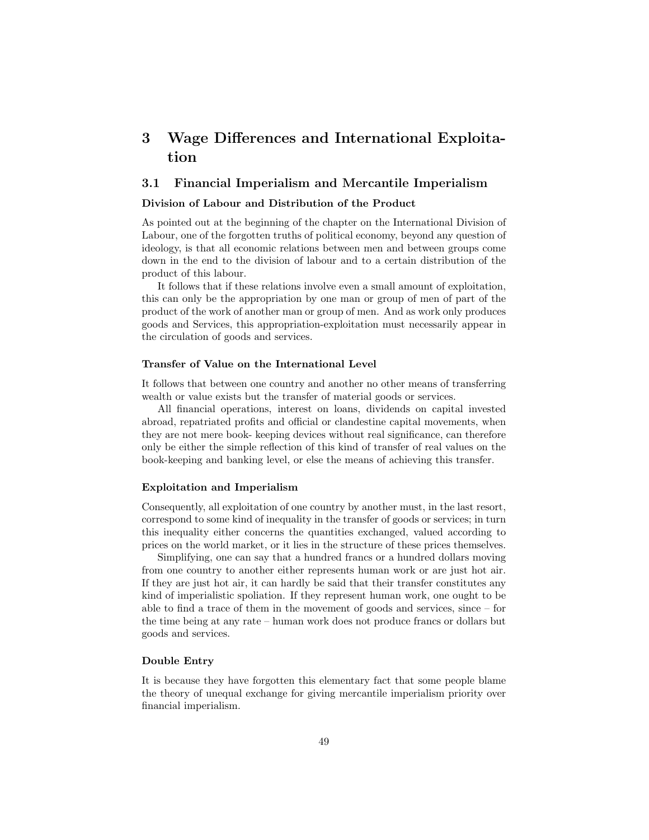# 3 Wage Differences and International Exploitation

# 3.1 Financial Imperialism and Mercantile Imperialism

# Division of Labour and Distribution of the Product

As pointed out at the beginning of the chapter on the International Division of Labour, one of the forgotten truths of political economy, beyond any question of ideology, is that all economic relations between men and between groups come down in the end to the division of labour and to a certain distribution of the product of this labour.

It follows that if these relations involve even a small amount of exploitation, this can only be the appropriation by one man or group of men of part of the product of the work of another man or group of men. And as work only produces goods and Services, this appropriation-exploitation must necessarily appear in the circulation of goods and services.

#### Transfer of Value on the International Level

It follows that between one country and another no other means of transferring wealth or value exists but the transfer of material goods or services.

All financial operations, interest on loans, dividends on capital invested abroad, repatriated profits and official or clandestine capital movements, when they are not mere book- keeping devices without real significance, can therefore only be either the simple reflection of this kind of transfer of real values on the book-keeping and banking level, or else the means of achieving this transfer.

## Exploitation and Imperialism

Consequently, all exploitation of one country by another must, in the last resort, correspond to some kind of inequality in the transfer of goods or services; in turn this inequality either concerns the quantities exchanged, valued according to prices on the world market, or it lies in the structure of these prices themselves.

Simplifying, one can say that a hundred francs or a hundred dollars moving from one country to another either represents human work or are just hot air. If they are just hot air, it can hardly be said that their transfer constitutes any kind of imperialistic spoliation. If they represent human work, one ought to be able to find a trace of them in the movement of goods and services, since – for the time being at any rate – human work does not produce francs or dollars but goods and services.

# Double Entry

It is because they have forgotten this elementary fact that some people blame the theory of unequal exchange for giving mercantile imperialism priority over financial imperialism.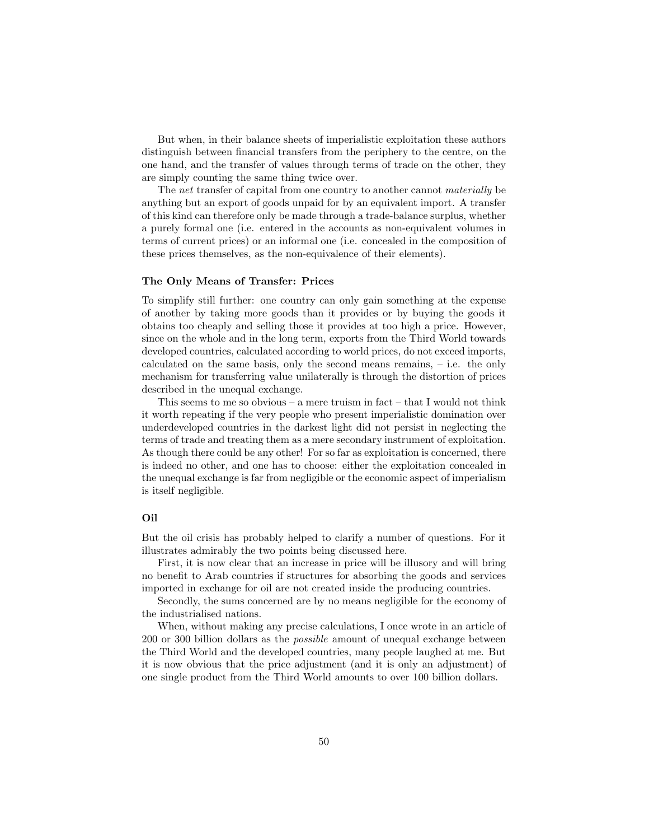But when, in their balance sheets of imperialistic exploitation these authors distinguish between financial transfers from the periphery to the centre, on the one hand, and the transfer of values through terms of trade on the other, they are simply counting the same thing twice over.

The net transfer of capital from one country to another cannot *materially* be anything but an export of goods unpaid for by an equivalent import. A transfer of this kind can therefore only be made through a trade-balance surplus, whether a purely formal one (i.e. entered in the accounts as non-equivalent volumes in terms of current prices) or an informal one (i.e. concealed in the composition of these prices themselves, as the non-equivalence of their elements).

#### The Only Means of Transfer: Prices

To simplify still further: one country can only gain something at the expense of another by taking more goods than it provides or by buying the goods it obtains too cheaply and selling those it provides at too high a price. However, since on the whole and in the long term, exports from the Third World towards developed countries, calculated according to world prices, do not exceed imports, calculated on the same basis, only the second means remains, – i.e. the only mechanism for transferring value unilaterally is through the distortion of prices described in the unequal exchange.

This seems to me so obvious – a mere truism in fact – that I would not think it worth repeating if the very people who present imperialistic domination over underdeveloped countries in the darkest light did not persist in neglecting the terms of trade and treating them as a mere secondary instrument of exploitation. As though there could be any other! For so far as exploitation is concerned, there is indeed no other, and one has to choose: either the exploitation concealed in the unequal exchange is far from negligible or the economic aspect of imperialism is itself negligible.

# Oil

But the oil crisis has probably helped to clarify a number of questions. For it illustrates admirably the two points being discussed here.

First, it is now clear that an increase in price will be illusory and will bring no benefit to Arab countries if structures for absorbing the goods and services imported in exchange for oil are not created inside the producing countries.

Secondly, the sums concerned are by no means negligible for the economy of the industrialised nations.

When, without making any precise calculations, I once wrote in an article of 200 or 300 billion dollars as the possible amount of unequal exchange between the Third World and the developed countries, many people laughed at me. But it is now obvious that the price adjustment (and it is only an adjustment) of one single product from the Third World amounts to over 100 billion dollars.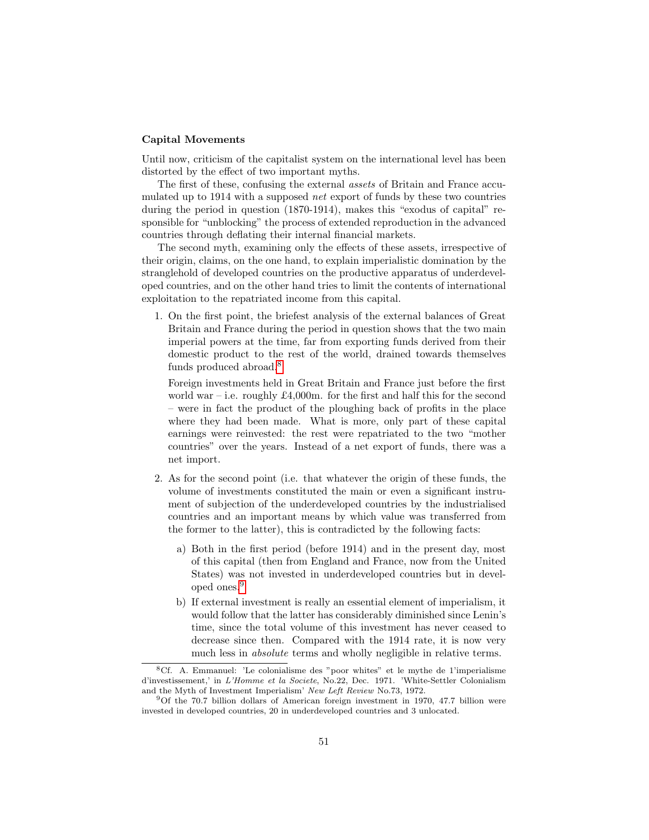#### Capital Movements

Until now, criticism of the capitalist system on the international level has been distorted by the effect of two important myths.

The first of these, confusing the external assets of Britain and France accumulated up to 1914 with a supposed net export of funds by these two countries during the period in question (1870-1914), makes this "exodus of capital" responsible for "unblocking" the process of extended reproduction in the advanced countries through deflating their internal financial markets.

The second myth, examining only the effects of these assets, irrespective of their origin, claims, on the one hand, to explain imperialistic domination by the stranglehold of developed countries on the productive apparatus of underdeveloped countries, and on the other hand tries to limit the contents of international exploitation to the repatriated income from this capital.

1. On the first point, the briefest analysis of the external balances of Great Britain and France during the period in question shows that the two main imperial powers at the time, far from exporting funds derived from their domestic product to the rest of the world, drained towards themselves funds produced abroad.[8](#page-0-0)

Foreign investments held in Great Britain and France just before the first world war – i.e. roughly £4,000m. for the first and half this for the second – were in fact the product of the ploughing back of profits in the place where they had been made. What is more, only part of these capital earnings were reinvested: the rest were repatriated to the two "mother countries" over the years. Instead of a net export of funds, there was a net import.

- 2. As for the second point (i.e. that whatever the origin of these funds, the volume of investments constituted the main or even a significant instrument of subjection of the underdeveloped countries by the industrialised countries and an important means by which value was transferred from the former to the latter), this is contradicted by the following facts:
	- a) Both in the first period (before 1914) and in the present day, most of this capital (then from England and France, now from the United States) was not invested in underdeveloped countries but in developed ones.[9](#page-0-0)
	- b) If external investment is really an essential element of imperialism, it would follow that the latter has considerably diminished since Lenin's time, since the total volume of this investment has never ceased to decrease since then. Compared with the 1914 rate, it is now very much less in absolute terms and wholly negligible in relative terms.

 ${}^{8}$ Cf. A. Emmanuel: 'Le colonialisme des "poor whites" et le mythe de 1'imperialisme d'investissement,' in L'Homme et la Societe, No.22, Dec. 1971. 'White-Settler Colonialism and the Myth of Investment Imperialism' New Left Review No.73, 1972.

<sup>9</sup>Of the 70.7 billion dollars of American foreign investment in 1970, 47.7 billion were invested in developed countries, 20 in underdeveloped countries and 3 unlocated.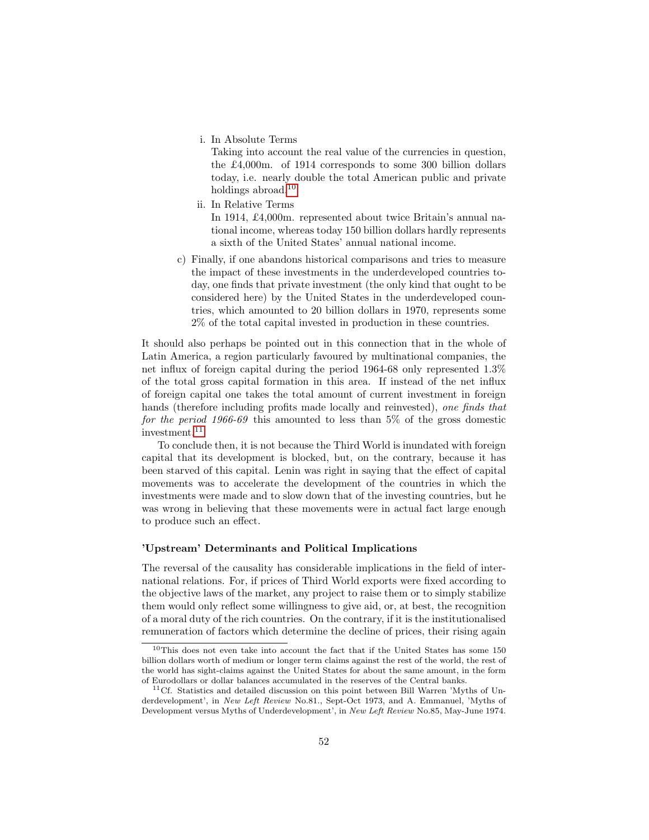i. In Absolute Terms

Taking into account the real value of the currencies in question, the £4,000m. of 1914 corresponds to some 300 billion dollars today, i.e. nearly double the total American public and private holdings abroad.<sup>[10](#page-0-0)</sup>

- ii. In Relative Terms In 1914, £4,000m. represented about twice Britain's annual national income, whereas today 150 billion dollars hardly represents a sixth of the United States' annual national income.
- c) Finally, if one abandons historical comparisons and tries to measure the impact of these investments in the underdeveloped countries today, one finds that private investment (the only kind that ought to be considered here) by the United States in the underdeveloped countries, which amounted to 20 billion dollars in 1970, represents some 2% of the total capital invested in production in these countries.

It should also perhaps be pointed out in this connection that in the whole of Latin America, a region particularly favoured by multinational companies, the net influx of foreign capital during the period 1964-68 only represented 1.3% of the total gross capital formation in this area. If instead of the net influx of foreign capital one takes the total amount of current investment in foreign hands (therefore including profits made locally and reinvested), one finds that for the period 1966-69 this amounted to less than 5% of the gross domestic investment.[11](#page-0-0)

To conclude then, it is not because the Third World is inundated with foreign capital that its development is blocked, but, on the contrary, because it has been starved of this capital. Lenin was right in saying that the effect of capital movements was to accelerate the development of the countries in which the investments were made and to slow down that of the investing countries, but he was wrong in believing that these movements were in actual fact large enough to produce such an effect.

#### 'Upstream' Determinants and Political Implications

The reversal of the causality has considerable implications in the field of international relations. For, if prices of Third World exports were fixed according to the objective laws of the market, any project to raise them or to simply stabilize them would only reflect some willingness to give aid, or, at best, the recognition of a moral duty of the rich countries. On the contrary, if it is the institutionalised remuneration of factors which determine the decline of prices, their rising again

 $10$ This does not even take into account the fact that if the United States has some 150 billion dollars worth of medium or longer term claims against the rest of the world, the rest of the world has sight-claims against the United States for about the same amount, in the form of Eurodollars or dollar balances accumulated in the reserves of the Central banks.

 $11Cf$ . Statistics and detailed discussion on this point between Bill Warren 'Myths of Underdevelopment', in New Left Review No.81., Sept-Oct 1973, and A. Emmanuel, 'Myths of Development versus Myths of Underdevelopment', in New Left Review No.85, May-June 1974.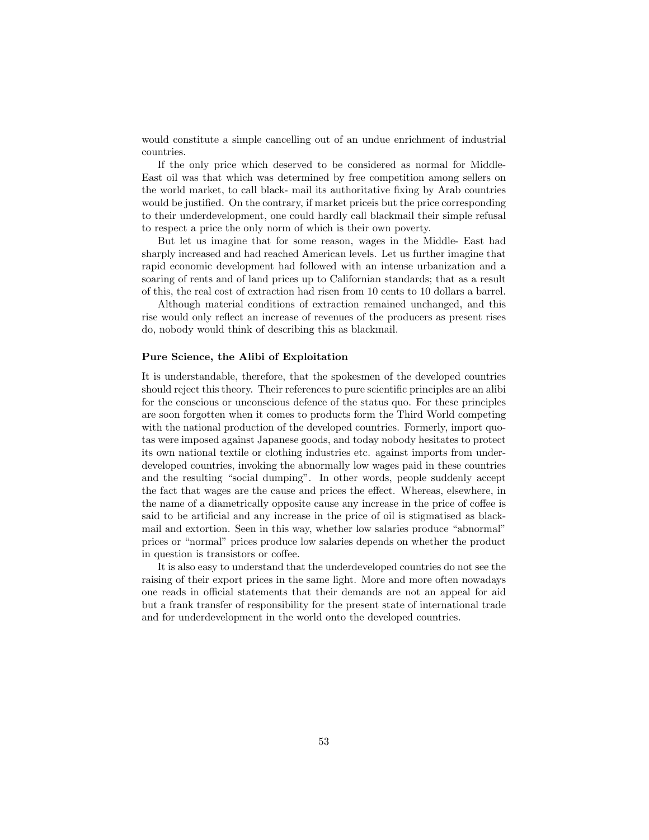would constitute a simple cancelling out of an undue enrichment of industrial countries.

If the only price which deserved to be considered as normal for Middle-East oil was that which was determined by free competition among sellers on the world market, to call black- mail its authoritative fixing by Arab countries would be justified. On the contrary, if market price is but the price corresponding to their underdevelopment, one could hardly call blackmail their simple refusal to respect a price the only norm of which is their own poverty.

But let us imagine that for some reason, wages in the Middle- East had sharply increased and had reached American levels. Let us further imagine that rapid economic development had followed with an intense urbanization and a soaring of rents and of land prices up to Californian standards; that as a result of this, the real cost of extraction had risen from 10 cents to 10 dollars a barrel.

Although material conditions of extraction remained unchanged, and this rise would only reflect an increase of revenues of the producers as present rises do, nobody would think of describing this as blackmail.

#### Pure Science, the Alibi of Exploitation

It is understandable, therefore, that the spokesmen of the developed countries should reject this theory. Their references to pure scientific principles are an alibi for the conscious or unconscious defence of the status quo. For these principles are soon forgotten when it comes to products form the Third World competing with the national production of the developed countries. Formerly, import quotas were imposed against Japanese goods, and today nobody hesitates to protect its own national textile or clothing industries etc. against imports from underdeveloped countries, invoking the abnormally low wages paid in these countries and the resulting "social dumping". In other words, people suddenly accept the fact that wages are the cause and prices the effect. Whereas, elsewhere, in the name of a diametrically opposite cause any increase in the price of coffee is said to be artificial and any increase in the price of oil is stigmatised as blackmail and extortion. Seen in this way, whether low salaries produce "abnormal" prices or "normal" prices produce low salaries depends on whether the product in question is transistors or coffee.

It is also easy to understand that the underdeveloped countries do not see the raising of their export prices in the same light. More and more often nowadays one reads in official statements that their demands are not an appeal for aid but a frank transfer of responsibility for the present state of international trade and for underdevelopment in the world onto the developed countries.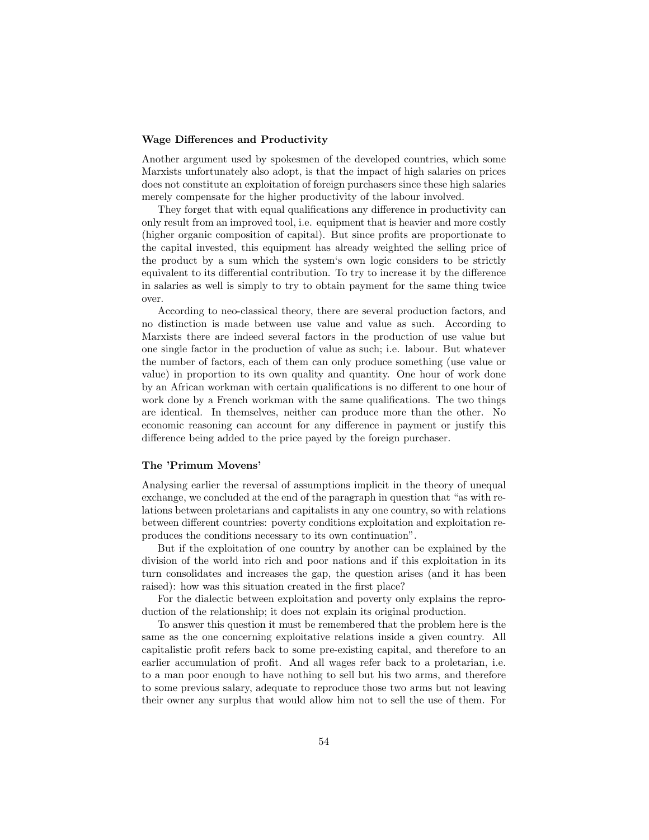#### Wage Differences and Productivity

Another argument used by spokesmen of the developed countries, which some Marxists unfortunately also adopt, is that the impact of high salaries on prices does not constitute an exploitation of foreign purchasers since these high salaries merely compensate for the higher productivity of the labour involved.

They forget that with equal qualifications any difference in productivity can only result from an improved tool, i.e. equipment that is heavier and more costly (higher organic composition of capital). But since profits are proportionate to the capital invested, this equipment has already weighted the selling price of the product by a sum which the system's own logic considers to be strictly equivalent to its differential contribution. To try to increase it by the difference in salaries as well is simply to try to obtain payment for the same thing twice over.

According to neo-classical theory, there are several production factors, and no distinction is made between use value and value as such. According to Marxists there are indeed several factors in the production of use value but one single factor in the production of value as such; i.e. labour. But whatever the number of factors, each of them can only produce something (use value or value) in proportion to its own quality and quantity. One hour of work done by an African workman with certain qualifications is no different to one hour of work done by a French workman with the same qualifications. The two things are identical. In themselves, neither can produce more than the other. No economic reasoning can account for any difference in payment or justify this difference being added to the price payed by the foreign purchaser.

#### The 'Primum Movens'

Analysing earlier the reversal of assumptions implicit in the theory of unequal exchange, we concluded at the end of the paragraph in question that "as with relations between proletarians and capitalists in any one country, so with relations between different countries: poverty conditions exploitation and exploitation reproduces the conditions necessary to its own continuation".

But if the exploitation of one country by another can be explained by the division of the world into rich and poor nations and if this exploitation in its turn consolidates and increases the gap, the question arises (and it has been raised): how was this situation created in the first place?

For the dialectic between exploitation and poverty only explains the reproduction of the relationship; it does not explain its original production.

To answer this question it must be remembered that the problem here is the same as the one concerning exploitative relations inside a given country. All capitalistic profit refers back to some pre-existing capital, and therefore to an earlier accumulation of profit. And all wages refer back to a proletarian, i.e. to a man poor enough to have nothing to sell but his two arms, and therefore to some previous salary, adequate to reproduce those two arms but not leaving their owner any surplus that would allow him not to sell the use of them. For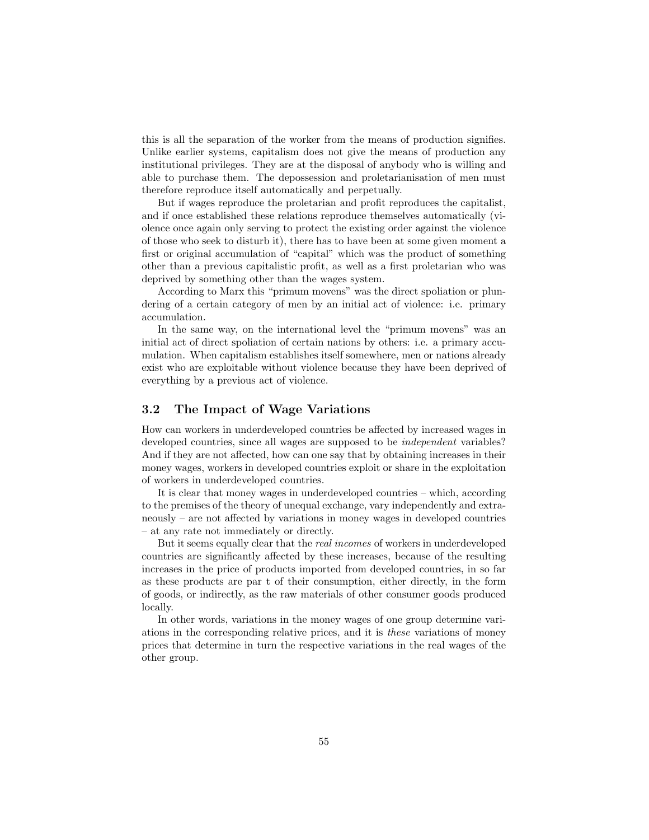this is all the separation of the worker from the means of production signifies. Unlike earlier systems, capitalism does not give the means of production any institutional privileges. They are at the disposal of anybody who is willing and able to purchase them. The depossession and proletarianisation of men must therefore reproduce itself automatically and perpetually.

But if wages reproduce the proletarian and profit reproduces the capitalist, and if once established these relations reproduce themselves automatically (violence once again only serving to protect the existing order against the violence of those who seek to disturb it), there has to have been at some given moment a first or original accumulation of "capital" which was the product of something other than a previous capitalistic profit, as well as a first proletarian who was deprived by something other than the wages system.

According to Marx this "primum movens" was the direct spoliation or plundering of a certain category of men by an initial act of violence: i.e. primary accumulation.

In the same way, on the international level the "primum movens" was an initial act of direct spoliation of certain nations by others: i.e. a primary accumulation. When capitalism establishes itself somewhere, men or nations already exist who are exploitable without violence because they have been deprived of everything by a previous act of violence.

# 3.2 The Impact of Wage Variations

How can workers in underdeveloped countries be affected by increased wages in developed countries, since all wages are supposed to be *independent* variables? And if they are not affected, how can one say that by obtaining increases in their money wages, workers in developed countries exploit or share in the exploitation of workers in underdeveloped countries.

It is clear that money wages in underdeveloped countries – which, according to the premises of the theory of unequal exchange, vary independently and extraneously – are not affected by variations in money wages in developed countries – at any rate not immediately or directly.

But it seems equally clear that the real incomes of workers in underdeveloped countries are significantly affected by these increases, because of the resulting increases in the price of products imported from developed countries, in so far as these products are par t of their consumption, either directly, in the form of goods, or indirectly, as the raw materials of other consumer goods produced locally.

In other words, variations in the money wages of one group determine variations in the corresponding relative prices, and it is these variations of money prices that determine in turn the respective variations in the real wages of the other group.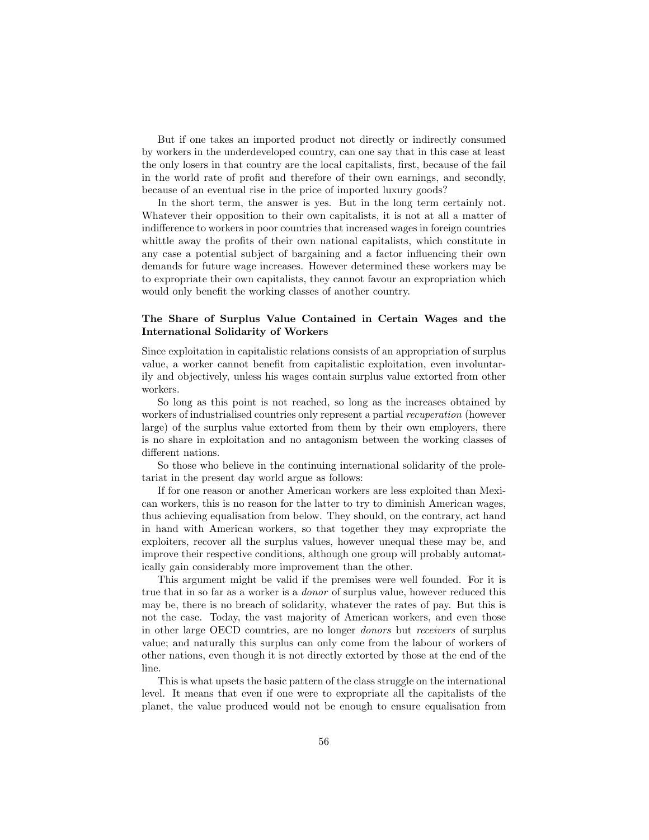But if one takes an imported product not directly or indirectly consumed by workers in the underdeveloped country, can one say that in this case at least the only losers in that country are the local capitalists, first, because of the fail in the world rate of profit and therefore of their own earnings, and secondly, because of an eventual rise in the price of imported luxury goods?

In the short term, the answer is yes. But in the long term certainly not. Whatever their opposition to their own capitalists, it is not at all a matter of indifference to workers in poor countries that increased wages in foreign countries whittle away the profits of their own national capitalists, which constitute in any case a potential subject of bargaining and a factor influencing their own demands for future wage increases. However determined these workers may be to expropriate their own capitalists, they cannot favour an expropriation which would only benefit the working classes of another country.

# The Share of Surplus Value Contained in Certain Wages and the International Solidarity of Workers

Since exploitation in capitalistic relations consists of an appropriation of surplus value, a worker cannot benefit from capitalistic exploitation, even involuntarily and objectively, unless his wages contain surplus value extorted from other workers.

So long as this point is not reached, so long as the increases obtained by workers of industrialised countries only represent a partial *recuperation* (however large) of the surplus value extorted from them by their own employers, there is no share in exploitation and no antagonism between the working classes of different nations.

So those who believe in the continuing international solidarity of the proletariat in the present day world argue as follows:

If for one reason or another American workers are less exploited than Mexican workers, this is no reason for the latter to try to diminish American wages, thus achieving equalisation from below. They should, on the contrary, act hand in hand with American workers, so that together they may expropriate the exploiters, recover all the surplus values, however unequal these may be, and improve their respective conditions, although one group will probably automatically gain considerably more improvement than the other.

This argument might be valid if the premises were well founded. For it is true that in so far as a worker is a donor of surplus value, however reduced this may be, there is no breach of solidarity, whatever the rates of pay. But this is not the case. Today, the vast majority of American workers, and even those in other large OECD countries, are no longer donors but receivers of surplus value; and naturally this surplus can only come from the labour of workers of other nations, even though it is not directly extorted by those at the end of the line.

This is what upsets the basic pattern of the class struggle on the international level. It means that even if one were to expropriate all the capitalists of the planet, the value produced would not be enough to ensure equalisation from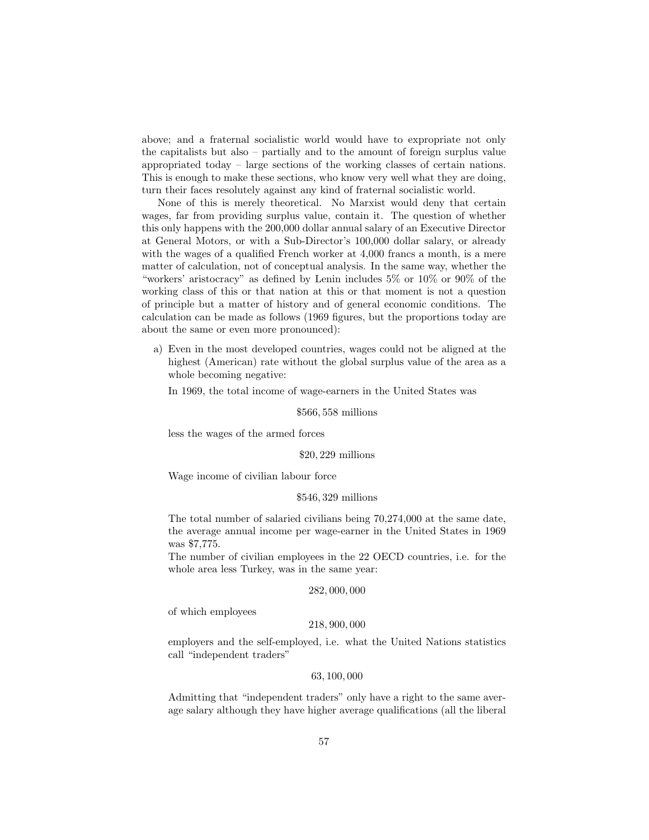above; and a fraternal socialistic world would have to expropriate not only the capitalists but also – partially and to the amount of foreign surplus value appropriated today – large sections of the working classes of certain nations. This is enough to make these sections, who know very well what they are doing, turn their faces resolutely against any kind of fraternal socialistic world.

None of this is merely theoretical. No Marxist would deny that certain wages, far from providing surplus value, contain it. The question of whether this only happens with the 200,000 dollar annual salary of an Executive Director at General Motors, or with a Sub-Director's 100,000 dollar salary, or already with the wages of a qualified French worker at 4,000 francs a month, is a mere matter of calculation, not of conceptual analysis. In the same way, whether the "workers' aristocracy" as defined by Lenin includes 5% or 10% or 90% of the working class of this or that nation at this or that moment is not a question of principle but a matter of history and of general economic conditions. The calculation can be made as follows (1969 figures, but the proportions today are about the same or even more pronounced):

a) Even in the most developed countries, wages could not be aligned at the highest (American) rate without the global surplus value of the area as a whole becoming negative:

In 1969, the total income of wage-earners in the United States was

\$566, 558 millions

less the wages of the armed forces

# \$20, 229 millions

Wage income of civilian labour force

#### \$546, 329 millions

The total number of salaried civilians being 70,274,000 at the same date, the average annual income per wage-earner in the United States in 1969 was \$7,775.

The number of civilian employees in the 22 OECD countries, i.e. for the whole area less Turkey, was in the same year:

#### 282, 000, 000

of which employees

#### 218, 900, 000

employers and the self-employed, i.e. what the United Nations statistics call "independent traders"

# 63, 100, 000

Admitting that "independent traders" only have a right to the same average salary although they have higher average qualifications (all the liberal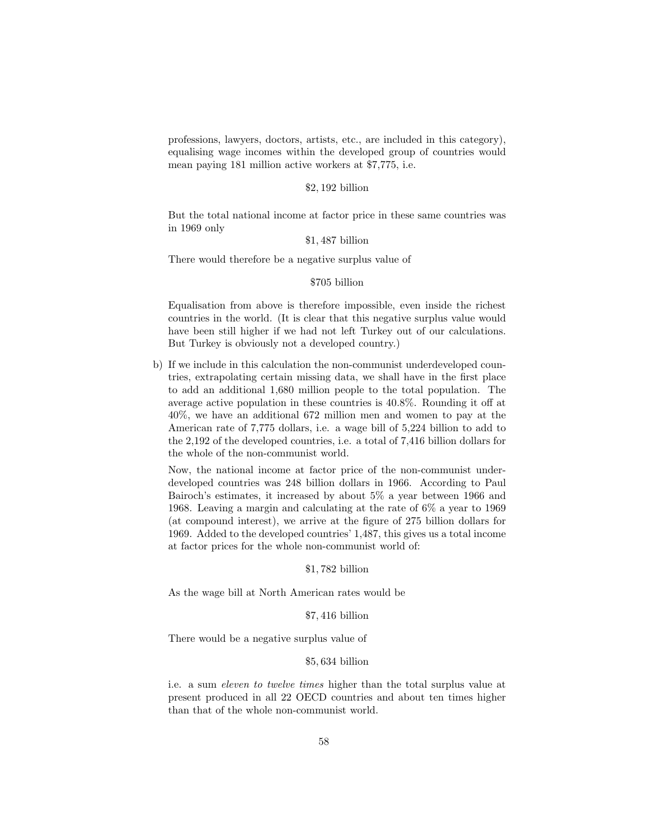professions, lawyers, doctors, artists, etc., are included in this category), equalising wage incomes within the developed group of countries would mean paying 181 million active workers at \$7,775, i.e.

#### \$2, 192 billion

But the total national income at factor price in these same countries was in 1969 only

#### \$1, 487 billion

There would therefore be a negative surplus value of

# \$705 billion

Equalisation from above is therefore impossible, even inside the richest countries in the world. (It is clear that this negative surplus value would have been still higher if we had not left Turkey out of our calculations. But Turkey is obviously not a developed country.)

b) If we include in this calculation the non-communist underdeveloped countries, extrapolating certain missing data, we shall have in the first place to add an additional 1,680 million people to the total population. The average active population in these countries is 40.8%. Rounding it off at 40%, we have an additional 672 million men and women to pay at the American rate of 7,775 dollars, i.e. a wage bill of 5,224 billion to add to the 2,192 of the developed countries, i.e. a total of 7,416 billion dollars for the whole of the non-communist world.

Now, the national income at factor price of the non-communist underdeveloped countries was 248 billion dollars in 1966. According to Paul Bairoch's estimates, it increased by about 5% a year between 1966 and 1968. Leaving a margin and calculating at the rate of 6% a year to 1969 (at compound interest), we arrive at the figure of 275 billion dollars for 1969. Added to the developed countries' 1,487, this gives us a total income at factor prices for the whole non-communist world of:

#### \$1, 782 billion

As the wage bill at North American rates would be

#### \$7, 416 billion

There would be a negative surplus value of

#### \$5, 634 billion

i.e. a sum eleven to twelve times higher than the total surplus value at present produced in all 22 OECD countries and about ten times higher than that of the whole non-communist world.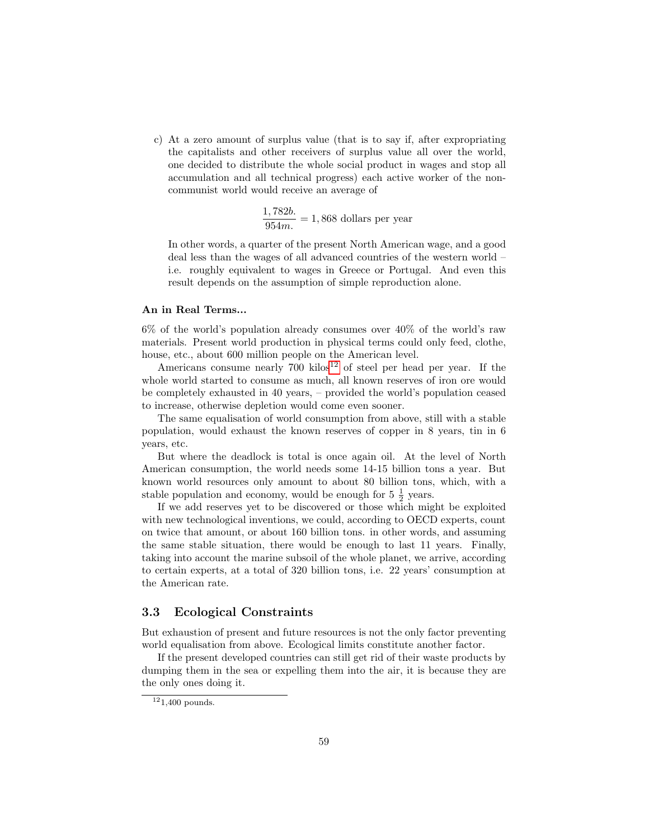c) At a zero amount of surplus value (that is to say if, after expropriating the capitalists and other receivers of surplus value all over the world, one decided to distribute the whole social product in wages and stop all accumulation and all technical progress) each active worker of the noncommunist world would receive an average of

> 1, 782b.  $\frac{1}{954m}$ . = 1,868 dollars per year

In other words, a quarter of the present North American wage, and a good deal less than the wages of all advanced countries of the western world – i.e. roughly equivalent to wages in Greece or Portugal. And even this result depends on the assumption of simple reproduction alone.

#### An in Real Terms...

6% of the world's population already consumes over 40% of the world's raw materials. Present world production in physical terms could only feed, clothe, house, etc., about 600 million people on the American level.

Americans consume nearly  $700 \text{ kilos}^{12}$  $700 \text{ kilos}^{12}$  $700 \text{ kilos}^{12}$  of steel per head per year. If the whole world started to consume as much, all known reserves of iron ore would be completely exhausted in 40 years, – provided the world's population ceased to increase, otherwise depletion would come even sooner.

The same equalisation of world consumption from above, still with a stable population, would exhaust the known reserves of copper in 8 years, tin in 6 years, etc.

But where the deadlock is total is once again oil. At the level of North American consumption, the world needs some 14-15 billion tons a year. But known world resources only amount to about 80 billion tons, which, with a stable population and economy, would be enough for 5  $\frac{1}{2}$  years.

If we add reserves yet to be discovered or those which might be exploited with new technological inventions, we could, according to OECD experts, count on twice that amount, or about 160 billion tons. in other words, and assuming the same stable situation, there would be enough to last 11 years. Finally, taking into account the marine subsoil of the whole planet, we arrive, according to certain experts, at a total of 320 billion tons, i.e. 22 years' consumption at the American rate.

# 3.3 Ecological Constraints

But exhaustion of present and future resources is not the only factor preventing world equalisation from above. Ecological limits constitute another factor.

If the present developed countries can still get rid of their waste products by dumping them in the sea or expelling them into the air, it is because they are the only ones doing it.

 $121,400$  pounds.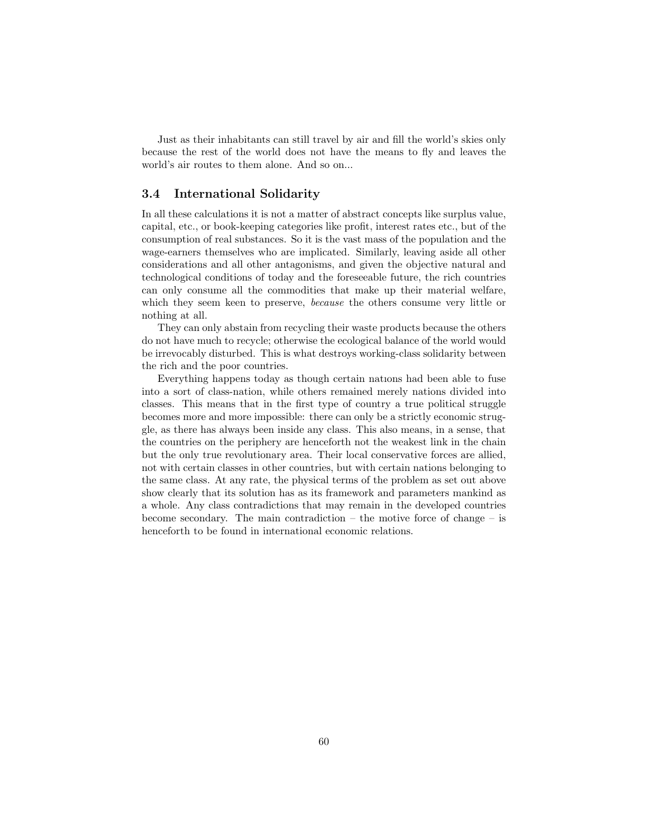Just as their inhabitants can still travel by air and fill the world's skies only because the rest of the world does not have the means to fly and leaves the world's air routes to them alone. And so on...

# 3.4 International Solidarity

In all these calculations it is not a matter of abstract concepts like surplus value, capital, etc., or book-keeping categories like profit, interest rates etc., but of the consumption of real substances. So it is the vast mass of the population and the wage-earners themselves who are implicated. Similarly, leaving aside all other considerations and all other antagonisms, and given the objective natural and technological conditions of today and the foreseeable future, the rich countries can only consume all the commodities that make up their material welfare, which they seem keen to preserve, *because* the others consume very little or nothing at all.

They can only abstain from recycling their waste products because the others do not have much to recycle; otherwise the ecological balance of the world would be irrevocably disturbed. This is what destroys working-class solidarity between the rich and the poor countries.

Everything happens today as though certain natıons had been able to fuse into a sort of class-nation, while others remained merely nations divided into classes. This means that in the first type of country a true political struggle becomes more and more impossible: there can only be a strictly economic struggle, as there has always been inside any class. This also means, in a sense, that the countries on the periphery are henceforth not the weakest link in the chain but the only true revolutionary area. Their local conservative forces are allied, not with certain classes in other countries, but with certain nations belonging to the same class. At any rate, the physical terms of the problem as set out above show clearly that its solution has as its framework and parameters mankind as a whole. Any class contradictions that may remain in the developed countries become secondary. The main contradiction – the motive force of change – is henceforth to be found in international economic relations.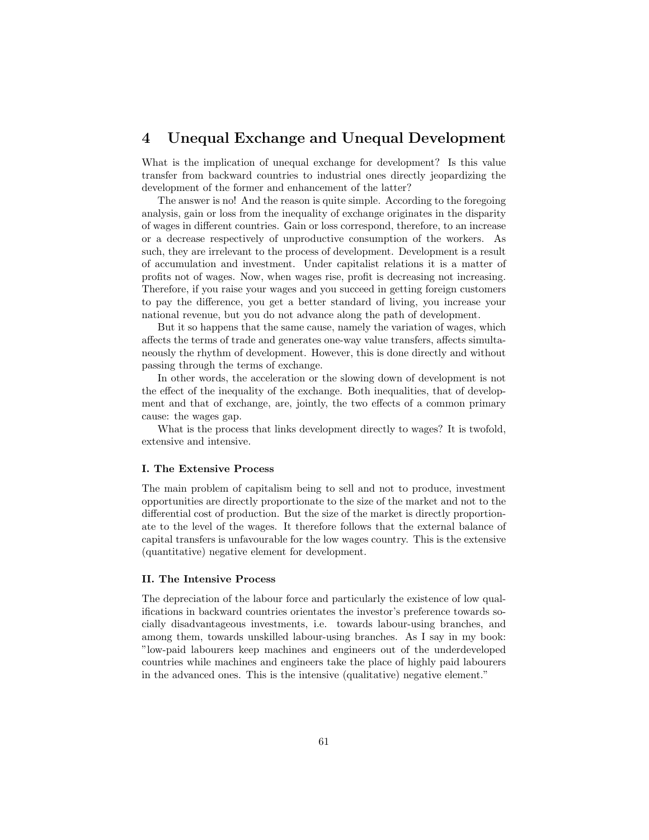# 4 Unequal Exchange and Unequal Development

What is the implication of unequal exchange for development? Is this value transfer from backward countries to industrial ones directly jeopardizing the development of the former and enhancement of the latter?

The answer is no! And the reason is quite simple. According to the foregoing analysis, gain or loss from the inequality of exchange originates in the disparity of wages in different countries. Gain or loss correspond, therefore, to an increase or a decrease respectively of unproductive consumption of the workers. As such, they are irrelevant to the process of development. Development is a result of accumulation and investment. Under capitalist relations it is a matter of profits not of wages. Now, when wages rise, profit is decreasing not increasing. Therefore, if you raise your wages and you succeed in getting foreign customers to pay the difference, you get a better standard of living, you increase your national revenue, but you do not advance along the path of development.

But it so happens that the same cause, namely the variation of wages, which affects the terms of trade and generates one-way value transfers, affects simultaneously the rhythm of development. However, this is done directly and without passing through the terms of exchange.

In other words, the acceleration or the slowing down of development is not the effect of the inequality of the exchange. Both inequalities, that of development and that of exchange, are, jointly, the two effects of a common primary cause: the wages gap.

What is the process that links development directly to wages? It is twofold, extensive and intensive.

#### I. The Extensive Process

The main problem of capitalism being to sell and not to produce, investment opportunities are directly proportionate to the size of the market and not to the differential cost of production. But the size of the market is directly proportionate to the level of the wages. It therefore follows that the external balance of capital transfers is unfavourable for the low wages country. This is the extensive (quantitative) negative element for development.

#### II. The Intensive Process

The depreciation of the labour force and particularly the existence of low qualifications in backward countries orientates the investor's preference towards socially disadvantageous investments, i.e. towards labour-using branches, and among them, towards unskilled labour-using branches. As I say in my book: "low-paid labourers keep machines and engineers out of the underdeveloped countries while machines and engineers take the place of highly paid labourers in the advanced ones. This is the intensive (qualitative) negative element."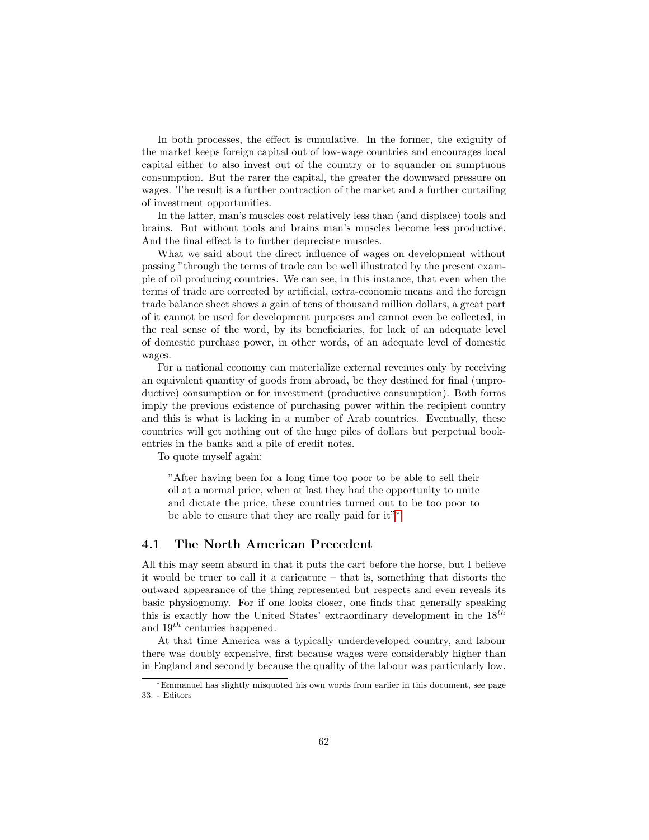In both processes, the effect is cumulative. In the former, the exiguity of the market keeps foreign capital out of low-wage countries and encourages local capital either to also invest out of the country or to squander on sumptuous consumption. But the rarer the capital, the greater the downward pressure on wages. The result is a further contraction of the market and a further curtailing of investment opportunities.

In the latter, man's muscles cost relatively less than (and displace) tools and brains. But without tools and brains man's muscles become less productive. And the final effect is to further depreciate muscles.

What we said about the direct influence of wages on development without passing "through the terms of trade can be well illustrated by the present example of oil producing countries. We can see, in this instance, that even when the terms of trade are corrected by artificial, extra-economic means and the foreign trade balance sheet shows a gain of tens of thousand million dollars, a great part of it cannot be used for development purposes and cannot even be collected, in the real sense of the word, by its beneficiaries, for lack of an adequate level of domestic purchase power, in other words, of an adequate level of domestic wages.

For a national economy can materialize external revenues only by receiving an equivalent quantity of goods from abroad, be they destined for final (unproductive) consumption or for investment (productive consumption). Both forms imply the previous existence of purchasing power within the recipient country and this is what is lacking in a number of Arab countries. Eventually, these countries will get nothing out of the huge piles of dollars but perpetual bookentries in the banks and a pile of credit notes.

To quote myself again:

"After having been for a long time too poor to be able to sell their oil at a normal price, when at last they had the opportunity to unite and dictate the price, these countries turned out to be too poor to be able to ensure that they are really paid for it"[∗](#page-0-0)

# 4.1 The North American Precedent

All this may seem absurd in that it puts the cart before the horse, but I believe it would be truer to call it a caricature – that is, something that distorts the outward appearance of the thing represented but respects and even reveals its basic physiognomy. For if one looks closer, one finds that generally speaking this is exactly how the United States' extraordinary development in the  $18^{th}$ and  $19^{th}$  centuries happened.

At that time America was a typically underdeveloped country, and labour there was doubly expensive, first because wages were considerably higher than in England and secondly because the quality of the labour was particularly low.

<sup>∗</sup>Emmanuel has slightly misquoted his own words from earlier in this document, see page 33. - Editors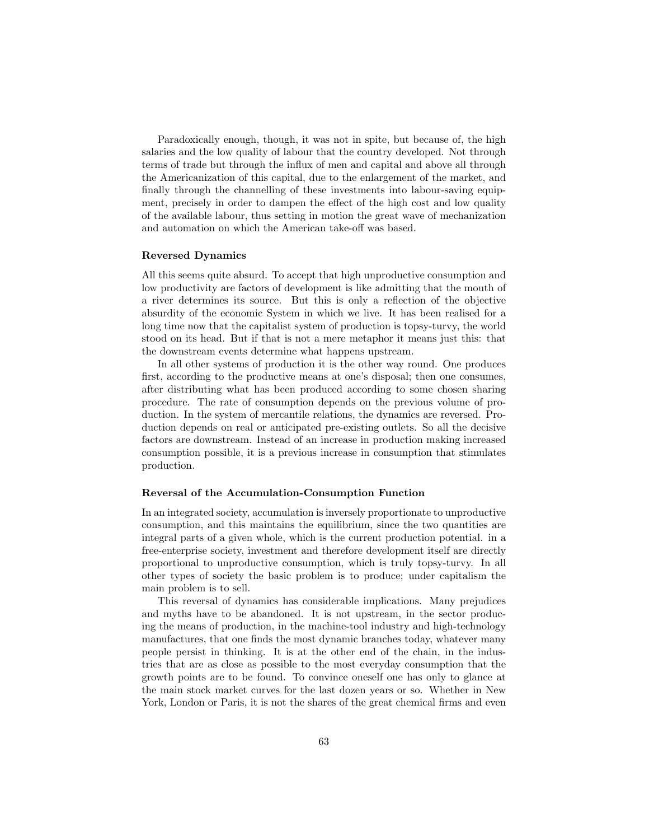Paradoxically enough, though, it was not in spite, but because of, the high salaries and the low quality of labour that the country developed. Not through terms of trade but through the influx of men and capital and above all through the Americanization of this capital, due to the enlargement of the market, and finally through the channelling of these investments into labour-saving equipment, precisely in order to dampen the effect of the high cost and low quality of the available labour, thus setting in motion the great wave of mechanization and automation on which the American take-off was based.

# Reversed Dynamics

All this seems quite absurd. To accept that high unproductive consumption and low productivity are factors of development is like admitting that the mouth of a river determines its source. But this is only a reflection of the objective absurdity of the economic System in which we live. It has been realised for a long time now that the capitalist system of production is topsy-turvy, the world stood on its head. But if that is not a mere metaphor it means just this: that the downstream events determine what happens upstream.

In all other systems of production it is the other way round. One produces first, according to the productive means at one's disposal; then one consumes, after distributing what has been produced according to some chosen sharing procedure. The rate of consumption depends on the previous volume of production. In the system of mercantile relations, the dynamics are reversed. Production depends on real or anticipated pre-existing outlets. So all the decisive factors are downstream. Instead of an increase in production making increased consumption possible, it is a previous increase in consumption that stimulates production.

#### Reversal of the Accumulation-Consumption Function

In an integrated society, accumulation is inversely proportionate to unproductive consumption, and this maintains the equilibrium, since the two quantities are integral parts of a given whole, which is the current production potential. in a free-enterprise society, investment and therefore development itself are directly proportional to unproductive consumption, which is truly topsy-turvy. In all other types of society the basic problem is to produce; under capitalism the main problem is to sell.

This reversal of dynamics has considerable implications. Many prejudices and myths have to be abandoned. It is not upstream, in the sector producing the means of production, in the machine-tool industry and high-technology manufactures, that one finds the most dynamic branches today, whatever many people persist in thinking. It is at the other end of the chain, in the industries that are as close as possible to the most everyday consumption that the growth points are to be found. To convince oneself one has only to glance at the main stock market curves for the last dozen years or so. Whether in New York, London or Paris, it is not the shares of the great chemical firms and even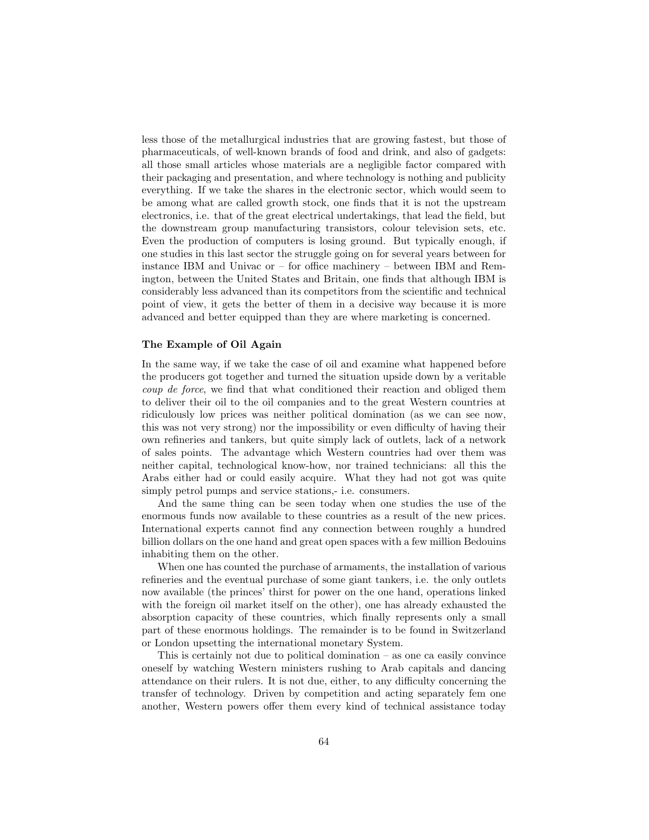less those of the metallurgical industries that are growing fastest, but those of pharmaceuticals, of well-known brands of food and drink, and also of gadgets: all those small articles whose materials are a negligible factor compared with their packaging and presentation, and where technology is nothing and publicity everything. If we take the shares in the electronic sector, which would seem to be among what are called growth stock, one finds that it is not the upstream electronics, i.e. that of the great electrical undertakings, that lead the field, but the downstream group manufacturing transistors, colour television sets, etc. Even the production of computers is losing ground. But typically enough, if one studies in this last sector the struggle going on for several years between for instance IBM and Univac or – for office machinery – between IBM and Remington, between the United States and Britain, one finds that although IBM is considerably less advanced than its competitors from the scientific and technical point of view, it gets the better of them in a decisive way because it is more advanced and better equipped than they are where marketing is concerned.

#### The Example of Oil Again

In the same way, if we take the case of oil and examine what happened before the producers got together and turned the situation upside down by a veritable coup de force, we find that what conditioned their reaction and obliged them to deliver their oil to the oil companies and to the great Western countries at ridiculously low prices was neither political domination (as we can see now, this was not very strong) nor the impossibility or even difficulty of having their own refineries and tankers, but quite simply lack of outlets, lack of a network of sales points. The advantage which Western countries had over them was neither capital, technological know-how, nor trained technicians: all this the Arabs either had or could easily acquire. What they had not got was quite simply petrol pumps and service stations,- i.e. consumers.

And the same thing can be seen today when one studies the use of the enormous funds now available to these countries as a result of the new prices. International experts cannot find any connection between roughly a hundred billion dollars on the one hand and great open spaces with a few million Bedouins inhabiting them on the other.

When one has counted the purchase of armaments, the installation of various refineries and the eventual purchase of some giant tankers, i.e. the only outlets now available (the princes' thirst for power on the one hand, operations linked with the foreign oil market itself on the other), one has already exhausted the absorption capacity of these countries, which finally represents only a small part of these enormous holdings. The remainder is to be found in Switzerland or London upsetting the international monetary System.

This is certainly not due to political domination – as one ca easily convince oneself by watching Western ministers rushing to Arab capitals and dancing attendance on their rulers. It is not due, either, to any difficulty concerning the transfer of technology. Driven by competition and acting separately fem one another, Western powers offer them every kind of technical assistance today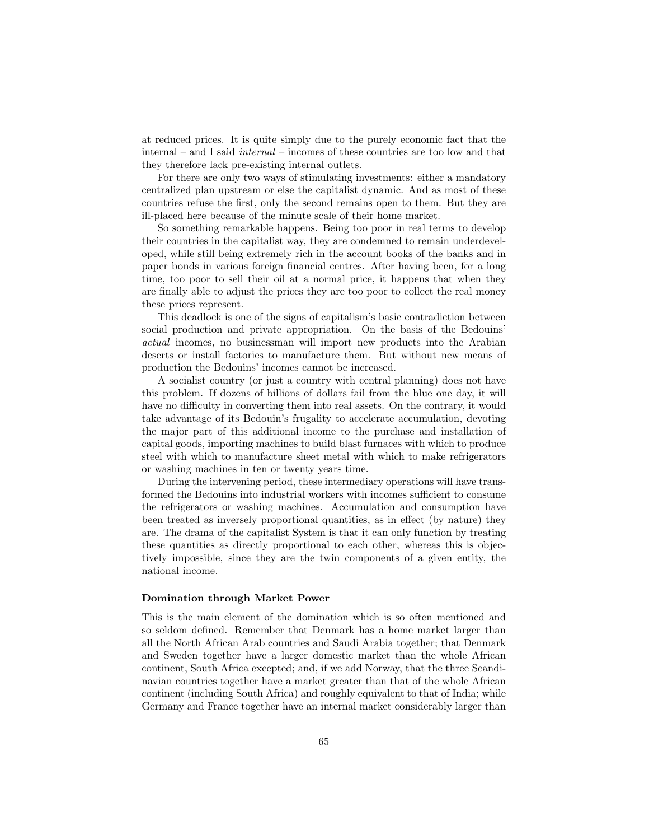at reduced prices. It is quite simply due to the purely economic fact that the internal – and I said internal – incomes of these countries are too low and that they therefore lack pre-existing internal outlets.

For there are only two ways of stimulating investments: either a mandatory centralized plan upstream or else the capitalist dynamic. And as most of these countries refuse the first, only the second remains open to them. But they are ill-placed here because of the minute scale of their home market.

So something remarkable happens. Being too poor in real terms to develop their countries in the capitalist way, they are condemned to remain underdeveloped, while still being extremely rich in the account books of the banks and in paper bonds in various foreign financial centres. After having been, for a long time, too poor to sell their oil at a normal price, it happens that when they are finally able to adjust the prices they are too poor to collect the real money these prices represent.

This deadlock is one of the signs of capitalism's basic contradiction between social production and private appropriation. On the basis of the Bedouins' actual incomes, no businessman will import new products into the Arabian deserts or install factories to manufacture them. But without new means of production the Bedouins' incomes cannot be increased.

A socialist country (or just a country with central planning) does not have this problem. If dozens of billions of dollars fail from the blue one day, it will have no difficulty in converting them into real assets. On the contrary, it would take advantage of its Bedouin's frugality to accelerate accumulation, devoting the major part of this additional income to the purchase and installation of capital goods, importing machines to build blast furnaces with which to produce steel with which to manufacture sheet metal with which to make refrigerators or washing machines in ten or twenty years time.

During the intervening period, these intermediary operations will have transformed the Bedouins into industrial workers with incomes sufficient to consume the refrigerators or washing machines. Accumulation and consumption have been treated as inversely proportional quantities, as in effect (by nature) they are. The drama of the capitalist System is that it can only function by treating these quantities as directly proportional to each other, whereas this is objectively impossible, since they are the twin components of a given entity, the national income.

#### Domination through Market Power

This is the main element of the domination which is so often mentioned and so seldom defined. Remember that Denmark has a home market larger than all the North African Arab countries and Saudi Arabia together; that Denmark and Sweden together have a larger domestic market than the whole African continent, South Africa excepted; and, if we add Norway, that the three Scandinavian countries together have a market greater than that of the whole African continent (including South Africa) and roughly equivalent to that of India; while Germany and France together have an internal market considerably larger than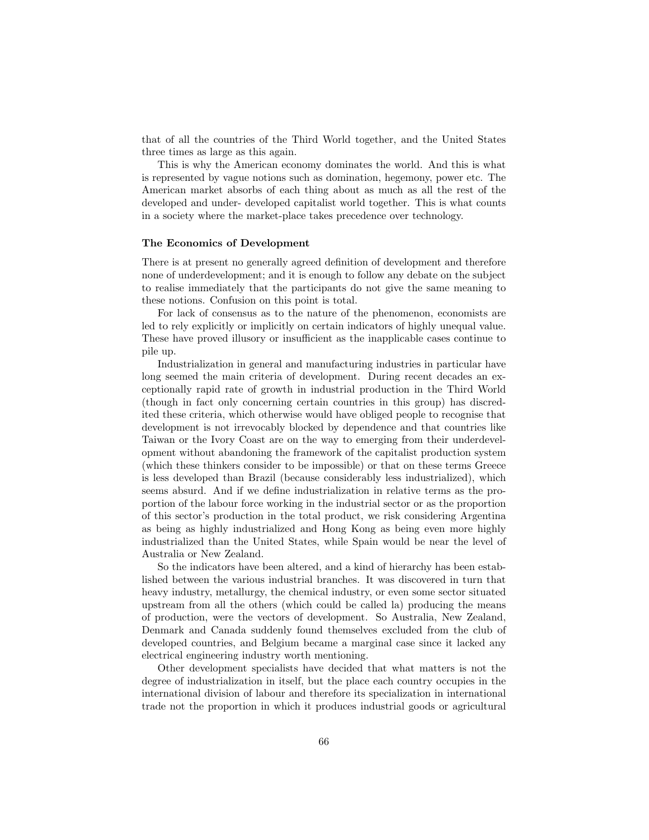that of all the countries of the Third World together, and the United States three times as large as this again.

This is why the American economy dominates the world. And this is what is represented by vague notions such as domination, hegemony, power etc. The American market absorbs of each thing about as much as all the rest of the developed and under- developed capitalist world together. This is what counts in a society where the market-place takes precedence over technology.

#### The Economics of Development

There is at present no generally agreed definition of development and therefore none of underdevelopment; and it is enough to follow any debate on the subject to realise immediately that the participants do not give the same meaning to these notions. Confusion on this point is total.

For lack of consensus as to the nature of the phenomenon, economists are led to rely explicitly or implicitly on certain indicators of highly unequal value. These have proved illusory or insufficient as the inapplicable cases continue to pile up.

Industrialization in general and manufacturing industries in particular have long seemed the main criteria of development. During recent decades an exceptionally rapid rate of growth in industrial production in the Third World (though in fact only concerning certain countries in this group) has discredited these criteria, which otherwise would have obliged people to recognise that development is not irrevocably blocked by dependence and that countries like Taiwan or the Ivory Coast are on the way to emerging from their underdevelopment without abandoning the framework of the capitalist production system (which these thinkers consider to be impossible) or that on these terms Greece is less developed than Brazil (because considerably less industrialized), which seems absurd. And if we define industrialization in relative terms as the proportion of the labour force working in the industrial sector or as the proportion of this sector's production in the total product, we risk considering Argentina as being as highly industrialized and Hong Kong as being even more highly industrialized than the United States, while Spain would be near the level of Australia or New Zealand.

So the indicators have been altered, and a kind of hierarchy has been established between the various industrial branches. It was discovered in turn that heavy industry, metallurgy, the chemical industry, or even some sector situated upstream from all the others (which could be called la) producing the means of production, were the vectors of development. So Australia, New Zealand, Denmark and Canada suddenly found themselves excluded from the club of developed countries, and Belgium became a marginal case since it lacked any electrical engineering industry worth mentioning.

Other development specialists have decided that what matters is not the degree of industrialization in itself, but the place each country occupies in the international division of labour and therefore its specialization in international trade not the proportion in which it produces industrial goods or agricultural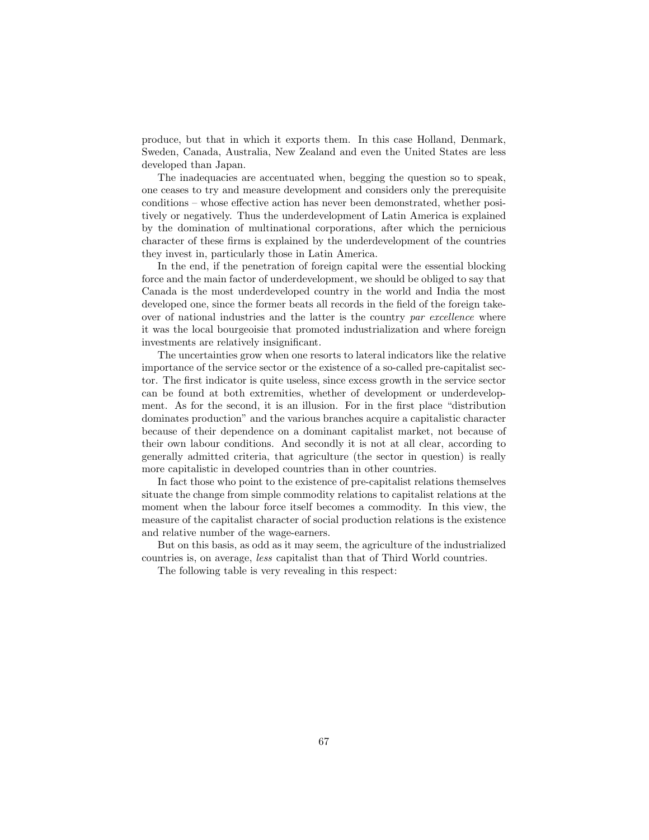produce, but that in which it exports them. In this case Holland, Denmark, Sweden, Canada, Australia, New Zealand and even the United States are less developed than Japan.

The inadequacies are accentuated when, begging the question so to speak, one ceases to try and measure development and considers only the prerequisite conditions – whose effective action has never been demonstrated, whether positively or negatively. Thus the underdevelopment of Latin America is explained by the domination of multinational corporations, after which the pernicious character of these firms is explained by the underdevelopment of the countries they invest in, particularly those in Latin America.

In the end, if the penetration of foreign capital were the essential blocking force and the main factor of underdevelopment, we should be obliged to say that Canada is the most underdeveloped country in the world and India the most developed one, since the former beats all records in the field of the foreign takeover of national industries and the latter is the country par excellence where it was the local bourgeoisie that promoted industrialization and where foreign investments are relatively insignificant.

The uncertainties grow when one resorts to lateral indicators like the relative importance of the service sector or the existence of a so-called pre-capitalist sector. The first indicator is quite useless, since excess growth in the service sector can be found at both extremities, whether of development or underdevelopment. As for the second, it is an illusion. For in the first place "distribution dominates production" and the various branches acquire a capitalistic character because of their dependence on a dominant capitalist market, not because of their own labour conditions. And secondly it is not at all clear, according to generally admitted criteria, that agriculture (the sector in question) is really more capitalistic in developed countries than in other countries.

In fact those who point to the existence of pre-capitalist relations themselves situate the change from simple commodity relations to capitalist relations at the moment when the labour force itself becomes a commodity. In this view, the measure of the capitalist character of social production relations is the existence and relative number of the wage-earners.

But on this basis, as odd as it may seem, the agriculture of the industrialized countries is, on average, less capitalist than that of Third World countries.

The following table is very revealing in this respect: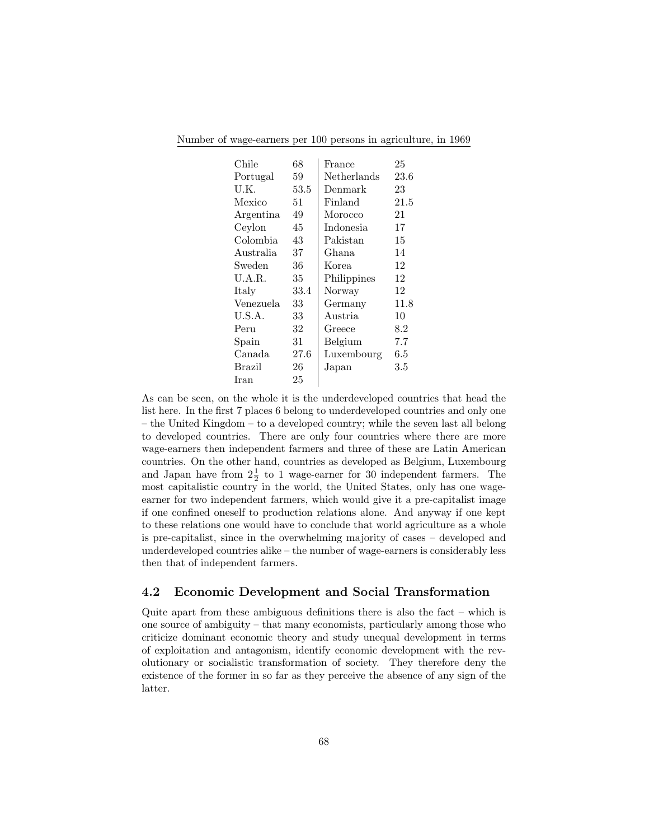|  | Number of wage-earners per 100 persons in agriculture, in 1969 |  |  |  |  |
|--|----------------------------------------------------------------|--|--|--|--|
|  |                                                                |  |  |  |  |

| Chile     | 68   | France      | 25      |
|-----------|------|-------------|---------|
| Portugal  | 59   | Netherlands | 23.6    |
| U.K.      | 53.5 | Denmark     | 23      |
| Mexico    | 51   | Finland     | 21.5    |
| Argentina | 49   | Morocco     | 21      |
| Ceylon    | 45   | Indonesia   | 17      |
| Colombia  | 43   | Pakistan    | 15      |
| Australia | 37   | Ghana       | 14      |
| Sweden    | 36   | Korea       | 12      |
| U.A.R.    | 35   | Philippines | 12      |
| Italy     | 33.4 | Norway      | 12      |
| Venezuela | 33   | Germany     | 11.8    |
| U.S.A.    | 33   | Austria     | 10      |
| Peru      | 32   | Greece      | 8.2     |
| Spain     | 31   | Belgium     | 7.7     |
| Canada    | 27.6 | Luxembourg  | $6.5\,$ |
| Brazil    | 26   | Japan       | $3.5\,$ |
| Iran      | 25   |             |         |

As can be seen, on the whole it is the underdeveloped countries that head the list here. In the first 7 places 6 belong to underdeveloped countries and only one – the United Kingdom – to a developed country; while the seven last all belong to developed countries. There are only four countries where there are more wage-earners then independent farmers and three of these are Latin American countries. On the other hand, countries as developed as Belgium, Luxembourg and Japan have from  $2\frac{1}{2}$  to 1 wage-earner for 30 independent farmers. The most capitalistic country in the world, the United States, only has one wageearner for two independent farmers, which would give it a pre-capitalist image if one confined oneself to production relations alone. And anyway if one kept to these relations one would have to conclude that world agriculture as a whole is pre-capitalist, since in the overwhelming majority of cases – developed and underdeveloped countries alike – the number of wage-earners is considerably less then that of independent farmers.

# 4.2 Economic Development and Social Transformation

Quite apart from these ambiguous definitions there is also the fact – which is one source of ambiguity – that many economists, particularly among those who criticize dominant economic theory and study unequal development in terms of exploitation and antagonism, identify economic development with the revolutionary or socialistic transformation of society. They therefore deny the existence of the former in so far as they perceive the absence of any sign of the latter.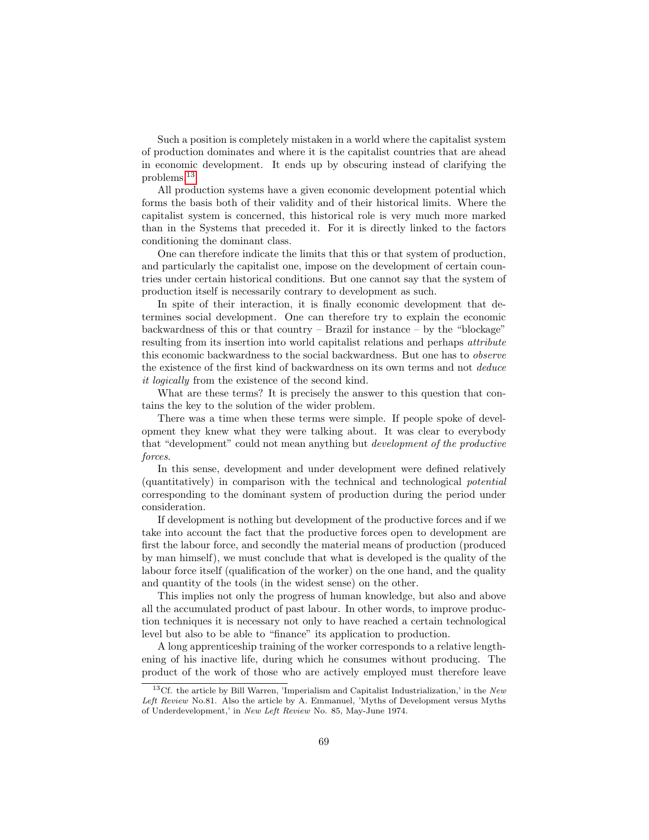Such a position is completely mistaken in a world where the capitalist system of production dominates and where it is the capitalist countries that are ahead in economic development. It ends up by obscuring instead of clarifying the problems.[13](#page-0-0)

All production systems have a given economic development potential which forms the basis both of their validity and of their historical limits. Where the capitalist system is concerned, this historical role is very much more marked than in the Systems that preceded it. For it is directly linked to the factors conditioning the dominant class.

One can therefore indicate the limits that this or that system of production, and particularly the capitalist one, impose on the development of certain countries under certain historical conditions. But one cannot say that the system of production itself is necessarily contrary to development as such.

In spite of their interaction, it is finally economic development that determines social development. One can therefore try to explain the economic backwardness of this or that country – Brazil for instance – by the "blockage" resulting from its insertion into world capitalist relations and perhaps attribute this economic backwardness to the social backwardness. But one has to observe the existence of the first kind of backwardness on its own terms and not deduce it logically from the existence of the second kind.

What are these terms? It is precisely the answer to this question that contains the key to the solution of the wider problem.

There was a time when these terms were simple. If people spoke of development they knew what they were talking about. It was clear to everybody that "development" could not mean anything but development of the productive forces.

In this sense, development and under development were defined relatively (quantitatively) in comparison with the technical and technological potential corresponding to the dominant system of production during the period under consideration.

If development is nothing but development of the productive forces and if we take into account the fact that the productive forces open to development are first the labour force, and secondly the material means of production (produced by man himself), we must conclude that what is developed is the quality of the labour force itself (qualification of the worker) on the one hand, and the quality and quantity of the tools (in the widest sense) on the other.

This implies not only the progress of human knowledge, but also and above all the accumulated product of past labour. In other words, to improve production techniques it is necessary not only to have reached a certain technological level but also to be able to "finance" its application to production.

A long apprenticeship training of the worker corresponds to a relative lengthening of his inactive life, during which he consumes without producing. The product of the work of those who are actively employed must therefore leave

<sup>&</sup>lt;sup>13</sup>Cf. the article by Bill Warren, 'Imperialism and Capitalist Industrialization,' in the New Left Review No.81. Also the article by A. Emmanuel, 'Myths of Development versus Myths of Underdevelopment,' in New Left Review No. 85, May-June 1974.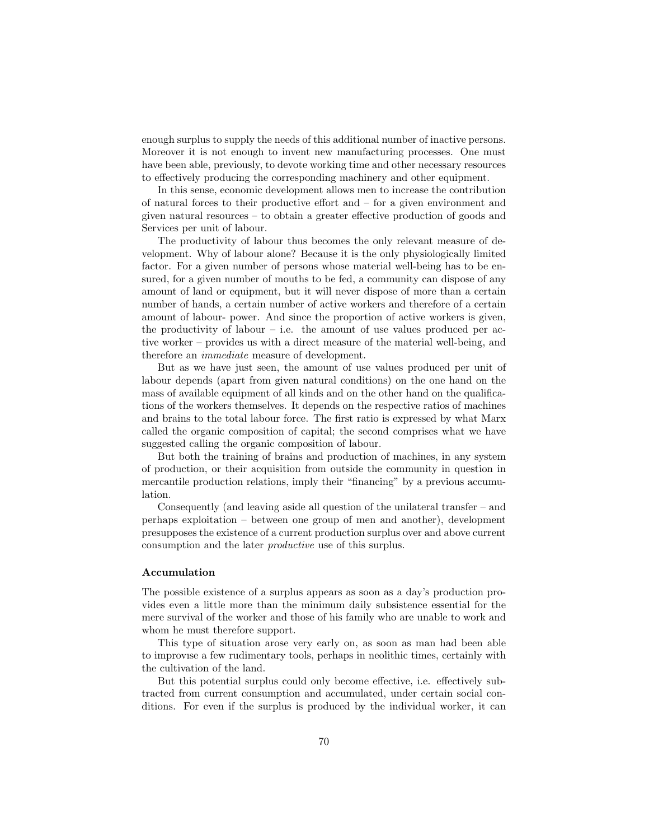enough surplus to supply the needs of this additional number of inactive persons. Moreover it is not enough to invent new manufacturing processes. One must have been able, previously, to devote working time and other necessary resources to effectively producing the corresponding machinery and other equipment.

In this sense, economic development allows men to increase the contribution of natural forces to their productive effort and – for a given environment and given natural resources – to obtain a greater effective production of goods and Services per unit of labour.

The productivity of labour thus becomes the only relevant measure of development. Why of labour alone? Because it is the only physiologically limited factor. For a given number of persons whose material well-being has to be ensured, for a given number of mouths to be fed, a community can dispose of any amount of land or equipment, but it will never dispose of more than a certain number of hands, a certain number of active workers and therefore of a certain amount of labour- power. And since the proportion of active workers is given, the productivity of labour – i.e. the amount of use values produced per active worker – provides us with a direct measure of the material well-being, and therefore an immediate measure of development.

But as we have just seen, the amount of use values produced per unit of labour depends (apart from given natural conditions) on the one hand on the mass of available equipment of all kinds and on the other hand on the qualifications of the workers themselves. It depends on the respective ratios of machines and brains to the total labour force. The first ratio is expressed by what Marx called the organic composition of capital; the second comprises what we have suggested calling the organic composition of labour.

But both the training of brains and production of machines, in any system of production, or their acquisition from outside the community in question in mercantile production relations, imply their "financing" by a previous accumulation.

Consequently (and leaving aside all question of the unilateral transfer – and perhaps exploitation – between one group of men and another), development presupposes the existence of a current production surplus over and above current consumption and the later productive use of this surplus.

#### Accumulation

The possible existence of a surplus appears as soon as a day's production provides even a little more than the minimum daily subsistence essential for the mere survival of the worker and those of his family who are unable to work and whom he must therefore support.

This type of situation arose very early on, as soon as man had been able to improvıse a few rudimentary tools, perhaps in neolithic times, certainly with the cultivation of the land.

But this potential surplus could only become effective, i.e. effectively subtracted from current consumption and accumulated, under certain social conditions. For even if the surplus is produced by the individual worker, it can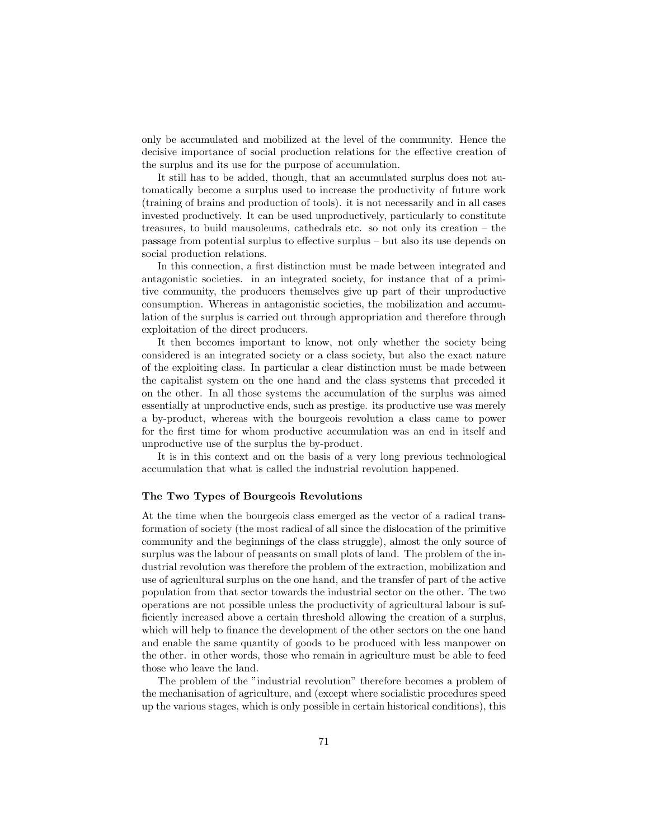only be accumulated and mobilized at the level of the community. Hence the decisive importance of social production relations for the effective creation of the surplus and its use for the purpose of accumulation.

It still has to be added, though, that an accumulated surplus does not automatically become a surplus used to increase the productivity of future work (training of brains and production of tools). it is not necessarily and in all cases invested productively. It can be used unproductively, particularly to constitute treasures, to build mausoleums, cathedrals etc. so not only its creation – the passage from potential surplus to effective surplus – but also its use depends on social production relations.

In this connection, a first distinction must be made between integrated and antagonistic societies. in an integrated society, for instance that of a primitive community, the producers themselves give up part of their unproductive consumption. Whereas in antagonistic societies, the mobilization and accumulation of the surplus is carried out through appropriation and therefore through exploitation of the direct producers.

It then becomes important to know, not only whether the society being considered is an integrated society or a class society, but also the exact nature of the exploiting class. In particular a clear distinction must be made between the capitalist system on the one hand and the class systems that preceded it on the other. In all those systems the accumulation of the surplus was aimed essentially at unproductive ends, such as prestige. its productive use was merely a by-product, whereas with the bourgeois revolution a class came to power for the first time for whom productive accumulation was an end in itself and unproductive use of the surplus the by-product.

It is in this context and on the basis of a very long previous technological accumulation that what is called the industrial revolution happened.

#### The Two Types of Bourgeois Revolutions

At the time when the bourgeois class emerged as the vector of a radical transformation of society (the most radical of all since the dislocation of the primitive community and the beginnings of the class struggle), almost the only source of surplus was the labour of peasants on small plots of land. The problem of the industrial revolution was therefore the problem of the extraction, mobilization and use of agricultural surplus on the one hand, and the transfer of part of the active population from that sector towards the industrial sector on the other. The two operations are not possible unless the productivity of agricultural labour is sufficiently increased above a certain threshold allowing the creation of a surplus, which will help to finance the development of the other sectors on the one hand and enable the same quantity of goods to be produced with less manpower on the other. in other words, those who remain in agriculture must be able to feed those who leave the land.

The problem of the "industrial revolution" therefore becomes a problem of the mechanisation of agriculture, and (except where socialistic procedures speed up the various stages, which is only possible in certain historical conditions), this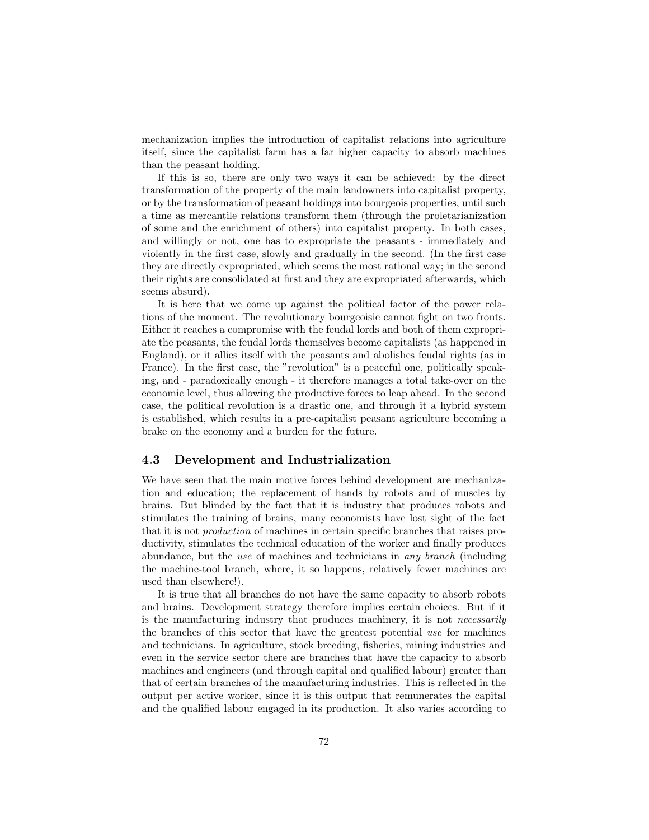mechanization implies the introduction of capitalist relations into agriculture itself, since the capitalist farm has a far higher capacity to absorb machines than the peasant holding.

If this is so, there are only two ways it can be achieved: by the direct transformation of the property of the main landowners into capitalist property, or by the transformation of peasant holdings into bourgeois properties, until such a time as mercantile relations transform them (through the proletarianization of some and the enrichment of others) into capitalist property. In both cases, and willingly or not, one has to expropriate the peasants - immediately and violently in the first case, slowly and gradually in the second. (In the first case they are directly expropriated, which seems the most rational way; in the second their rights are consolidated at first and they are expropriated afterwards, which seems absurd).

It is here that we come up against the political factor of the power relations of the moment. The revolutionary bourgeoisie cannot fight on two fronts. Either it reaches a compromise with the feudal lords and both of them expropriate the peasants, the feudal lords themselves become capitalists (as happened in England), or it allies itself with the peasants and abolishes feudal rights (as in France). In the first case, the "revolution" is a peaceful one, politically speaking, and - paradoxically enough - it therefore manages a total take-over on the economic level, thus allowing the productive forces to leap ahead. In the second case, the political revolution is a drastic one, and through it a hybrid system is established, which results in a pre-capitalist peasant agriculture becoming a brake on the economy and a burden for the future.

# 4.3 Development and Industrialization

We have seen that the main motive forces behind development are mechanization and education; the replacement of hands by robots and of muscles by brains. But blinded by the fact that it is industry that produces robots and stimulates the training of brains, many economists have lost sight of the fact that it is not production of machines in certain specific branches that raises productivity, stimulates the technical education of the worker and finally produces abundance, but the use of machines and technicians in any branch (including the machine-tool branch, where, it so happens, relatively fewer machines are used than elsewhere!).

It is true that all branches do not have the same capacity to absorb robots and brains. Development strategy therefore implies certain choices. But if it is the manufacturing industry that produces machinery, it is not *necessarily* the branches of this sector that have the greatest potential use for machines and technicians. In agriculture, stock breeding, fisheries, mining industries and even in the service sector there are branches that have the capacity to absorb machines and engineers (and through capital and qualified labour) greater than that of certain branches of the manufacturing industries. This is reflected in the output per active worker, since it is this output that remunerates the capital and the qualified labour engaged in its production. It also varies according to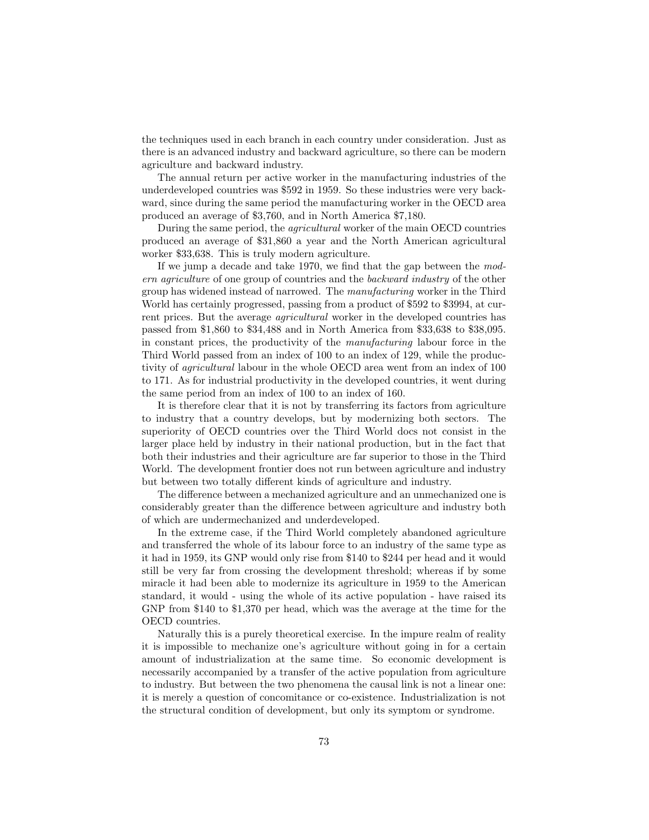the techniques used in each branch in each country under consideration. Just as there is an advanced industry and backward agriculture, so there can be modern agriculture and backward industry.

The annual return per active worker in the manufacturing industries of the underdeveloped countries was \$592 in 1959. So these industries were very backward, since during the same period the manufacturing worker in the OECD area produced an average of \$3,760, and in North America \$7,180.

During the same period, the agricultural worker of the main OECD countries produced an average of \$31,860 a year and the North American agricultural worker \$33,638. This is truly modern agriculture.

If we jump a decade and take 1970, we find that the gap between the modern agriculture of one group of countries and the backward industry of the other group has widened instead of narrowed. The manufacturing worker in the Third World has certainly progressed, passing from a product of \$592 to \$3994, at current prices. But the average agricultural worker in the developed countries has passed from \$1,860 to \$34,488 and in North America from \$33,638 to \$38,095. in constant prices, the productivity of the manufacturing labour force in the Third World passed from an index of 100 to an index of 129, while the productivity of agricultural labour in the whole OECD area went from an index of 100 to 171. As for industrial productivity in the developed countries, it went during the same period from an index of 100 to an index of 160.

It is therefore clear that it is not by transferring its factors from agriculture to industry that a country develops, but by modernizing both sectors. The superiority of OECD countries over the Third World docs not consist in the larger place held by industry in their national production, but in the fact that both their industries and their agriculture are far superior to those in the Third World. The development frontier does not run between agriculture and industry but between two totally different kinds of agriculture and industry.

The difference between a mechanized agriculture and an unmechanized one is considerably greater than the difference between agriculture and industry both of which are undermechanized and underdeveloped.

In the extreme case, if the Third World completely abandoned agriculture and transferred the whole of its labour force to an industry of the same type as it had in 1959, its GNP would only rise from \$140 to \$244 per head and it would still be very far from crossing the development threshold; whereas if by some miracle it had been able to modernize its agriculture in 1959 to the American standard, it would - using the whole of its active population - have raised its GNP from \$140 to \$1,370 per head, which was the average at the time for the OECD countries.

Naturally this is a purely theoretical exercise. In the impure realm of reality it is impossible to mechanize one's agriculture without going in for a certain amount of industrialization at the same time. So economic development is necessarily accompanied by a transfer of the active population from agriculture to industry. But between the two phenomena the causal link is not a linear one: it is merely a question of concomitance or co-existence. Industrialization is not the structural condition of development, but only its symptom or syndrome.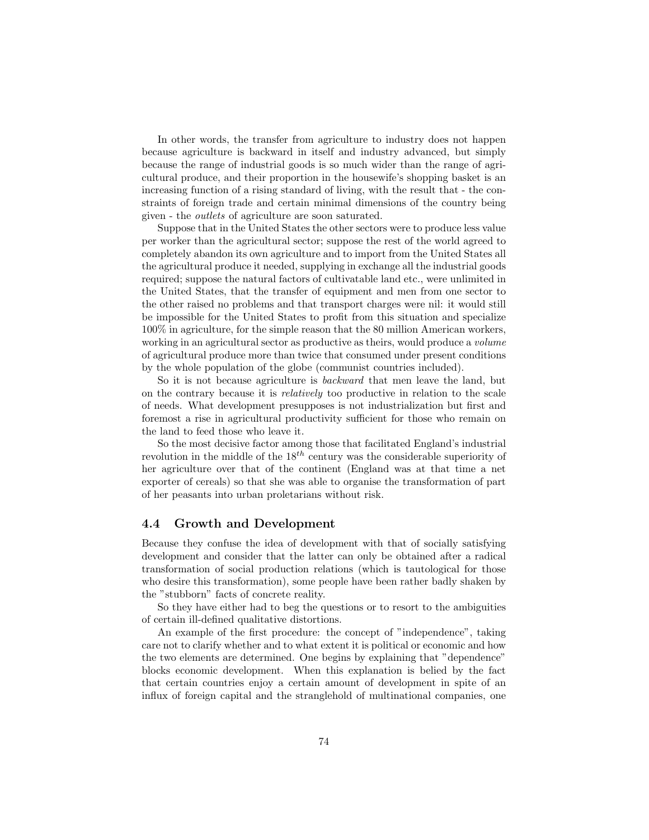In other words, the transfer from agriculture to industry does not happen because agriculture is backward in itself and industry advanced, but simply because the range of industrial goods is so much wider than the range of agricultural produce, and their proportion in the housewife's shopping basket is an increasing function of a rising standard of living, with the result that - the constraints of foreign trade and certain minimal dimensions of the country being given - the outlets of agriculture are soon saturated.

Suppose that in the United States the other sectors were to produce less value per worker than the agricultural sector; suppose the rest of the world agreed to completely abandon its own agriculture and to import from the United States all the agricultural produce it needed, supplying in exchange all the industrial goods required; suppose the natural factors of cultivatable land etc., were unlimited in the United States, that the transfer of equipment and men from one sector to the other raised no problems and that transport charges were nil: it would still be impossible for the United States to profit from this situation and specialize 100% in agriculture, for the simple reason that the 80 million American workers, working in an agricultural sector as productive as theirs, would produce a *volume* of agricultural produce more than twice that consumed under present conditions by the whole population of the globe (communist countries included).

So it is not because agriculture is backward that men leave the land, but on the contrary because it is relatively too productive in relation to the scale of needs. What development presupposes is not industrialization but first and foremost a rise in agricultural productivity sufficient for those who remain on the land to feed those who leave it.

So the most decisive factor among those that facilitated England's industrial revolution in the middle of the  $18^{th}$  century was the considerable superiority of her agriculture over that of the continent (England was at that time a net exporter of cereals) so that she was able to organise the transformation of part of her peasants into urban proletarians without risk.

## 4.4 Growth and Development

Because they confuse the idea of development with that of socially satisfying development and consider that the latter can only be obtained after a radical transformation of social production relations (which is tautological for those who desire this transformation), some people have been rather badly shaken by the "stubborn" facts of concrete reality.

So they have either had to beg the questions or to resort to the ambiguities of certain ill-defined qualitative distortions.

An example of the first procedure: the concept of "independence", taking care not to clarify whether and to what extent it is political or economic and how the two elements are determined. One begins by explaining that "dependence" blocks economic development. When this explanation is belied by the fact that certain countries enjoy a certain amount of development in spite of an influx of foreign capital and the stranglehold of multinational companies, one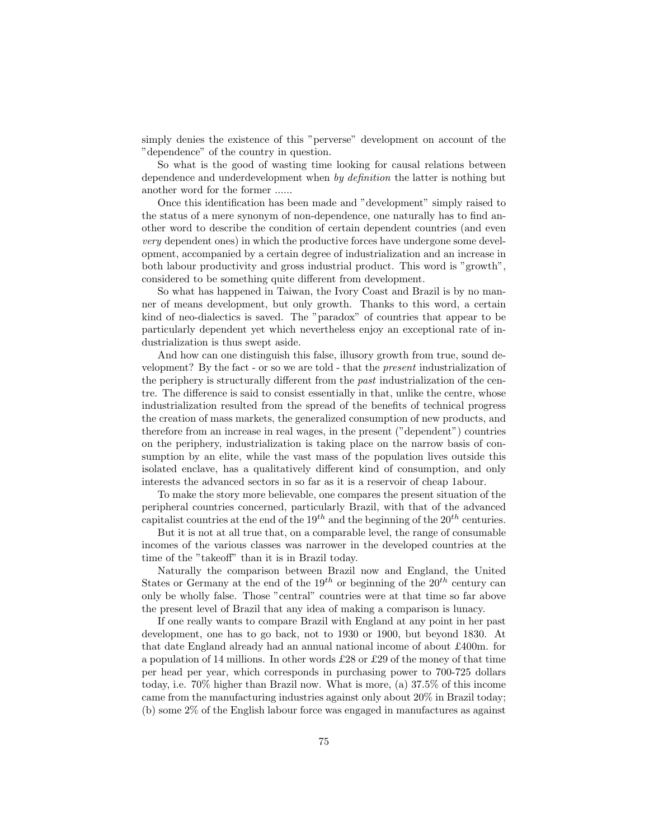simply denies the existence of this "perverse" development on account of the "dependence" of the country in question.

So what is the good of wasting time looking for causal relations between dependence and underdevelopment when by definition the latter is nothing but another word for the former ......

Once this identification has been made and "development" simply raised to the status of a mere synonym of non-dependence, one naturally has to find another word to describe the condition of certain dependent countries (and even very dependent ones) in which the productive forces have undergone some development, accompanied by a certain degree of industrialization and an increase in both labour productivity and gross industrial product. This word is "growth", considered to be something quite different from development.

So what has happened in Taiwan, the Ivory Coast and Brazil is by no manner of means development, but only growth. Thanks to this word, a certain kind of neo-dialectics is saved. The "paradox" of countries that appear to be particularly dependent yet which nevertheless enjoy an exceptional rate of industrialization is thus swept aside.

And how can one distinguish this false, illusory growth from true, sound development? By the fact - or so we are told - that the present industrialization of the periphery is structurally different from the past industrialization of the centre. The difference is said to consist essentially in that, unlike the centre, whose industrialization resulted from the spread of the benefits of technical progress the creation of mass markets, the generalized consumption of new products, and therefore from an increase in real wages, in the present ("dependent") countries on the periphery, industrialization is taking place on the narrow basis of consumption by an elite, while the vast mass of the population lives outside this isolated enclave, has a qualitatively different kind of consumption, and only interests the advanced sectors in so far as it is a reservoir of cheap 1abour.

To make the story more believable, one compares the present situation of the peripheral countries concerned, particularly Brazil, with that of the advanced capitalist countries at the end of the  $19^{th}$  and the beginning of the  $20^{th}$  centuries.

But it is not at all true that, on a comparable level, the range of consumable incomes of the various classes was narrower in the developed countries at the time of the "takeoff" than it is in Brazil today.

Naturally the comparison between Brazil now and England, the United States or Germany at the end of the  $19^{th}$  or beginning of the  $20^{th}$  century can only be wholly false. Those "central" countries were at that time so far above the present level of Brazil that any idea of making a comparison is lunacy.

If one really wants to compare Brazil with England at any point in her past development, one has to go back, not to 1930 or 1900, but beyond 1830. At that date England already had an annual national income of about £400m. for a population of 14 millions. In other words £28 or £29 of the money of that time per head per year, which corresponds in purchasing power to 700-725 dollars today, i.e. 70% higher than Brazil now. What is more, (a) 37.5% of this income came from the manufacturing industries against only about 20% in Brazil today; (b) some 2% of the English labour force was engaged in manufactures as against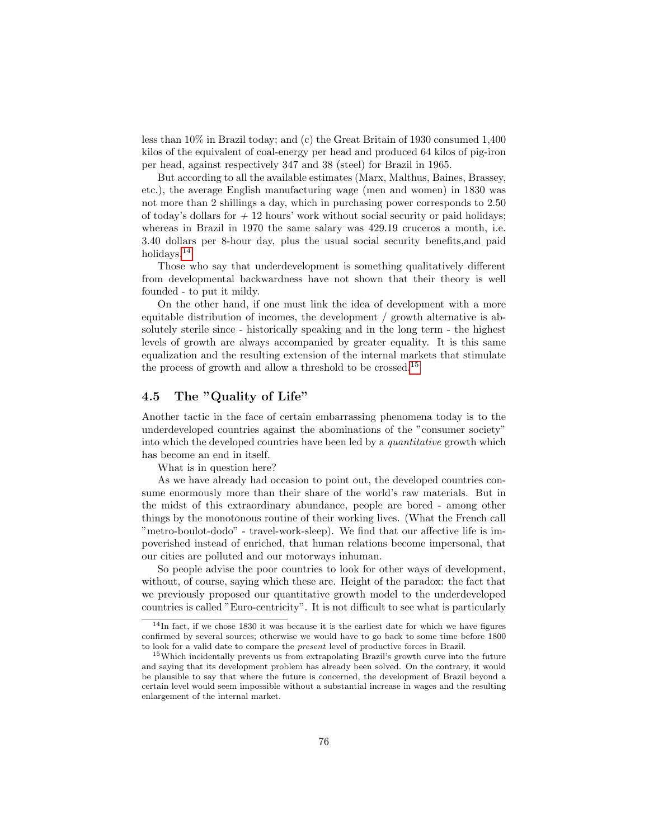less than 10% in Brazil today; and (c) the Great Britain of 1930 consumed 1,400 kilos of the equivalent of coal-energy per head and produced 64 kilos of pig-iron per head, against respectively 347 and 38 (steel) for Brazil in 1965.

But according to all the available estimates (Marx, Malthus, Baines, Brassey, etc.), the average English manufacturing wage (men and women) in 1830 was not more than 2 shillings a day, which in purchasing power corresponds to 2.50 of today's dollars for  $+12$  hours' work without social security or paid holidays; whereas in Brazil in 1970 the same salary was 429.19 cruceros a month, i.e. 3.40 dollars per 8-hour day, plus the usual social security benefits,and paid holidays.[14](#page-0-0)

Those who say that underdevelopment is something qualitatively different from developmental backwardness have not shown that their theory is well founded - to put it mildy.

On the other hand, if one must link the idea of development with a more equitable distribution of incomes, the development / growth alternative is absolutely sterile since - historically speaking and in the long term - the highest levels of growth are always accompanied by greater equality. It is this same equalization and the resulting extension of the internal markets that stimulate the process of growth and allow a threshold to be crossed.[15](#page-0-0)

## 4.5 The "Quality of Life"

Another tactic in the face of certain embarrassing phenomena today is to the underdeveloped countries against the abominations of the "consumer society" into which the developed countries have been led by a quantitative growth which has become an end in itself.

What is in question here?

As we have already had occasion to point out, the developed countries consume enormously more than their share of the world's raw materials. But in the midst of this extraordinary abundance, people are bored - among other things by the monotonous routine of their working lives. (What the French call "metro-boulot-dodo" - travel-work-sleep). We find that our affective life is impoverished instead of enriched, that human relations become impersonal, that our cities are polluted and our motorways inhuman.

So people advise the poor countries to look for other ways of development, without, of course, saying which these are. Height of the paradox: the fact that we previously proposed our quantitative growth model to the underdeveloped countries is called "Euro-centricity". It is not difficult to see what is particularly

<sup>14</sup>In fact, if we chose 1830 it was because it is the earliest date for which we have figures confirmed by several sources; otherwise we would have to go back to some time before 1800 to look for a valid date to compare the present level of productive forces in Brazil.

<sup>&</sup>lt;sup>15</sup>Which incidentally prevents us from extrapolating Brazil's growth curve into the future and saying that its development problem has already been solved. On the contrary, it would be plausible to say that where the future is concerned, the development of Brazil beyond a certain level would seem impossible without a substantial increase in wages and the resulting enlargement of the internal market.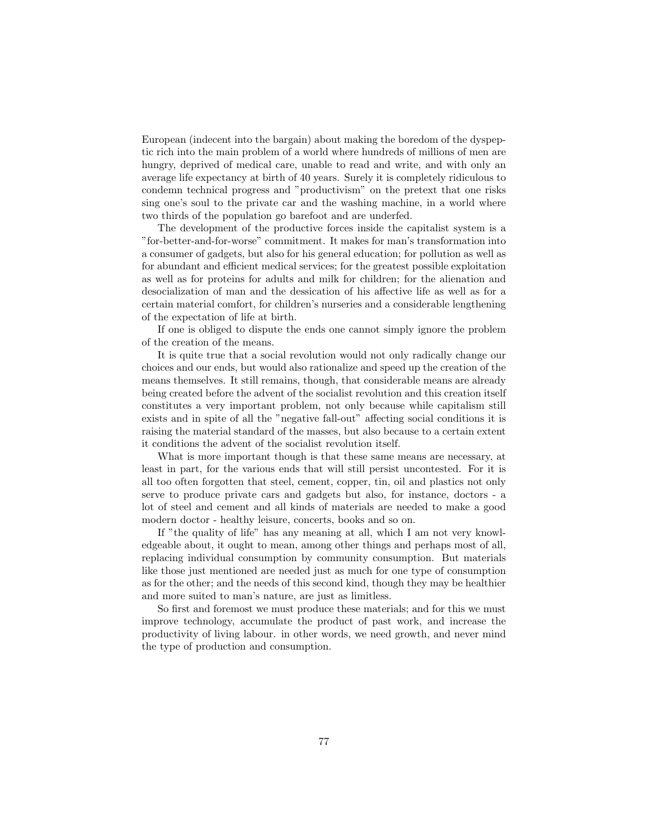European (indecent into the bargain) about making the boredom of the dyspeptic rich into the main problem of a world where hundreds of millions of men are hungry, deprived of medical care, unable to read and write, and with only an average life expectancy at birth of 40 years. Surely it is completely ridiculous to condemn technical progress and "productivism" on the pretext that one risks sing one's soul to the private car and the washing machine, in a world where two thirds of the population go barefoot and are underfed.

The development of the productive forces inside the capitalist system is a "for-better-and-for-worse" commitment. It makes for man's transformation into a consumer of gadgets, but also for his general education; for pollution as well as for abundant and efficient medical services; for the greatest possible exploitation as well as for proteins for adults and milk for children; for the alienation and desocialization of man and the dessication of his affective life as well as for a certain material comfort, for children's nurseries and a considerable lengthening of the expectation of life at birth.

If one is obliged to dispute the ends one cannot simply ignore the problem of the creation of the means.

It is quite true that a social revolution would not only radically change our choices and our ends, but would also rationalize and speed up the creation of the means themselves. It still remains, though, that considerable means are already being created before the advent of the socialist revolution and this creation itself constitutes a very important problem, not only because while capitalism still exists and in spite of all the "negative fall-out" affecting social conditions it is raising the material standard of the masses, but also because to a certain extent it conditions the advent of the socialist revolution itself.

What is more important though is that these same means are necessary, at least in part, for the various ends that will still persist uncontested. For it is all too often forgotten that steel, cement, copper, tin, oil and plastics not only serve to produce private cars and gadgets but also, for instance, doctors - a lot of steel and cement and all kinds of materials are needed to make a good modern doctor - healthy leisure, concerts, books and so on.

If "the quality of life" has any meaning at all, which I am not very knowledgeable about, it ought to mean, among other things and perhaps most of all, replacing individual consumption by community consumption. But materials like those just mentioned are needed just as much for one type of consumption as for the other; and the needs of this second kind, though they may be healthier and more suited to man's nature, are just as limitless.

So first and foremost we must produce these materials; and for this we must improve technology, accumulate the product of past work, and increase the productivity of living labour. in other words, we need growth, and never mind the type of production and consumption.